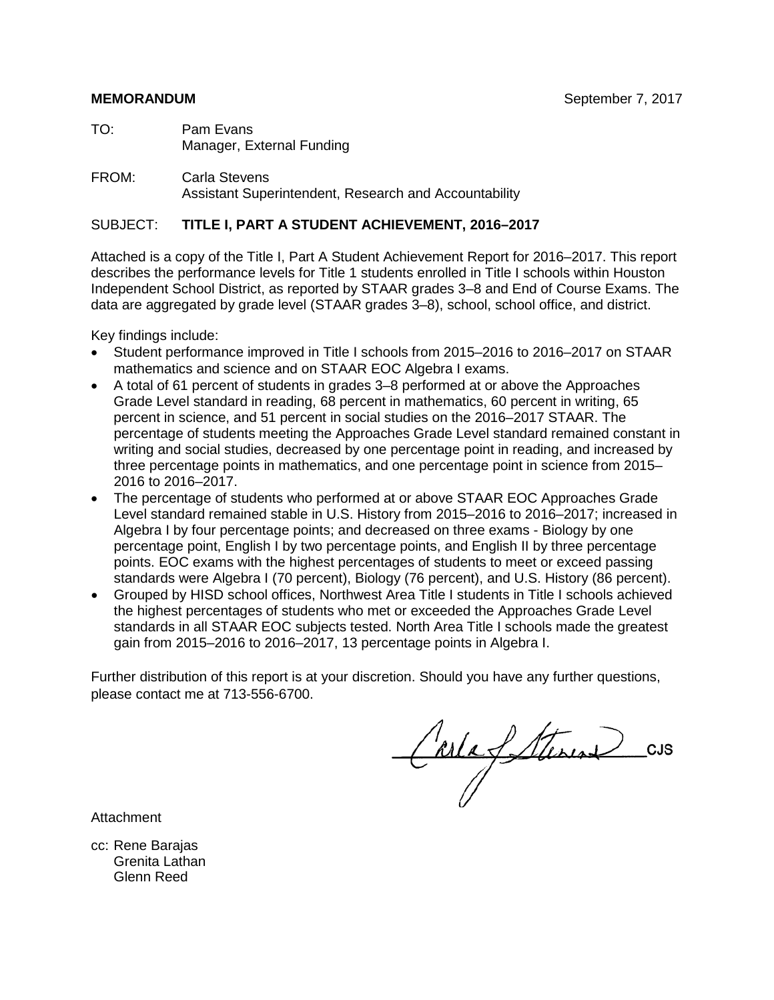TO: Pam Evans Manager, External Funding

FROM: Carla Stevens Assistant Superintendent, Research and Accountability

#### SUBJECT: **TITLE I, PART A STUDENT ACHIEVEMENT, 2016–2017**

Attached is a copy of the Title I, Part A Student Achievement Report for 2016–2017. This report describes the performance levels for Title 1 students enrolled in Title I schools within Houston Independent School District, as reported by STAAR grades 3–8 and End of Course Exams. The data are aggregated by grade level (STAAR grades 3–8), school, school office, and district.

Key findings include:

- Student performance improved in Title I schools from 2015–2016 to 2016–2017 on STAAR mathematics and science and on STAAR EOC Algebra I exams.
- A total of 61 percent of students in grades 3–8 performed at or above the Approaches Grade Level standard in reading, 68 percent in mathematics, 60 percent in writing, 65 percent in science, and 51 percent in social studies on the 2016–2017 STAAR. The percentage of students meeting the Approaches Grade Level standard remained constant in writing and social studies, decreased by one percentage point in reading, and increased by three percentage points in mathematics, and one percentage point in science from 2015– 2016 to 2016–2017.
- The percentage of students who performed at or above STAAR EOC Approaches Grade Level standard remained stable in U.S. History from 2015–2016 to 2016–2017; increased in Algebra I by four percentage points; and decreased on three exams - Biology by one percentage point, English I by two percentage points, and English II by three percentage points. EOC exams with the highest percentages of students to meet or exceed passing standards were Algebra I (70 percent), Biology (76 percent), and U.S. History (86 percent).
- Grouped by HISD school offices, Northwest Area Title I students in Title I schools achieved the highest percentages of students who met or exceeded the Approaches Grade Level standards in all STAAR EOC subjects tested. North Area Title I schools made the greatest gain from 2015–2016 to 2016–2017, 13 percentage points in Algebra I.

Further distribution of this report is at your discretion. Should you have any further questions, please contact me at 713-556-6700.

Carlafetterine CJS

Attachment

cc: Rene Barajas Grenita Lathan Glenn Reed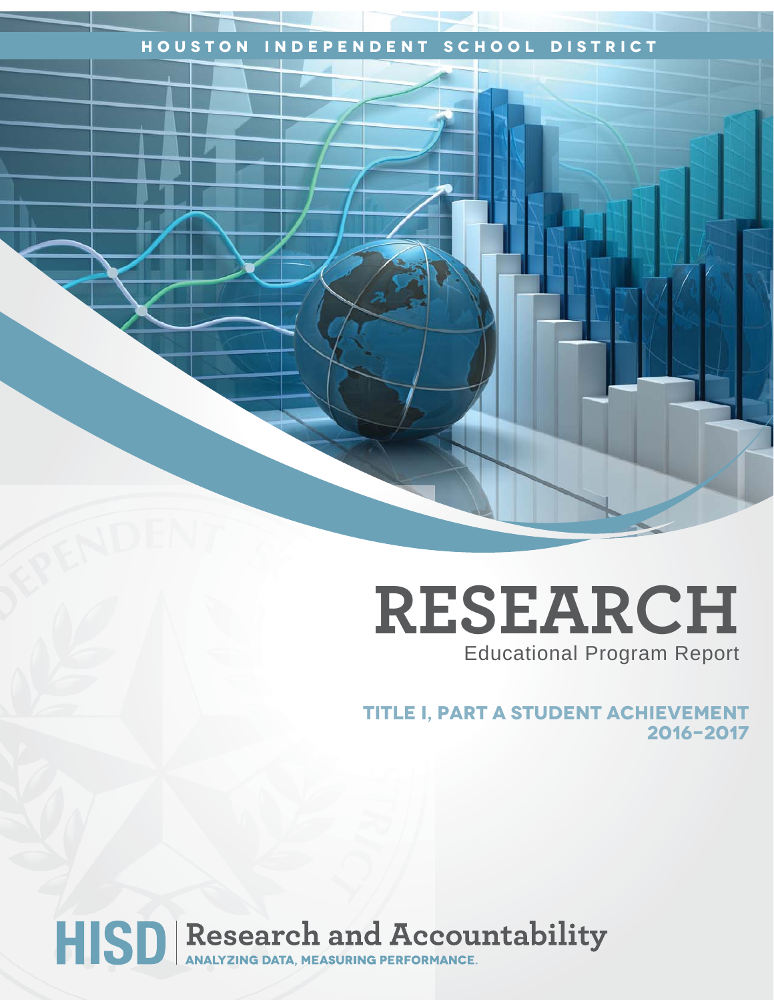## **Houston Independent School District**

## **RESEARCH** Educational Program Report

**title i, part a student achievement 2016-2017**

# HISD Research and Accountability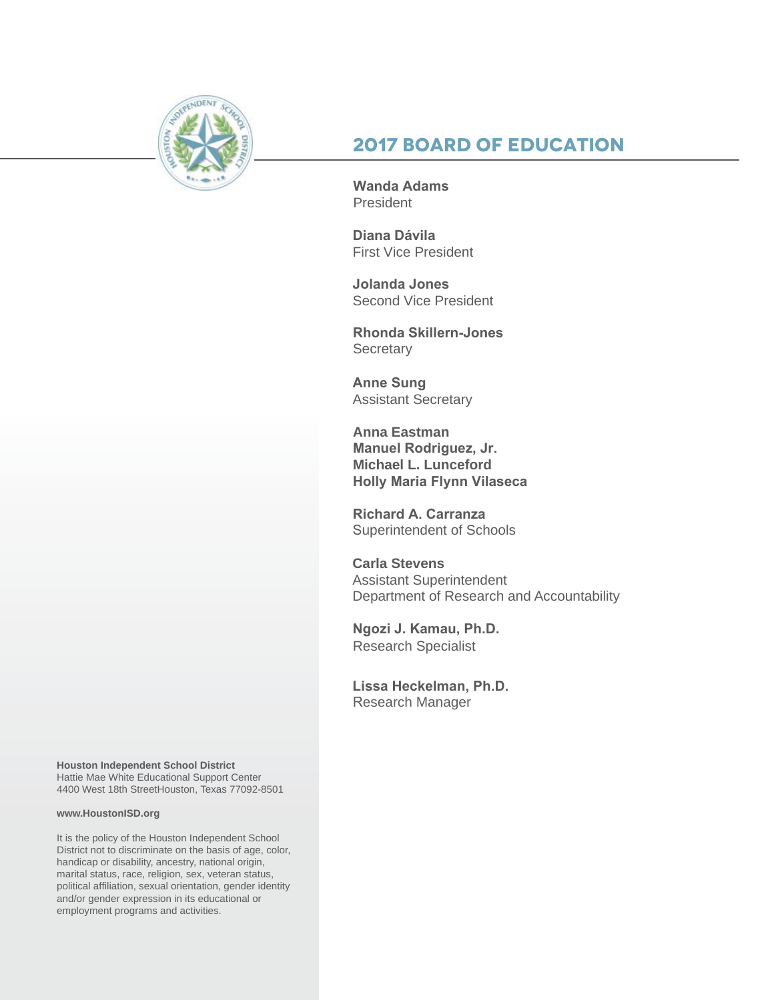

## **2017 Board of Education**

**Wanda Adams President** 

**Diana Dávila**  First Vice President

**Jolanda Jones**  Second Vice President

**Rhonda Skillern-Jones Secretary** 

**Anne Sung** Assistant Secretary

**Anna Eastman Manuel Rodriguez, Jr. Michael L. Lunceford Holly Maria Flynn Vilaseca**

**Richard A. Carranza** Superintendent of Schools

**Carla Stevens** Assistant Superintendent Department of Research and Accountability

**Ngozi J. Kamau, Ph.D.** Research Specialist

**Lissa Heckelman, Ph.D.** Research Manager

**Houston Independent School District** Hattie Mae White Educational Support Center 4400 West 18th StreetHouston, Texas 77092-8501

#### **www.HoustonISD.org**

It is the policy of the Houston Independent School District not to discriminate on the basis of age, color, handicap or disability, ancestry, national origin, marital status, race, religion, sex, veteran status, political affiliation, sexual orientation, gender identity and/or gender expression in its educational or employment programs and activities.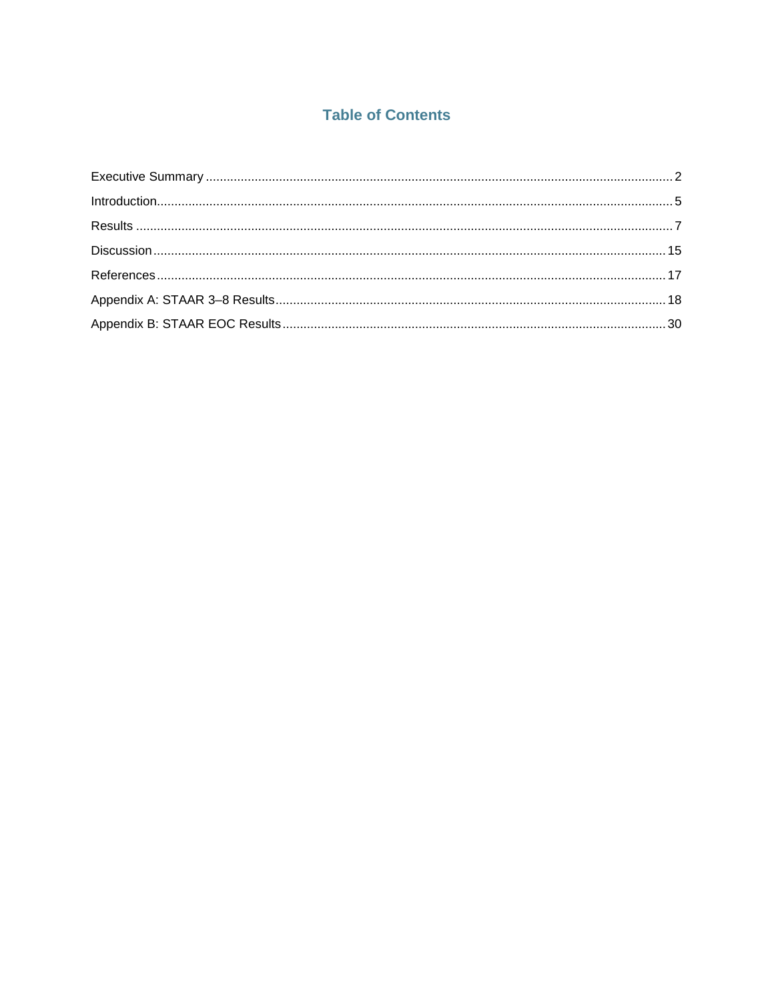## **Table of Contents**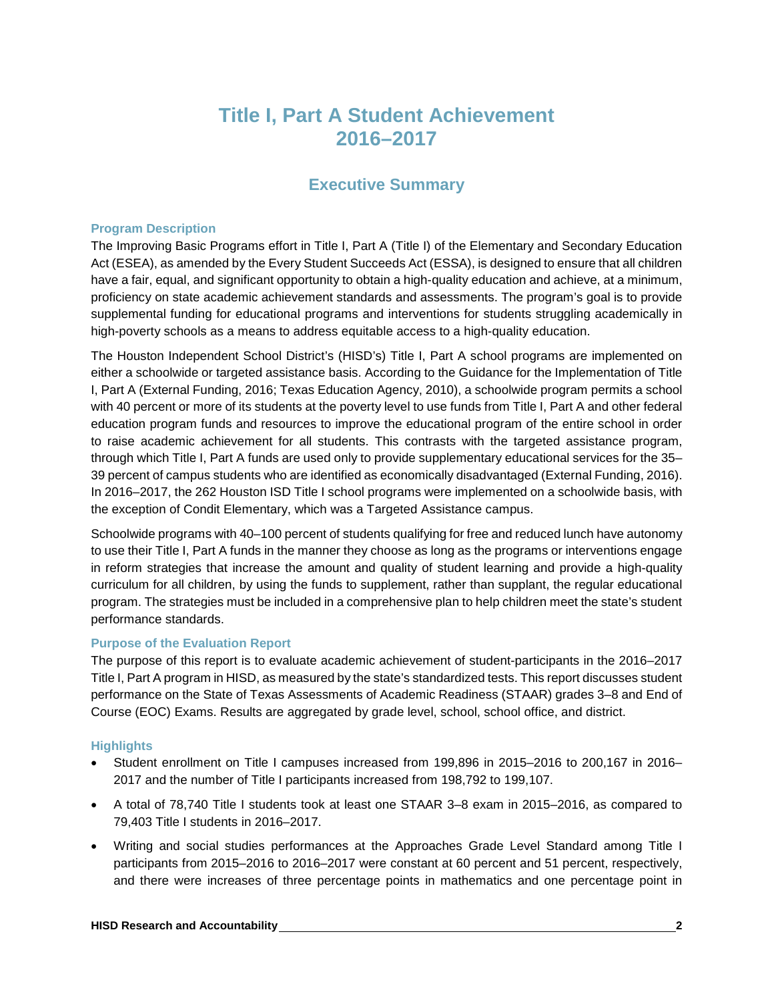## **Title I, Part A Student Achievement 2016–2017**

## **Executive Summary**

#### <span id="page-4-0"></span>**Program Description**

The Improving Basic Programs effort in Title I, Part A (Title I) of the Elementary and Secondary Education Act (ESEA), as amended by the Every Student Succeeds Act (ESSA), is designed to ensure that all children have a fair, equal, and significant opportunity to obtain a high-quality education and achieve, at a minimum, proficiency on state academic achievement standards and assessments. The program's goal is to provide supplemental funding for educational programs and interventions for students struggling academically in high-poverty schools as a means to address equitable access to a high-quality education.

The Houston Independent School District's (HISD's) Title I, Part A school programs are implemented on either a schoolwide or targeted assistance basis. According to the Guidance for the Implementation of Title I, Part A (External Funding, 2016; Texas Education Agency, 2010), a schoolwide program permits a school with 40 percent or more of its students at the poverty level to use funds from Title I, Part A and other federal education program funds and resources to improve the educational program of the entire school in order to raise academic achievement for all students. This contrasts with the targeted assistance program, through which Title I, Part A funds are used only to provide supplementary educational services for the 35– 39 percent of campus students who are identified as economically disadvantaged (External Funding, 2016). In 2016–2017, the 262 Houston ISD Title I school programs were implemented on a schoolwide basis, with the exception of Condit Elementary, which was a Targeted Assistance campus.

Schoolwide programs with 40–100 percent of students qualifying for free and reduced lunch have autonomy to use their Title I, Part A funds in the manner they choose as long as the programs or interventions engage in reform strategies that increase the amount and quality of student learning and provide a high-quality curriculum for all children, by using the funds to supplement, rather than supplant, the regular educational program. The strategies must be included in a comprehensive plan to help children meet the state's student performance standards.

#### **Purpose of the Evaluation Report**

The purpose of this report is to evaluate academic achievement of student-participants in the 2016–2017 Title I, Part A program in HISD, as measured by the state's standardized tests. This report discusses student performance on the State of Texas Assessments of Academic Readiness (STAAR) grades 3–8 and End of Course (EOC) Exams. Results are aggregated by grade level, school, school office, and district.

#### **Highlights**

- Student enrollment on Title I campuses increased from 199,896 in 2015–2016 to 200,167 in 2016– 2017 and the number of Title I participants increased from 198,792 to 199,107.
- A total of 78,740 Title I students took at least one STAAR 3–8 exam in 2015–2016, as compared to 79,403 Title I students in 2016–2017.
- Writing and social studies performances at the Approaches Grade Level Standard among Title I participants from 2015–2016 to 2016–2017 were constant at 60 percent and 51 percent, respectively, and there were increases of three percentage points in mathematics and one percentage point in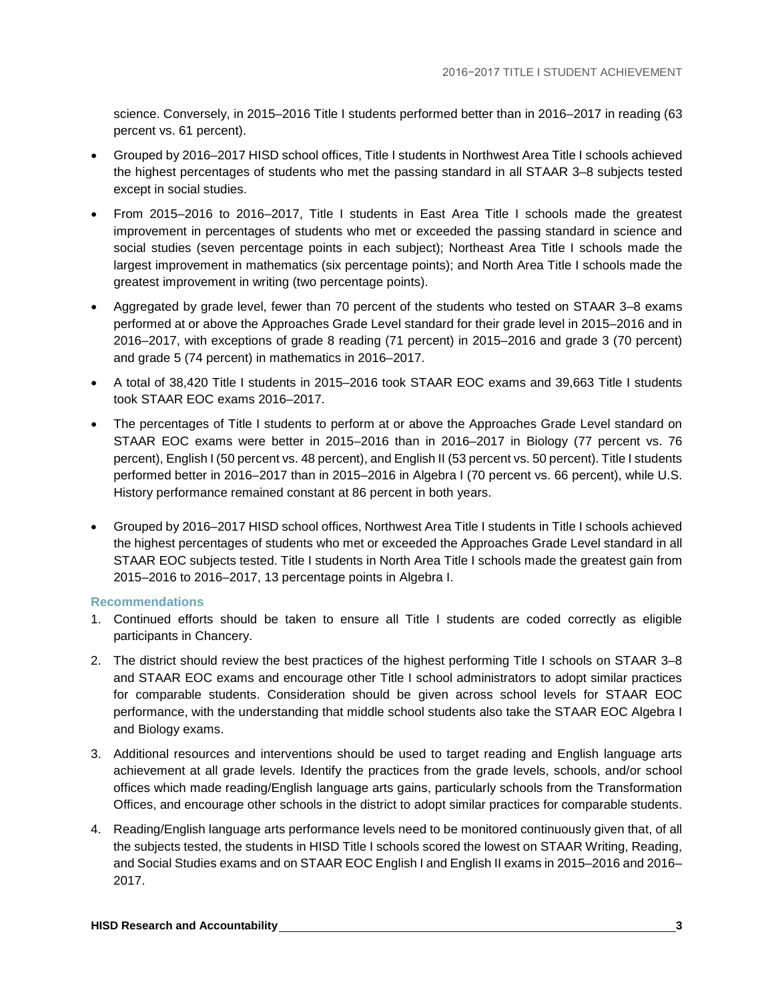science. Conversely, in 2015–2016 Title I students performed better than in 2016–2017 in reading (63 percent vs. 61 percent).

- Grouped by 2016–2017 HISD school offices, Title I students in Northwest Area Title I schools achieved the highest percentages of students who met the passing standard in all STAAR 3–8 subjects tested except in social studies.
- From 2015–2016 to 2016–2017, Title I students in East Area Title I schools made the greatest improvement in percentages of students who met or exceeded the passing standard in science and social studies (seven percentage points in each subject); Northeast Area Title I schools made the largest improvement in mathematics (six percentage points); and North Area Title I schools made the greatest improvement in writing (two percentage points).
- Aggregated by grade level, fewer than 70 percent of the students who tested on STAAR 3–8 exams performed at or above the Approaches Grade Level standard for their grade level in 2015–2016 and in 2016–2017, with exceptions of grade 8 reading (71 percent) in 2015–2016 and grade 3 (70 percent) and grade 5 (74 percent) in mathematics in 2016–2017.
- A total of 38,420 Title I students in 2015–2016 took STAAR EOC exams and 39,663 Title I students took STAAR EOC exams 2016–2017.
- The percentages of Title I students to perform at or above the Approaches Grade Level standard on STAAR EOC exams were better in 2015–2016 than in 2016–2017 in Biology (77 percent vs. 76 percent), English I (50 percent vs. 48 percent), and English II (53 percent vs. 50 percent). Title I students performed better in 2016–2017 than in 2015–2016 in Algebra I (70 percent vs. 66 percent), while U.S. History performance remained constant at 86 percent in both years.
- Grouped by 2016–2017 HISD school offices, Northwest Area Title I students in Title I schools achieved the highest percentages of students who met or exceeded the Approaches Grade Level standard in all STAAR EOC subjects tested. Title I students in North Area Title I schools made the greatest gain from 2015–2016 to 2016–2017, 13 percentage points in Algebra I.

#### **Recommendations**

- 1. Continued efforts should be taken to ensure all Title I students are coded correctly as eligible participants in Chancery.
- 2. The district should review the best practices of the highest performing Title I schools on STAAR 3–8 and STAAR EOC exams and encourage other Title I school administrators to adopt similar practices for comparable students. Consideration should be given across school levels for STAAR EOC performance, with the understanding that middle school students also take the STAAR EOC Algebra I and Biology exams.
- 3. Additional resources and interventions should be used to target reading and English language arts achievement at all grade levels. Identify the practices from the grade levels, schools, and/or school offices which made reading/English language arts gains, particularly schools from the Transformation Offices, and encourage other schools in the district to adopt similar practices for comparable students.
- 4. Reading/English language arts performance levels need to be monitored continuously given that, of all the subjects tested, the students in HISD Title I schools scored the lowest on STAAR Writing, Reading, and Social Studies exams and on STAAR EOC English I and English II exams in 2015–2016 and 2016– 2017.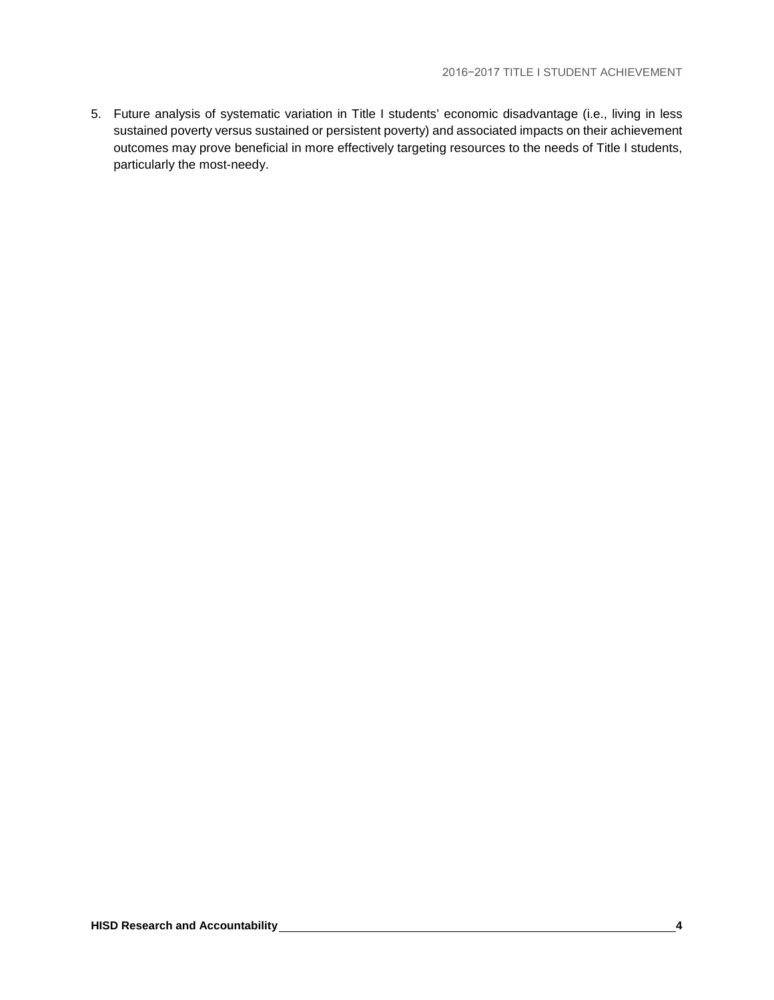5. Future analysis of systematic variation in Title I students' economic disadvantage (i.e., living in less sustained poverty versus sustained or persistent poverty) and associated impacts on their achievement outcomes may prove beneficial in more effectively targeting resources to the needs of Title I students, particularly the most-needy.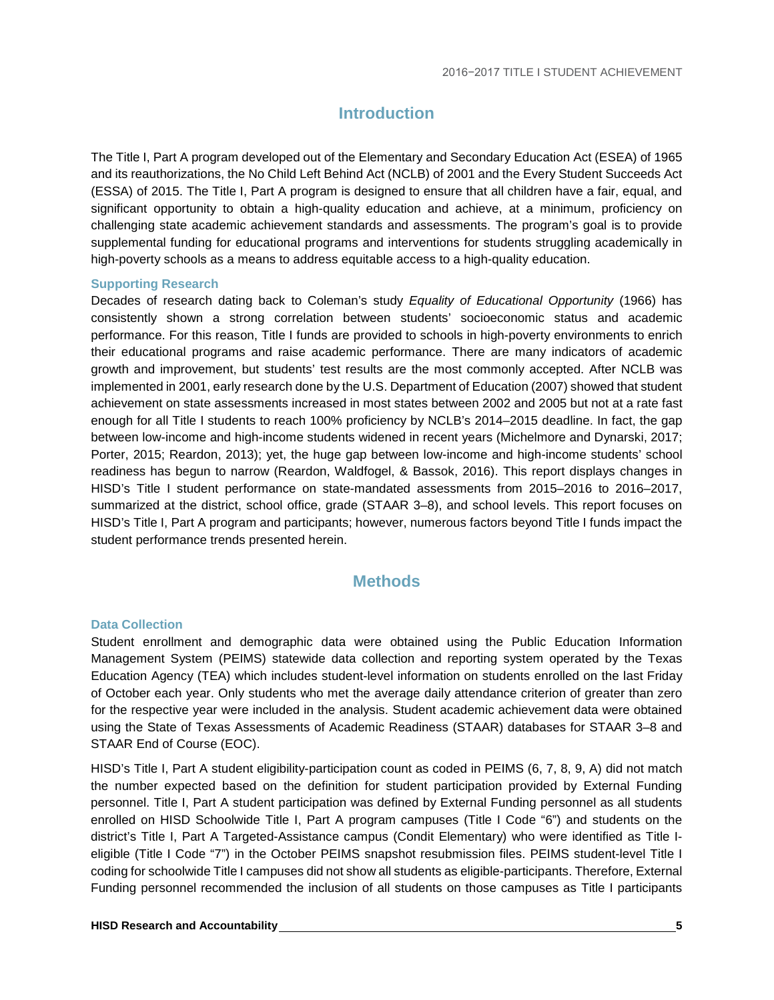## **Introduction**

<span id="page-7-0"></span>The Title I, Part A program developed out of the Elementary and Secondary Education Act (ESEA) of 1965 and its reauthorizations, the No Child Left Behind Act (NCLB) of 2001 and the Every Student Succeeds Act (ESSA) of 2015. The Title I, Part A program is designed to ensure that all children have a fair, equal, and significant opportunity to obtain a high-quality education and achieve, at a minimum, proficiency on challenging state academic achievement standards and assessments. The program's goal is to provide supplemental funding for educational programs and interventions for students struggling academically in high-poverty schools as a means to address equitable access to a high-quality education.

#### **Supporting Research**

Decades of research dating back to Coleman's study *Equality of Educational Opportunity* (1966) has consistently shown a strong correlation between students' socioeconomic status and academic performance. For this reason, Title I funds are provided to schools in high-poverty environments to enrich their educational programs and raise academic performance. There are many indicators of academic growth and improvement, but students' test results are the most commonly accepted. After NCLB was implemented in 2001, early research done by the U.S. Department of Education (2007) showed that student achievement on state assessments increased in most states between 2002 and 2005 but not at a rate fast enough for all Title I students to reach 100% proficiency by NCLB's 2014–2015 deadline. In fact, the gap between low-income and high-income students widened in recent years (Michelmore and Dynarski, 2017; Porter, 2015; Reardon, 2013); yet, the huge gap between low-income and high-income students' school readiness has begun to narrow (Reardon, Waldfogel, & Bassok, 2016). This report displays changes in HISD's Title I student performance on state-mandated assessments from 2015–2016 to 2016–2017, summarized at the district, school office, grade (STAAR 3–8), and school levels. This report focuses on HISD's Title I, Part A program and participants; however, numerous factors beyond Title I funds impact the student performance trends presented herein.

#### **Methods**

#### **Data Collection**

Student enrollment and demographic data were obtained using the Public Education Information Management System (PEIMS) statewide data collection and reporting system operated by the Texas Education Agency (TEA) which includes student-level information on students enrolled on the last Friday of October each year. Only students who met the average daily attendance criterion of greater than zero for the respective year were included in the analysis. Student academic achievement data were obtained using the State of Texas Assessments of Academic Readiness (STAAR) databases for STAAR 3–8 and STAAR End of Course (EOC).

HISD's Title I, Part A student eligibility-participation count as coded in PEIMS (6, 7, 8, 9, A) did not match the number expected based on the definition for student participation provided by External Funding personnel. Title I, Part A student participation was defined by External Funding personnel as all students enrolled on HISD Schoolwide Title I, Part A program campuses (Title I Code "6") and students on the district's Title I, Part A Targeted-Assistance campus (Condit Elementary) who were identified as Title Ieligible (Title I Code "7") in the October PEIMS snapshot resubmission files. PEIMS student-level Title I coding for schoolwide Title I campuses did not show all students as eligible-participants. Therefore, External Funding personnel recommended the inclusion of all students on those campuses as Title I participants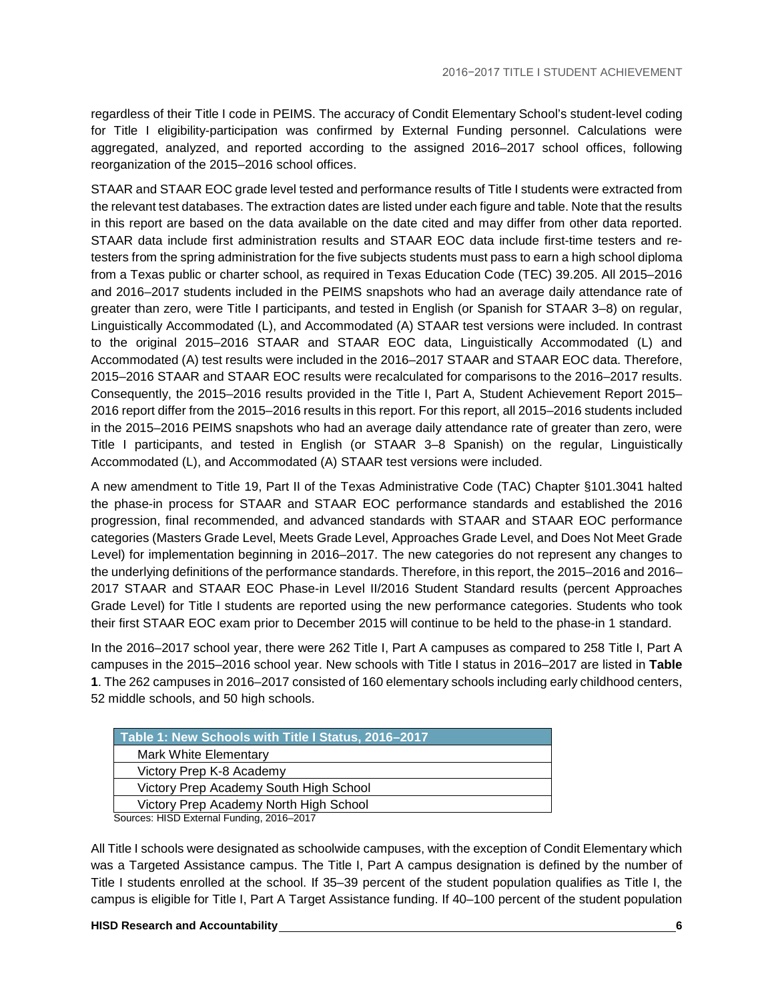regardless of their Title I code in PEIMS. The accuracy of Condit Elementary School's student-level coding for Title I eligibility-participation was confirmed by External Funding personnel. Calculations were aggregated, analyzed, and reported according to the assigned 2016–2017 school offices, following reorganization of the 2015–2016 school offices.

STAAR and STAAR EOC grade level tested and performance results of Title I students were extracted from the relevant test databases. The extraction dates are listed under each figure and table. Note that the results in this report are based on the data available on the date cited and may differ from other data reported. STAAR data include first administration results and STAAR EOC data include first-time testers and retesters from the spring administration for the five subjects students must pass to earn a high school diploma from a Texas public or charter school, as required in Texas Education Code (TEC) 39.205. All 2015–2016 and 2016–2017 students included in the PEIMS snapshots who had an average daily attendance rate of greater than zero, were Title I participants, and tested in English (or Spanish for STAAR 3–8) on regular, Linguistically Accommodated (L), and Accommodated (A) STAAR test versions were included. In contrast to the original 2015–2016 STAAR and STAAR EOC data, Linguistically Accommodated (L) and Accommodated (A) test results were included in the 2016–2017 STAAR and STAAR EOC data. Therefore, 2015–2016 STAAR and STAAR EOC results were recalculated for comparisons to the 2016–2017 results. Consequently, the 2015–2016 results provided in the Title I, Part A, Student Achievement Report 2015– 2016 report differ from the 2015–2016 results in this report. For this report, all 2015–2016 students included in the 2015–2016 PEIMS snapshots who had an average daily attendance rate of greater than zero, were Title I participants, and tested in English (or STAAR 3–8 Spanish) on the regular, Linguistically Accommodated (L), and Accommodated (A) STAAR test versions were included.

A new amendment to Title 19, Part II of the Texas Administrative Code (TAC) Chapter §101.3041 halted the phase-in process for STAAR and STAAR EOC performance standards and established the 2016 progression, final recommended, and advanced standards with STAAR and STAAR EOC performance categories (Masters Grade Level, Meets Grade Level, Approaches Grade Level, and Does Not Meet Grade Level) for implementation beginning in 2016–2017. The new categories do not represent any changes to the underlying definitions of the performance standards. Therefore, in this report, the 2015–2016 and 2016– 2017 STAAR and STAAR EOC Phase-in Level II/2016 Student Standard results (percent Approaches Grade Level) for Title I students are reported using the new performance categories. Students who took their first STAAR EOC exam prior to December 2015 will continue to be held to the phase-in 1 standard.

In the 2016–2017 school year, there were 262 Title I, Part A campuses as compared to 258 Title I, Part A campuses in the 2015–2016 school year. New schools with Title I status in 2016–2017 are listed in **Table 1**. The 262 campuses in 2016–2017 consisted of 160 elementary schools including early childhood centers, 52 middle schools, and 50 high schools.

| Table 1: New Schools with Title I Status, 2016-2017 |  |
|-----------------------------------------------------|--|
| Mark White Elementary                               |  |
| Victory Prep K-8 Academy                            |  |
| Victory Prep Academy South High School              |  |
| Victory Prep Academy North High School              |  |
| Sources: HISD External Funding 2016-2017            |  |

Sources: HISD External Funding, 2016–2017

All Title I schools were designated as schoolwide campuses, with the exception of Condit Elementary which was a Targeted Assistance campus. The Title I, Part A campus designation is defined by the number of Title I students enrolled at the school. If 35–39 percent of the student population qualifies as Title I, the campus is eligible for Title I, Part A Target Assistance funding. If 40–100 percent of the student population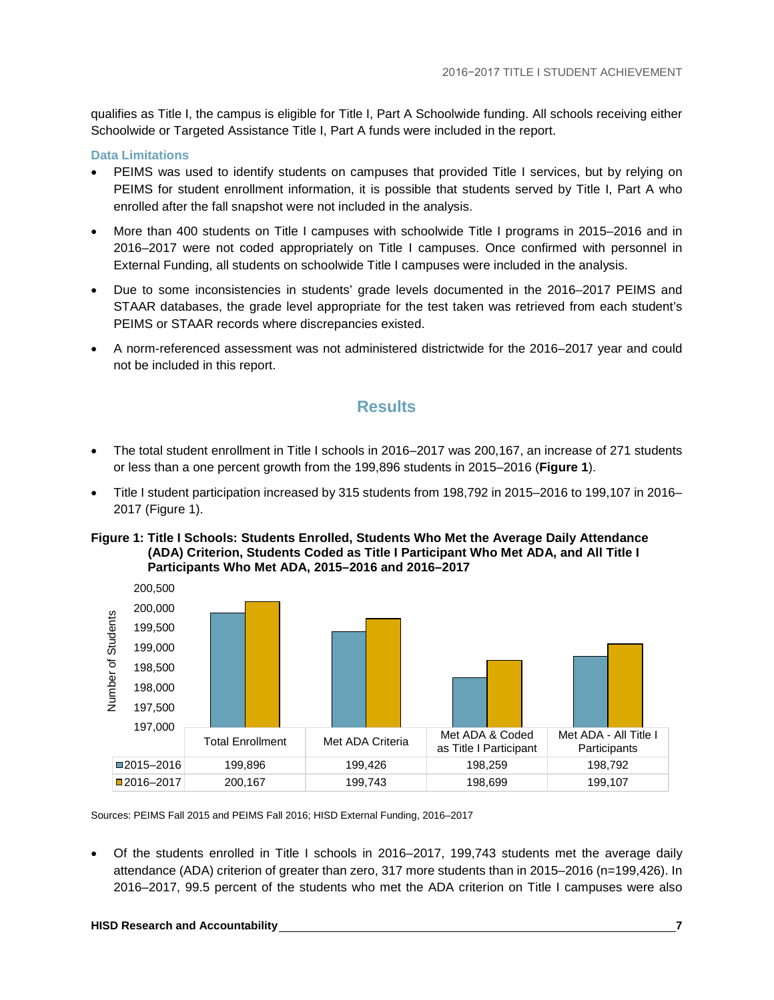qualifies as Title I, the campus is eligible for Title I, Part A Schoolwide funding. All schools receiving either Schoolwide or Targeted Assistance Title I, Part A funds were included in the report.

#### **Data Limitations**

- PEIMS was used to identify students on campuses that provided Title I services, but by relying on PEIMS for student enrollment information, it is possible that students served by Title I, Part A who enrolled after the fall snapshot were not included in the analysis.
- More than 400 students on Title I campuses with schoolwide Title I programs in 2015–2016 and in 2016–2017 were not coded appropriately on Title I campuses. Once confirmed with personnel in External Funding, all students on schoolwide Title I campuses were included in the analysis.
- Due to some inconsistencies in students' grade levels documented in the 2016–2017 PEIMS and STAAR databases, the grade level appropriate for the test taken was retrieved from each student's PEIMS or STAAR records where discrepancies existed.
- <span id="page-9-0"></span>• A norm-referenced assessment was not administered districtwide for the 2016–2017 year and could not be included in this report.

#### **Results**

- The total student enrollment in Title I schools in 2016–2017 was 200,167, an increase of 271 students or less than a one percent growth from the 199,896 students in 2015–2016 (**Figure 1**).
- Title I student participation increased by 315 students from 198,792 in 2015–2016 to 199,107 in 2016– 2017 (Figure 1).

#### **Figure 1: Title I Schools: Students Enrolled, Students Who Met the Average Daily Attendance (ADA) Criterion, Students Coded as Title I Participant Who Met ADA, and All Title I Participants Who Met ADA, 2015–2016 and 2016–2017**



Sources: PEIMS Fall 2015 and PEIMS Fall 2016; HISD External Funding, 2016–2017

• Of the students enrolled in Title I schools in 2016–2017, 199,743 students met the average daily attendance (ADA) criterion of greater than zero, 317 more students than in 2015–2016 (n=199,426). In 2016–2017, 99.5 percent of the students who met the ADA criterion on Title I campuses were also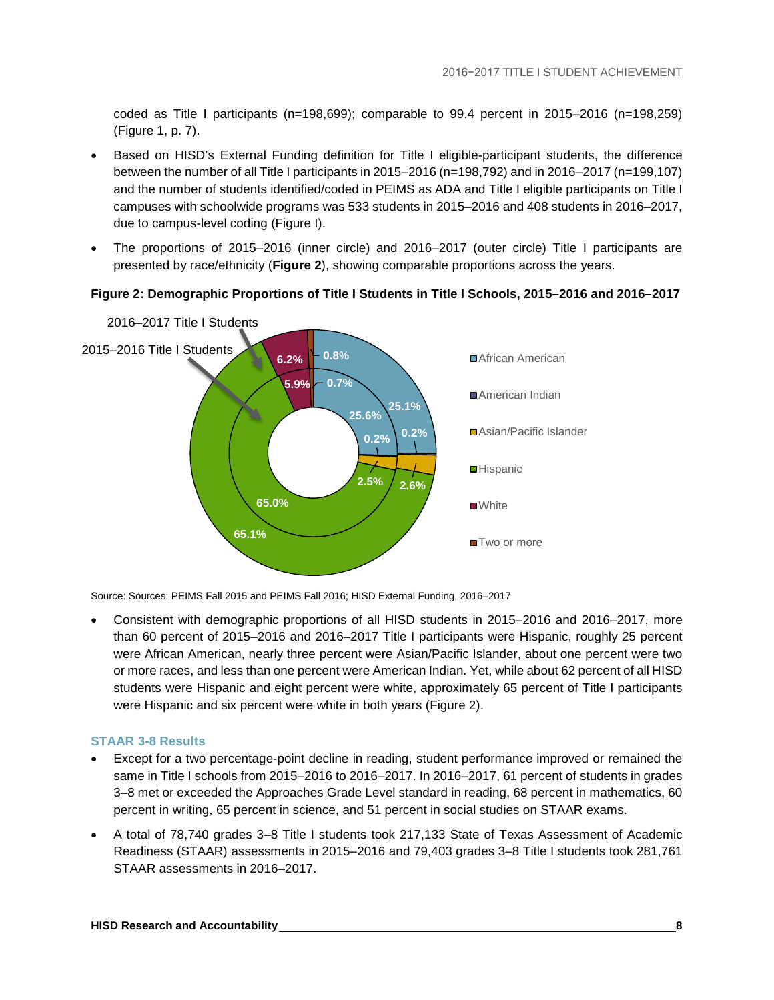coded as Title I participants (n=198,699); comparable to 99.4 percent in 2015–2016 (n=198,259) (Figure 1, p. 7).

- Based on HISD's External Funding definition for Title I eligible-participant students, the difference between the number of all Title I participants in 2015–2016 (n=198,792) and in 2016–2017 (n=199,107) and the number of students identified/coded in PEIMS as ADA and Title I eligible participants on Title I campuses with schoolwide programs was 533 students in 2015–2016 and 408 students in 2016–2017, due to campus-level coding (Figure I).
- The proportions of 2015–2016 (inner circle) and 2016–2017 (outer circle) Title I participants are presented by race/ethnicity (**Figure 2**), showing comparable proportions across the years.



#### **Figure 2: Demographic Proportions of Title I Students in Title I Schools, 2015–2016 and 2016–2017**

Source: Sources: PEIMS Fall 2015 and PEIMS Fall 2016; HISD External Funding, 2016–2017

• Consistent with demographic proportions of all HISD students in 2015–2016 and 2016–2017, more than 60 percent of 2015–2016 and 2016–2017 Title I participants were Hispanic, roughly 25 percent were African American, nearly three percent were Asian/Pacific Islander, about one percent were two or more races, and less than one percent were American Indian. Yet, while about 62 percent of all HISD students were Hispanic and eight percent were white, approximately 65 percent of Title I participants were Hispanic and six percent were white in both years (Figure 2).

#### **STAAR 3-8 Results**

- Except for a two percentage-point decline in reading, student performance improved or remained the same in Title I schools from 2015–2016 to 2016–2017. In 2016–2017, 61 percent of students in grades 3–8 met or exceeded the Approaches Grade Level standard in reading, 68 percent in mathematics, 60 percent in writing, 65 percent in science, and 51 percent in social studies on STAAR exams.
- A total of 78,740 grades 3–8 Title I students took 217,133 State of Texas Assessment of Academic Readiness (STAAR) assessments in 2015–2016 and 79,403 grades 3–8 Title I students took 281,761 STAAR assessments in 2016–2017.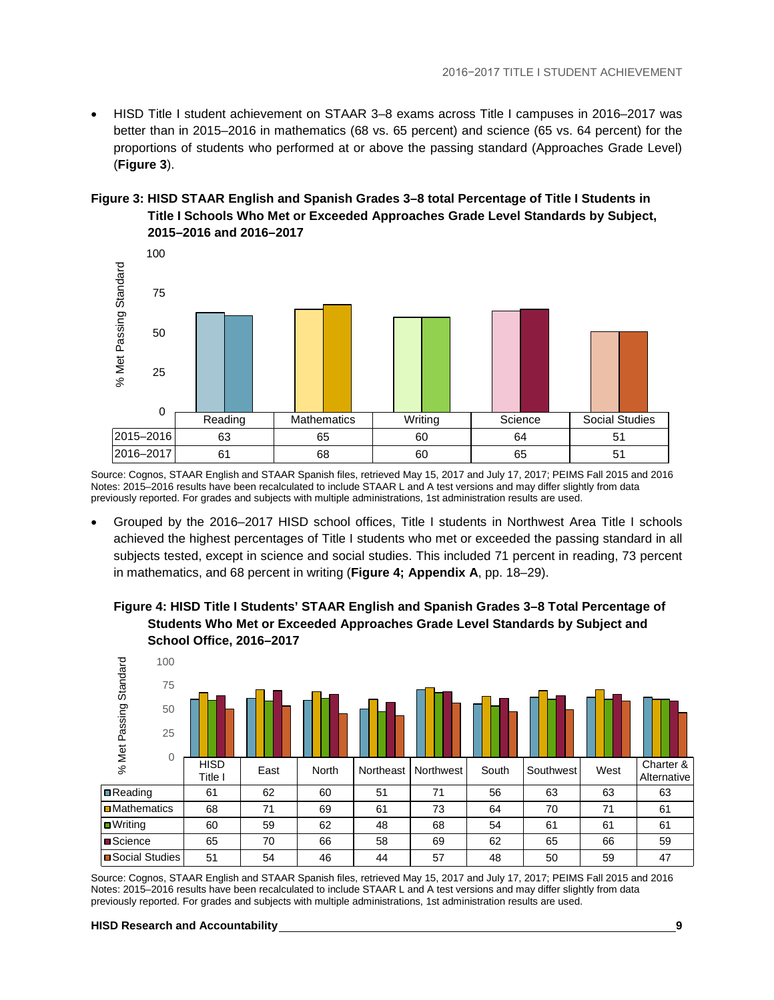• HISD Title I student achievement on STAAR 3–8 exams across Title I campuses in 2016–2017 was better than in 2015–2016 in mathematics (68 vs. 65 percent) and science (65 vs. 64 percent) for the proportions of students who performed at or above the passing standard (Approaches Grade Level) (**Figure 3**).

#### **Figure 3: HISD STAAR English and Spanish Grades 3–8 total Percentage of Title I Students in Title I Schools Who Met or Exceeded Approaches Grade Level Standards by Subject, 2015–2016 and 2016–2017**



Source: Cognos, STAAR English and STAAR Spanish files, retrieved May 15, 2017 and July 17, 2017; PEIMS Fall 2015 and 2016 Notes: 2015–2016 results have been recalculated to include STAAR L and A test versions and may differ slightly from data previously reported. For grades and subjects with multiple administrations, 1st administration results are used.

• Grouped by the 2016–2017 HISD school offices, Title I students in Northwest Area Title I schools achieved the highest percentages of Title I students who met or exceeded the passing standard in all subjects tested, except in science and social studies. This included 71 percent in reading, 73 percent in mathematics, and 68 percent in writing (**Figure 4; Appendix A**, pp. 18–29).

#### **Figure 4: HISD Title I Students' STAAR English and Spanish Grades 3–8 Total Percentage of Students Who Met or Exceeded Approaches Grade Level Standards by Subject and School Office, 2016–2017**



Source: Cognos, STAAR English and STAAR Spanish files, retrieved May 15, 2017 and July 17, 2017; PEIMS Fall 2015 and 2016 Notes: 2015–2016 results have been recalculated to include STAAR L and A test versions and may differ slightly from data previously reported. For grades and subjects with multiple administrations, 1st administration results are used.

**HISD Research and Accountability 9**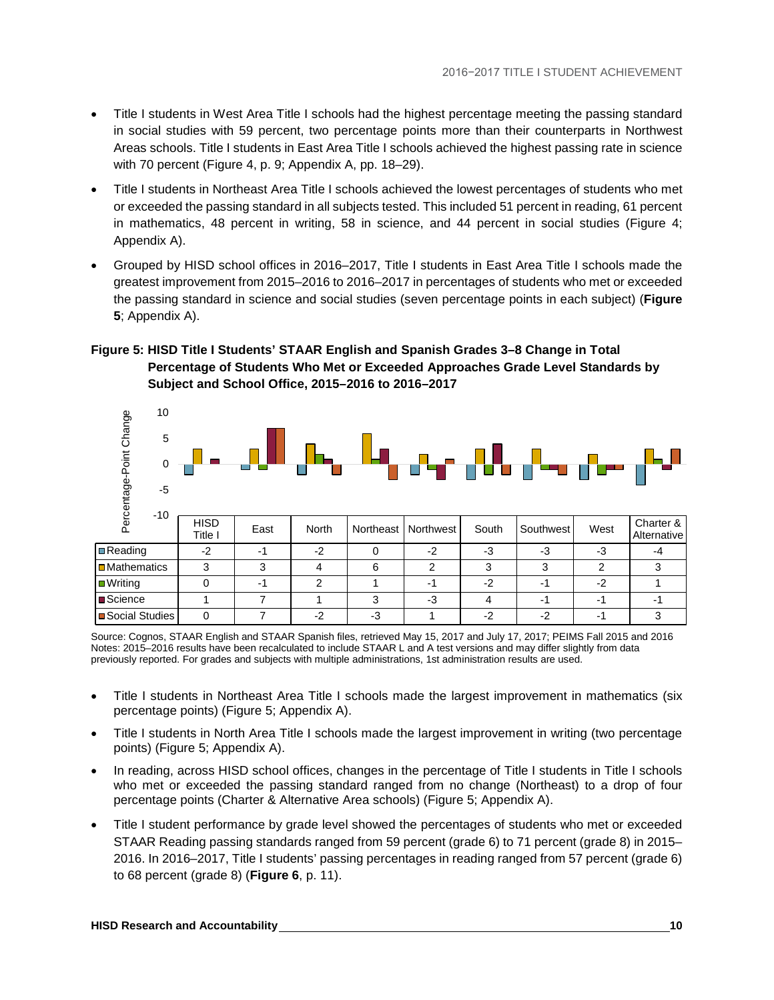- Title I students in West Area Title I schools had the highest percentage meeting the passing standard in social studies with 59 percent, two percentage points more than their counterparts in Northwest Areas schools. Title I students in East Area Title I schools achieved the highest passing rate in science with 70 percent (Figure 4, p. 9; Appendix A, pp. 18–29).
- Title I students in Northeast Area Title I schools achieved the lowest percentages of students who met or exceeded the passing standard in all subjects tested. This included 51 percent in reading, 61 percent in mathematics, 48 percent in writing, 58 in science, and 44 percent in social studies (Figure 4; Appendix A).
- Grouped by HISD school offices in 2016–2017, Title I students in East Area Title I schools made the greatest improvement from 2015–2016 to 2016–2017 in percentages of students who met or exceeded the passing standard in science and social studies (seven percentage points in each subject) (**Figure 5**; Appendix A).

#### **Figure 5: HISD Title I Students' STAAR English and Spanish Grades 3–8 Change in Total Percentage of Students Who Met or Exceeded Approaches Grade Level Standards by Subject and School Office, 2015–2016 to 2016–2017**



Source: Cognos, STAAR English and STAAR Spanish files, retrieved May 15, 2017 and July 17, 2017; PEIMS Fall 2015 and 2016 Notes: 2015–2016 results have been recalculated to include STAAR L and A test versions and may differ slightly from data previously reported. For grades and subjects with multiple administrations, 1st administration results are used.

- Title I students in Northeast Area Title I schools made the largest improvement in mathematics (six percentage points) (Figure 5; Appendix A).
- Title I students in North Area Title I schools made the largest improvement in writing (two percentage points) (Figure 5; Appendix A).
- In reading, across HISD school offices, changes in the percentage of Title I students in Title I schools who met or exceeded the passing standard ranged from no change (Northeast) to a drop of four percentage points (Charter & Alternative Area schools) (Figure 5; Appendix A).
- Title I student performance by grade level showed the percentages of students who met or exceeded STAAR Reading passing standards ranged from 59 percent (grade 6) to 71 percent (grade 8) in 2015– 2016. In 2016–2017, Title I students' passing percentages in reading ranged from 57 percent (grade 6) to 68 percent (grade 8) (**Figure 6**, p. 11).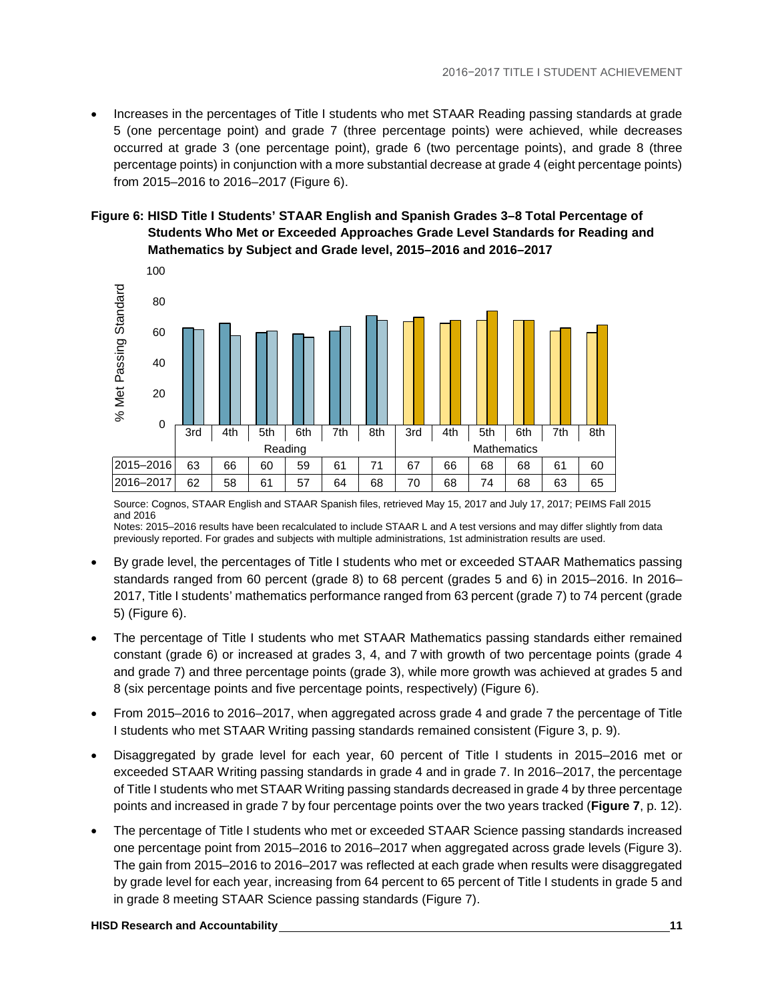• Increases in the percentages of Title I students who met STAAR Reading passing standards at grade 5 (one percentage point) and grade 7 (three percentage points) were achieved, while decreases occurred at grade 3 (one percentage point), grade 6 (two percentage points), and grade 8 (three percentage points) in conjunction with a more substantial decrease at grade 4 (eight percentage points) from 2015–2016 to 2016–2017 (Figure 6).

#### **Figure 6: HISD Title I Students' STAAR English and Spanish Grades 3–8 Total Percentage of Students Who Met or Exceeded Approaches Grade Level Standards for Reading and Mathematics by Subject and Grade level, 2015–2016 and 2016–2017**



Source: Cognos, STAAR English and STAAR Spanish files, retrieved May 15, 2017 and July 17, 2017; PEIMS Fall 2015 and 2016

Notes: 2015–2016 results have been recalculated to include STAAR L and A test versions and may differ slightly from data previously reported. For grades and subjects with multiple administrations, 1st administration results are used.

- By grade level, the percentages of Title I students who met or exceeded STAAR Mathematics passing standards ranged from 60 percent (grade 8) to 68 percent (grades 5 and 6) in 2015–2016. In 2016– 2017, Title I students' mathematics performance ranged from 63 percent (grade 7) to 74 percent (grade 5) (Figure 6).
- The percentage of Title I students who met STAAR Mathematics passing standards either remained constant (grade 6) or increased at grades 3, 4, and 7 with growth of two percentage points (grade 4 and grade 7) and three percentage points (grade 3), while more growth was achieved at grades 5 and 8 (six percentage points and five percentage points, respectively) (Figure 6).
- From 2015–2016 to 2016–2017, when aggregated across grade 4 and grade 7 the percentage of Title I students who met STAAR Writing passing standards remained consistent (Figure 3, p. 9).
- Disaggregated by grade level for each year, 60 percent of Title I students in 2015–2016 met or exceeded STAAR Writing passing standards in grade 4 and in grade 7. In 2016–2017, the percentage of Title I students who met STAAR Writing passing standards decreased in grade 4 by three percentage points and increased in grade 7 by four percentage points over the two years tracked (**Figure 7**, p. 12).
- The percentage of Title I students who met or exceeded STAAR Science passing standards increased one percentage point from 2015–2016 to 2016–2017 when aggregated across grade levels (Figure 3). The gain from 2015–2016 to 2016–2017 was reflected at each grade when results were disaggregated by grade level for each year, increasing from 64 percent to 65 percent of Title I students in grade 5 and in grade 8 meeting STAAR Science passing standards (Figure 7).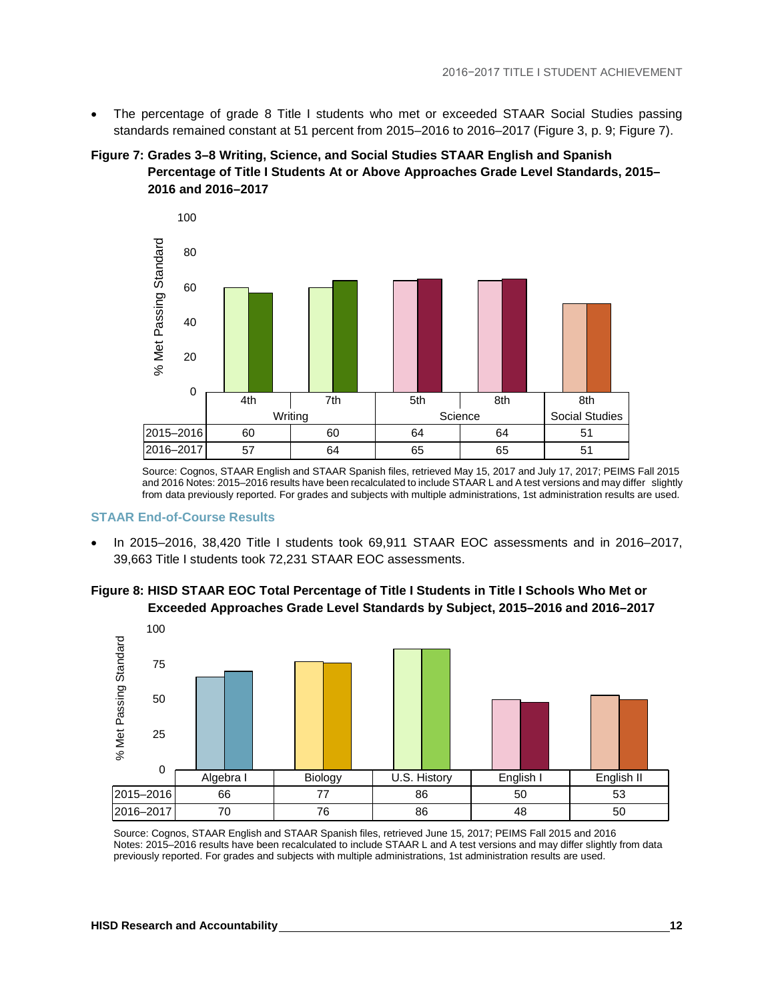• The percentage of grade 8 Title I students who met or exceeded STAAR Social Studies passing standards remained constant at 51 percent from 2015–2016 to 2016–2017 (Figure 3, p. 9; Figure 7).





Source: Cognos, STAAR English and STAAR Spanish files, retrieved May 15, 2017 and July 17, 2017; PEIMS Fall 2015 and 2016 Notes: 2015–2016 results have been recalculated to include STAAR L and A test versions and may differ slightly from data previously reported. For grades and subjects with multiple administrations, 1st administration results are used.

#### **STAAR End-of-Course Results**

• In 2015–2016, 38,420 Title I students took 69,911 STAAR EOC assessments and in 2016–2017, 39,663 Title I students took 72,231 STAAR EOC assessments.



**Figure 8: HISD STAAR EOC Total Percentage of Title I Students in Title I Schools Who Met or Exceeded Approaches Grade Level Standards by Subject, 2015–2016 and 2016–2017**

Source: Cognos, STAAR English and STAAR Spanish files, retrieved June 15, 2017; PEIMS Fall 2015 and 2016 Notes: 2015–2016 results have been recalculated to include STAAR L and A test versions and may differ slightly from data previously reported. For grades and subjects with multiple administrations, 1st administration results are used.

2015–2016 66 77 86 50 53 2016–2017| 70 | 76 | 86 | 48 | 50

Algebra I Biology | U.S. History | English I English II

0

25

 $\aleph$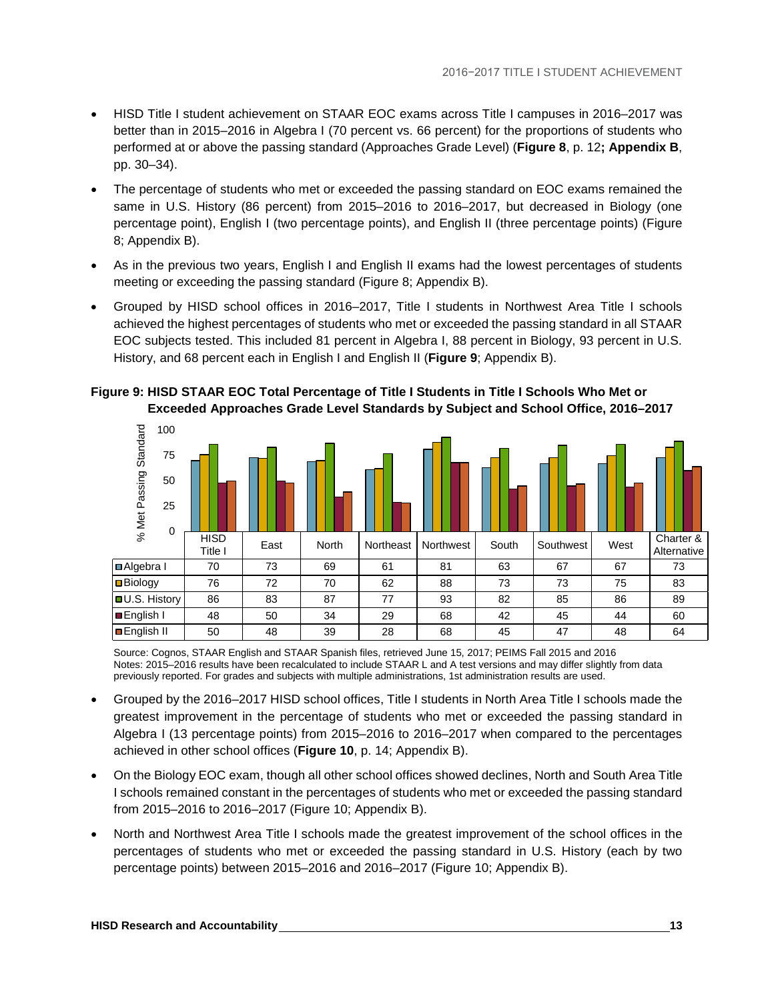- HISD Title I student achievement on STAAR EOC exams across Title I campuses in 2016–2017 was better than in 2015–2016 in Algebra I (70 percent vs. 66 percent) for the proportions of students who performed at or above the passing standard (Approaches Grade Level) (**Figure 8**, p. 12**; Appendix B**, pp. 30–34).
- The percentage of students who met or exceeded the passing standard on EOC exams remained the same in U.S. History (86 percent) from 2015–2016 to 2016–2017, but decreased in Biology (one percentage point), English I (two percentage points), and English II (three percentage points) (Figure 8; Appendix B).
- As in the previous two years, English I and English II exams had the lowest percentages of students meeting or exceeding the passing standard (Figure 8; Appendix B).
- Grouped by HISD school offices in 2016–2017, Title I students in Northwest Area Title I schools achieved the highest percentages of students who met or exceeded the passing standard in all STAAR EOC subjects tested. This included 81 percent in Algebra I, 88 percent in Biology, 93 percent in U.S. History, and 68 percent each in English I and English II (**Figure 9**; Appendix B).



**Figure 9: HISD STAAR EOC Total Percentage of Title I Students in Title I Schools Who Met or Exceeded Approaches Grade Level Standards by Subject and School Office, 2016–2017**

Source: Cognos, STAAR English and STAAR Spanish files, retrieved June 15, 2017; PEIMS Fall 2015 and 2016 Notes: 2015–2016 results have been recalculated to include STAAR L and A test versions and may differ slightly from data previously reported. For grades and subjects with multiple administrations, 1st administration results are used.

- Grouped by the 2016–2017 HISD school offices, Title I students in North Area Title I schools made the greatest improvement in the percentage of students who met or exceeded the passing standard in Algebra I (13 percentage points) from 2015–2016 to 2016–2017 when compared to the percentages achieved in other school offices (**Figure 10**, p. 14; Appendix B).
- On the Biology EOC exam, though all other school offices showed declines, North and South Area Title I schools remained constant in the percentages of students who met or exceeded the passing standard from 2015–2016 to 2016–2017 (Figure 10; Appendix B).
- North and Northwest Area Title I schools made the greatest improvement of the school offices in the percentages of students who met or exceeded the passing standard in U.S. History (each by two percentage points) between 2015–2016 and 2016–2017 (Figure 10; Appendix B).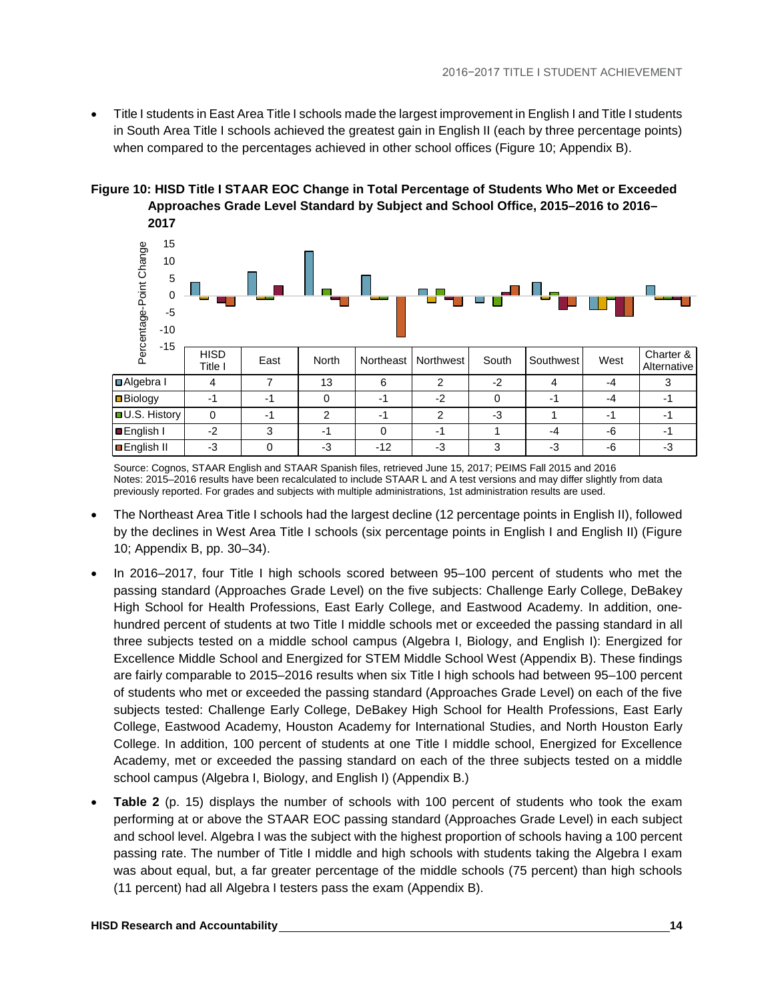• Title I students in East Area Title I schools made the largest improvement in English I and Title I students in South Area Title I schools achieved the greatest gain in English II (each by three percentage points) when compared to the percentages achieved in other school offices (Figure 10; Appendix B).

## **Figure 10: HISD Title I STAAR EOC Change in Total Percentage of Students Who Met or Exceeded Approaches Grade Level Standard by Subject and School Office, 2015–2016 to 2016–**



Source: Cognos, STAAR English and STAAR Spanish files, retrieved June 15, 2017; PEIMS Fall 2015 and 2016 Notes: 2015–2016 results have been recalculated to include STAAR L and A test versions and may differ slightly from data previously reported. For grades and subjects with multiple administrations, 1st administration results are used.

- The Northeast Area Title I schools had the largest decline (12 percentage points in English II), followed by the declines in West Area Title I schools (six percentage points in English I and English II) (Figure 10; Appendix B, pp. 30–34).
- In 2016–2017, four Title I high schools scored between 95–100 percent of students who met the passing standard (Approaches Grade Level) on the five subjects: Challenge Early College, DeBakey High School for Health Professions, East Early College, and Eastwood Academy. In addition, onehundred percent of students at two Title I middle schools met or exceeded the passing standard in all three subjects tested on a middle school campus (Algebra I, Biology, and English I): Energized for Excellence Middle School and Energized for STEM Middle School West (Appendix B). These findings are fairly comparable to 2015–2016 results when six Title I high schools had between 95–100 percent of students who met or exceeded the passing standard (Approaches Grade Level) on each of the five subjects tested: Challenge Early College, DeBakey High School for Health Professions, East Early College, Eastwood Academy, Houston Academy for International Studies, and North Houston Early College. In addition, 100 percent of students at one Title I middle school, Energized for Excellence Academy, met or exceeded the passing standard on each of the three subjects tested on a middle school campus (Algebra I, Biology, and English I) (Appendix B.)
- **Table 2** (p. 15) displays the number of schools with 100 percent of students who took the exam performing at or above the STAAR EOC passing standard (Approaches Grade Level) in each subject and school level. Algebra I was the subject with the highest proportion of schools having a 100 percent passing rate. The number of Title I middle and high schools with students taking the Algebra I exam was about equal, but, a far greater percentage of the middle schools (75 percent) than high schools (11 percent) had all Algebra I testers pass the exam (Appendix B).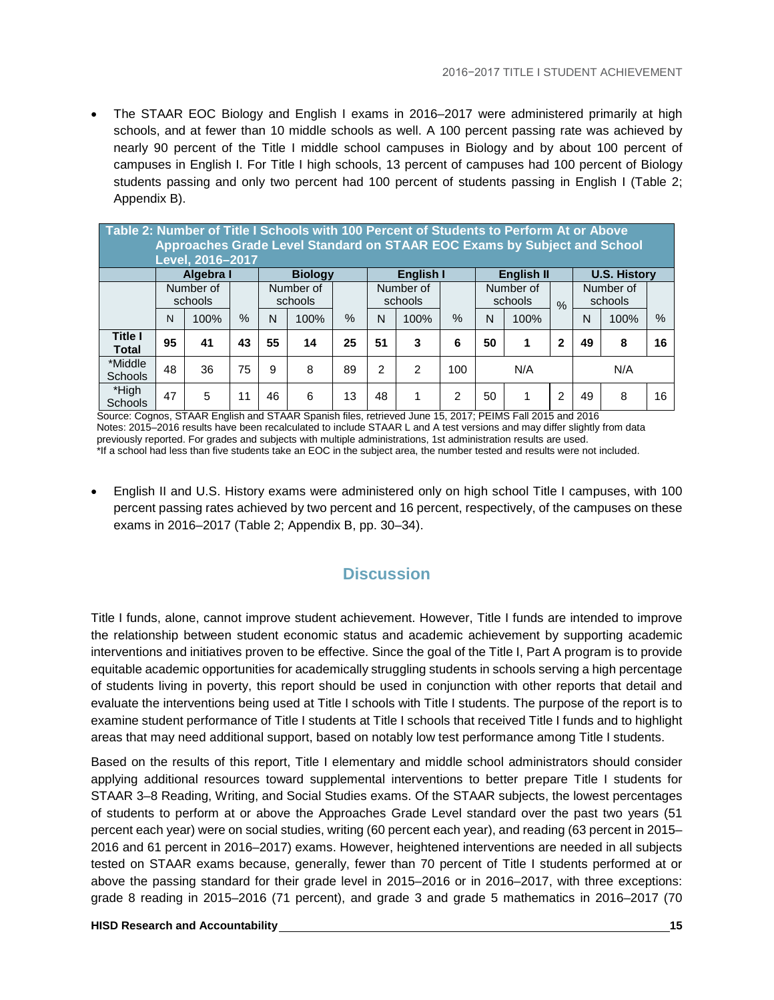• The STAAR EOC Biology and English I exams in 2016–2017 were administered primarily at high schools, and at fewer than 10 middle schools as well. A 100 percent passing rate was achieved by nearly 90 percent of the Title I middle school campuses in Biology and by about 100 percent of campuses in English I. For Title I high schools, 13 percent of campuses had 100 percent of Biology students passing and only two percent had 100 percent of students passing in English I (Table 2; Appendix B).

| Table 2: Number of Title I Schools with 100 Percent of Students to Perform At or Above |                                                                                             | Level, 2016-2017     |      |    | Approaches Grade Level Standard on STAAR EOC Exams by Subject and School |      |    |                      |      |    |                      |                |     |                      |      |
|----------------------------------------------------------------------------------------|---------------------------------------------------------------------------------------------|----------------------|------|----|--------------------------------------------------------------------------|------|----|----------------------|------|----|----------------------|----------------|-----|----------------------|------|
|                                                                                        | <b>U.S. History</b><br><b>English I</b><br><b>English II</b><br>Algebra I<br><b>Biology</b> |                      |      |    |                                                                          |      |    |                      |      |    |                      |                |     |                      |      |
|                                                                                        |                                                                                             | Number of<br>schools |      |    | Number of<br>schools                                                     |      |    | Number of<br>schools |      |    | Number of<br>schools | $\frac{0}{0}$  |     | Number of<br>schools |      |
|                                                                                        | N                                                                                           | 100%                 | $\%$ | N  | 100%                                                                     | $\%$ | N  | 100%                 | $\%$ | N  | 100%                 |                | N   | 100%                 | $\%$ |
| <b>Title I</b><br><b>Total</b>                                                         | 95                                                                                          | 41                   | 43   | 55 | 14                                                                       | 25   | 51 | 3                    | 6    | 50 | 1                    | 2              | 49  | 8                    | 16   |
| *Middle<br><b>Schools</b>                                                              | 48                                                                                          | 36                   | 75   | 9  | 8                                                                        | 89   | 2  | $\mathfrak{p}$       | 100  |    | N/A                  |                | N/A |                      |      |
| *High<br>Schools                                                                       | 47                                                                                          | 5                    | 11   | 46 | 6                                                                        | 13   | 48 |                      | 2    | 50 | 1                    | $\overline{2}$ | 49  | 8                    | 16   |

Source: Cognos, STAAR English and STAAR Spanish files, retrieved June 15, 2017; PEIMS Fall 2015 and 2016 Notes: 2015–2016 results have been recalculated to include STAAR L and A test versions and may differ slightly from data previously reported. For grades and subjects with multiple administrations, 1st administration results are used. \*If a school had less than five students take an EOC in the subject area, the number tested and results were not included.

• English II and U.S. History exams were administered only on high school Title I campuses, with 100 percent passing rates achieved by two percent and 16 percent, respectively, of the campuses on these exams in 2016–2017 (Table 2; Appendix B, pp. 30–34).

## **Discussion**

<span id="page-17-0"></span>Title I funds, alone, cannot improve student achievement. However, Title I funds are intended to improve the relationship between student economic status and academic achievement by supporting academic interventions and initiatives proven to be effective. Since the goal of the Title I, Part A program is to provide equitable academic opportunities for academically struggling students in schools serving a high percentage of students living in poverty, this report should be used in conjunction with other reports that detail and evaluate the interventions being used at Title I schools with Title I students. The purpose of the report is to examine student performance of Title I students at Title I schools that received Title I funds and to highlight areas that may need additional support, based on notably low test performance among Title I students.

Based on the results of this report, Title I elementary and middle school administrators should consider applying additional resources toward supplemental interventions to better prepare Title I students for STAAR 3–8 Reading, Writing, and Social Studies exams. Of the STAAR subjects, the lowest percentages of students to perform at or above the Approaches Grade Level standard over the past two years (51 percent each year) were on social studies, writing (60 percent each year), and reading (63 percent in 2015– 2016 and 61 percent in 2016–2017) exams. However, heightened interventions are needed in all subjects tested on STAAR exams because, generally, fewer than 70 percent of Title I students performed at or above the passing standard for their grade level in 2015–2016 or in 2016–2017, with three exceptions: grade 8 reading in 2015–2016 (71 percent), and grade 3 and grade 5 mathematics in 2016–2017 (70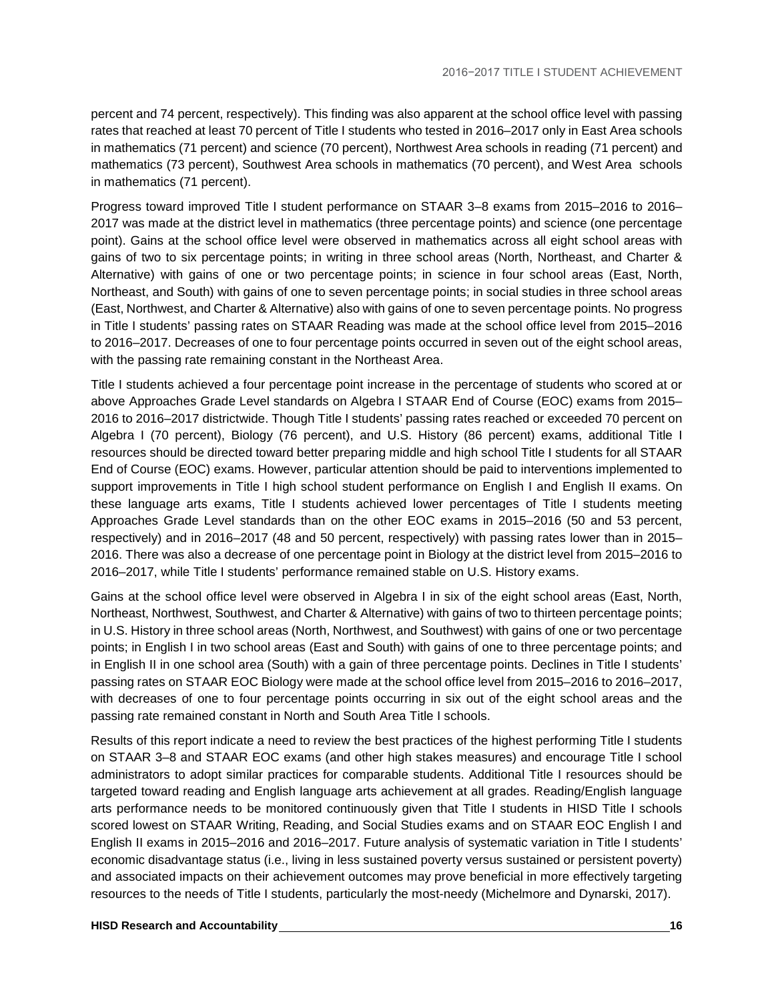percent and 74 percent, respectively). This finding was also apparent at the school office level with passing rates that reached at least 70 percent of Title I students who tested in 2016–2017 only in East Area schools in mathematics (71 percent) and science (70 percent), Northwest Area schools in reading (71 percent) and mathematics (73 percent), Southwest Area schools in mathematics (70 percent), and West Area schools in mathematics (71 percent).

Progress toward improved Title I student performance on STAAR 3–8 exams from 2015–2016 to 2016– 2017 was made at the district level in mathematics (three percentage points) and science (one percentage point). Gains at the school office level were observed in mathematics across all eight school areas with gains of two to six percentage points; in writing in three school areas (North, Northeast, and Charter & Alternative) with gains of one or two percentage points; in science in four school areas (East, North, Northeast, and South) with gains of one to seven percentage points; in social studies in three school areas (East, Northwest, and Charter & Alternative) also with gains of one to seven percentage points. No progress in Title I students' passing rates on STAAR Reading was made at the school office level from 2015–2016 to 2016–2017. Decreases of one to four percentage points occurred in seven out of the eight school areas, with the passing rate remaining constant in the Northeast Area.

Title I students achieved a four percentage point increase in the percentage of students who scored at or above Approaches Grade Level standards on Algebra I STAAR End of Course (EOC) exams from 2015– 2016 to 2016–2017 districtwide. Though Title I students' passing rates reached or exceeded 70 percent on Algebra I (70 percent), Biology (76 percent), and U.S. History (86 percent) exams, additional Title I resources should be directed toward better preparing middle and high school Title I students for all STAAR End of Course (EOC) exams. However, particular attention should be paid to interventions implemented to support improvements in Title I high school student performance on English I and English II exams. On these language arts exams, Title I students achieved lower percentages of Title I students meeting Approaches Grade Level standards than on the other EOC exams in 2015–2016 (50 and 53 percent, respectively) and in 2016–2017 (48 and 50 percent, respectively) with passing rates lower than in 2015– 2016. There was also a decrease of one percentage point in Biology at the district level from 2015–2016 to 2016–2017, while Title I students' performance remained stable on U.S. History exams.

Gains at the school office level were observed in Algebra I in six of the eight school areas (East, North, Northeast, Northwest, Southwest, and Charter & Alternative) with gains of two to thirteen percentage points; in U.S. History in three school areas (North, Northwest, and Southwest) with gains of one or two percentage points; in English I in two school areas (East and South) with gains of one to three percentage points; and in English II in one school area (South) with a gain of three percentage points. Declines in Title I students' passing rates on STAAR EOC Biology were made at the school office level from 2015–2016 to 2016–2017, with decreases of one to four percentage points occurring in six out of the eight school areas and the passing rate remained constant in North and South Area Title I schools.

Results of this report indicate a need to review the best practices of the highest performing Title I students on STAAR 3–8 and STAAR EOC exams (and other high stakes measures) and encourage Title I school administrators to adopt similar practices for comparable students. Additional Title I resources should be targeted toward reading and English language arts achievement at all grades. Reading/English language arts performance needs to be monitored continuously given that Title I students in HISD Title I schools scored lowest on STAAR Writing, Reading, and Social Studies exams and on STAAR EOC English I and English II exams in 2015–2016 and 2016–2017. Future analysis of systematic variation in Title I students' economic disadvantage status (i.e., living in less sustained poverty versus sustained or persistent poverty) and associated impacts on their achievement outcomes may prove beneficial in more effectively targeting resources to the needs of Title I students, particularly the most-needy (Michelmore and Dynarski, 2017).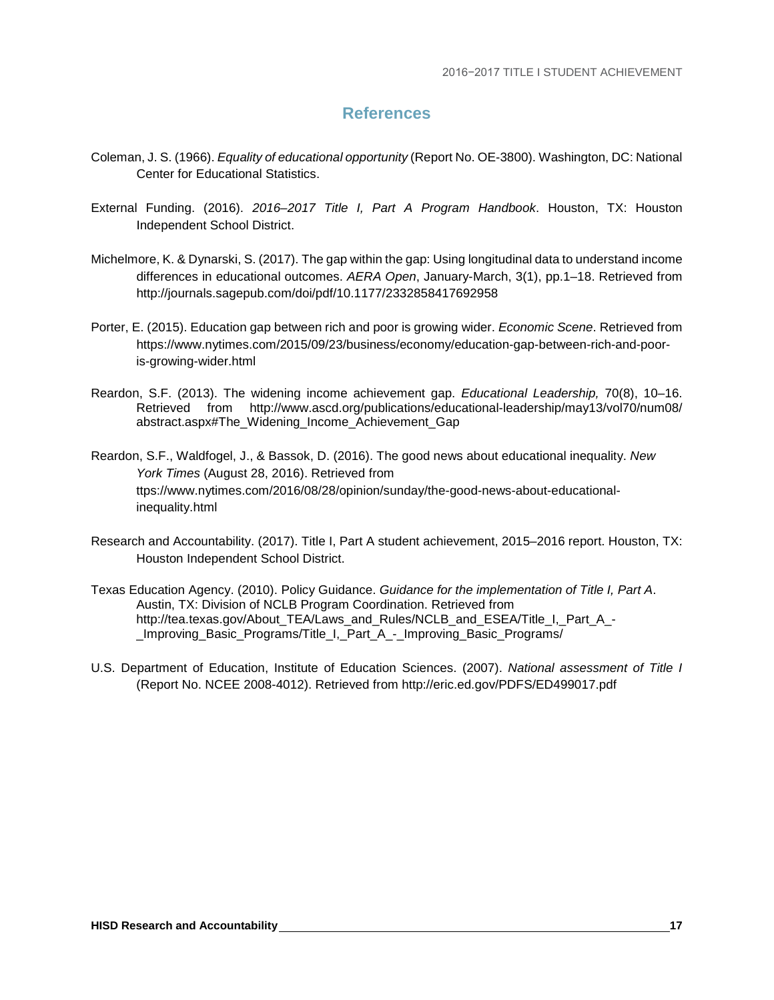## **References**

- <span id="page-19-0"></span>Coleman, J. S. (1966). *Equality of educational opportunity* (Report No. OE-3800). Washington, DC: National Center for Educational Statistics.
- External Funding. (2016). *2016–2017 Title I, Part A Program Handbook*. Houston, TX: Houston Independent School District.
- Michelmore, K. & Dynarski, S. (2017). The gap within the gap: Using longitudinal data to understand income differences in educational outcomes. *AERA Open*, January-March, 3(1), pp.1–18. Retrieved from http://journals.sagepub.com/doi/pdf/10.1177/2332858417692958
- Porter, E. (2015). Education gap between rich and poor is growing wider. *Economic Scene*. Retrieved from https://www.nytimes.com/2015/09/23/business/economy/education-gap-between-rich-and-pooris-growing-wider.html
- Reardon, S.F. (2013). The widening income achievement gap. *Educational Leadership,* 70(8), 10–16. Retrieved from http://www.ascd.org/publications/educational-leadership/may13/vol70/num08/ abstract.aspx#The\_Widening\_Income\_Achievement\_Gap
- Reardon, S.F., Waldfogel, J., & Bassok, D. (2016). The good news about educational inequality. *New York Times* (August 28, 2016). Retrieved from ttps://www.nytimes.com/2016/08/28/opinion/sunday/the-good-news-about-educationalinequality.html
- Research and Accountability. (2017). Title I, Part A student achievement, 2015–2016 report. Houston, TX: Houston Independent School District.
- Texas Education Agency. (2010). Policy Guidance. *Guidance for the implementation of Title I, Part A*. Austin, TX: Division of NCLB Program Coordination. Retrieved from http://tea.texas.gov/About\_TEA/Laws\_and\_Rules/NCLB\_and\_ESEA/Title\_I,\_Part\_A\_-Improving Basic Programs/Title I, Part A - Improving Basic Programs/
- U.S. Department of Education, Institute of Education Sciences. (2007). *National assessment of Title I*  (Report No. NCEE 2008-4012). Retrieved from http://eric.ed.gov/PDFS/ED499017.pdf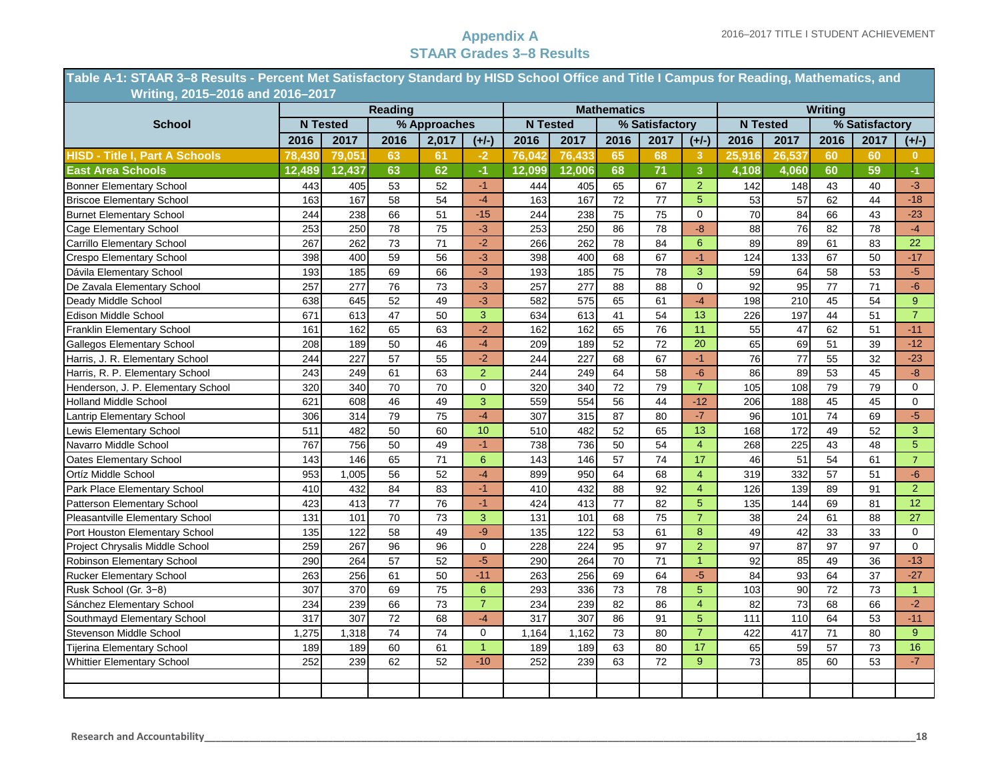**Table A-1: STAAR 3–8 Results - Percent Met Satisfactory Standard by HISD School Office and Title I Campus for Reading, Mathematics, and ………...….Writing, 2015–2016 and 2016–2017**

|                                       |        |                 | <b>Reading</b>  |                 |                |        |                  | <b>Mathematics</b> |                 |                |                 |                 | <b>Writing</b>  |                |                 |
|---------------------------------------|--------|-----------------|-----------------|-----------------|----------------|--------|------------------|--------------------|-----------------|----------------|-----------------|-----------------|-----------------|----------------|-----------------|
| <b>School</b>                         |        | <b>N</b> Tested |                 | % Approaches    |                |        | <b>N</b> Tested  |                    | % Satisfactory  |                |                 | <b>N</b> Tested |                 | % Satisfactory |                 |
|                                       | 2016   | 2017            | 2016            | 2,017           | $(+/-)$        | 2016   | 2017             | 2016               | 2017            | $(+/-)$        | 2016            | 2017            | 2016            | 2017           | $(+/-)$         |
| <b>HISD - Title I, Part A Schools</b> | 78.430 | 79,051          | 63              | 61              | $-2$           | 76,042 | 76,433           | 65                 | 68              | 3              | 25,916          | 26,537          | 60              | 60             | $\mathbf{0}$    |
| <b>East Area Schools</b>              | 12,489 | 12,437          | 63              | 62              | $-1$           | 12,099 | 12,006           | 68                 | 71              | $\overline{3}$ | 4,108           | 4,060           | 60              | 59             | $-1$            |
| <b>Bonner Elementary School</b>       | 443    | 405             | 53              | 52              | $-1$           | 444    | 405              | 65                 | 67              | $\overline{2}$ | 142             | 148             | 43              | 40             | $-3$            |
| <b>Briscoe Elementary School</b>      | 163    | 167             | 58              | 54              | $-4$           | 163    | 167              | 72                 | 77              | 5              | 53              | 57              | 62              | 44             | $-18$           |
| <b>Burnet Elementary School</b>       | 244    | 238             | 66              | 51              | $-15$          | 244    | 238              | 75                 | 75              | 0              | 70              | 84              | 66              | 43             | $-23$           |
| Cage Elementary School                | 253    | 250             | 78              | 75              | $-3$           | 253    | 250              | 86                 | 78              | $-8$           | 88              | 76              | 82              | 78             | $-4$            |
| Carrillo Elementary School            | 267    | 262             | 73              | 71              | $-2$           | 266    | 262              | 78                 | 84              | 6              | 89              | 89              | 61              | 83             | 22              |
| <b>Crespo Elementary School</b>       | 398    | 400             | 59              | 56              | $-3$           | 398    | 400              | 68                 | 67              | $-1$           | 124             | 133             | 67              | 50             | $-17$           |
| Dávila Elementary School              | 193    | 185             | 69              | 66              | $-3$           | 193    | 185              | 75                 | 78              | 3              | 59              | 64              | 58              | 53             | $-5$            |
| De Zavala Elementary School           | 257    | 277             | 76              | 73              | $-3$           | 257    | 277              | 88                 | 88              | $\Omega$       | 92              | 95              | 77              | 71             | $-6$            |
| Deady Middle School                   | 638    | 645             | 52              | 49              | $-3$           | 582    | 575              | 65                 | 61              | $-4$           | 198             | 210             | 45              | 54             | 9 <sup>°</sup>  |
| Edison Middle School                  | 671    | 613             | 47              | 50              | 3              | 634    | 613              | 41                 | 54              | 13             | 226             | 197             | 44              | 51             | $\overline{7}$  |
| Franklin Elementary School            | 161    | 162             | 65              | 63              | $-2$           | 162    | 162              | 65                 | 76              | 11             | 55              | 47              | 62              | 51             | $-11$           |
| <b>Gallegos Elementary School</b>     | 208    | 189             | 50              | 46              | $-4$           | 209    | 189              | 52                 | 72              | 20             | 65              | 69              | 51              | 39             | $-12$           |
| Harris, J. R. Elementary School       | 244    | 227             | 57              | 55              | $-2$           | 244    | 227              | 68                 | 67              | $-1$           | 76              | $\overline{77}$ | 55              | 32             | $-23$           |
| Harris, R. P. Elementary School       | 243    | 249             | 61              | 63              | $\overline{2}$ | 244    | 249              | 64                 | 58              | $-6$           | 86              | 89              | 53              | 45             | $-8-$           |
| Henderson, J. P. Elementary School    | 320    | 340             | 70              | 70              | $\mathbf 0$    | 320    | 340              | $\overline{72}$    | 79              | $\overline{7}$ | 105             | 108             | 79              | 79             | $\mathbf 0$     |
| Holland Middle School                 | 621    | 608             | 46              | 49              | 3              | 559    | 554              | $\overline{56}$    | 44              | $-12$          | 206             | 188             | 45              | 45             | $\mathbf 0$     |
| Lantrip Elementary School             | 306    | 314             | 79              | 75              | $-4$           | 307    | 315              | 87                 | 80              | $-7$           | 96              | 101             | 74              | 69             | $-5$            |
| Lewis Elementary School               | 511    | 482             | 50              | 60              | 10             | 510    | 482              | 52                 | 65              | 13             | 168             | 172             | 49              | 52             | 3               |
| Navarro Middle School                 | 767    | 756             | 50              | 49              | $-1$           | 738    | 736              | 50                 | 54              | $\overline{4}$ | 268             | 225             | 43              | 48             | 5 <sup>5</sup>  |
| Oates Elementary School               | 143    | 146             | 65              | 71              | 6              | 143    | 146              | 57                 | 74              | 17             | 46              | 51              | 54              | 61             | $\overline{7}$  |
| Ortíz Middle School                   | 953    | 1,005           | 56              | 52              | $-4$           | 899    | 950              | 64                 | 68              | $\overline{4}$ | 319             | 332             | 57              | 51             | $-6$            |
| Park Place Elementary School          | 410    | 432             | 84              | 83              | $-1$           | 410    | 432              | 88                 | 92              | $\overline{4}$ | 126             | 139             | 89              | 91             | $\overline{2}$  |
| Patterson Elementary School           | 423    | 413             | 77              | 76              | $-1$           | 424    | 413              | 77                 | 82              | 5              | 135             | 144             | 69              | 81             | 12 <sup>°</sup> |
| Pleasantville Elementary School       | 131    | 101             | 70              | 73              | 3              | 131    | 101              | 68                 | 75              | $\overline{7}$ | 38              | 24              | 61              | 88             | 27              |
| Port Houston Elementary School        | 135    | 122             | 58              | 49              | $-9$           | 135    | 122              | 53                 | 61              | 8              | 49              | 42              | 33              | 33             | $\Omega$        |
| Project Chrysalis Middle School       | 259    | 267             | $\overline{96}$ | 96              | $\mathbf 0$    | 228    | $\overline{224}$ | $\overline{95}$    | $\overline{97}$ | $\overline{2}$ | $\overline{97}$ | 87              | $\overline{97}$ | 97             | $\overline{0}$  |
| Robinson Elementary School            | 290    | 264             | 57              | 52              | $-5$           | 290    | 264              | 70                 | 71              | $\overline{1}$ | 92              | 85              | 49              | 36             | $-13$           |
| <b>Rucker Elementary School</b>       | 263    | 256             | 61              | 50              | $-11$          | 263    | 256              | 69                 | 64              | $-5$           | 84              | 93              | 64              | 37             | $-27$           |
| Rusk School (Gr. 3-8)                 | 307    | 370             | 69              | 75              | 6              | 293    | 336              | 73                 | 78              | 5              | 103             | 90              | 72              | 73             | $\mathbf{1}$    |
| Sánchez Elementary School             | 234    | 239             | 66              | 73              | $\overline{7}$ | 234    | 239              | 82                 | 86              | $\overline{4}$ | 82              | 73              | 68              | 66             | $-2$            |
| Southmayd Elementary School           | 317    | 307             | 72              | 68              | $-4$           | 317    | 307              | 86                 | 91              | 5              | 111             | 110             | 64              | 53             | $-11$           |
| Stevenson Middle School               | 1,275  | 1,318           | 74              | $\overline{74}$ | $\mathbf 0$    | 1,164  | 1,162            | 73                 | 80              | $\overline{7}$ | 422             | 417             | 71              | 80             | 9 <sup>°</sup>  |
| <b>Tijerina Elementary School</b>     | 189    | 189             | 60              | 61              | $\mathbf{1}$   | 189    | 189              | 63                 | 80              | 17             | 65              | 59              | 57              | 73             | 16              |
| <b>Whittier Elementary School</b>     | 252    | 239             | 62              | 52              | $-10$          | 252    | 239              | 63                 | 72              | 9              | 73              | 85              | 60              | 53             | $-7$            |
|                                       |        |                 |                 |                 |                |        |                  |                    |                 |                |                 |                 |                 |                |                 |
|                                       |        |                 |                 |                 |                |        |                  |                    |                 |                |                 |                 |                 |                |                 |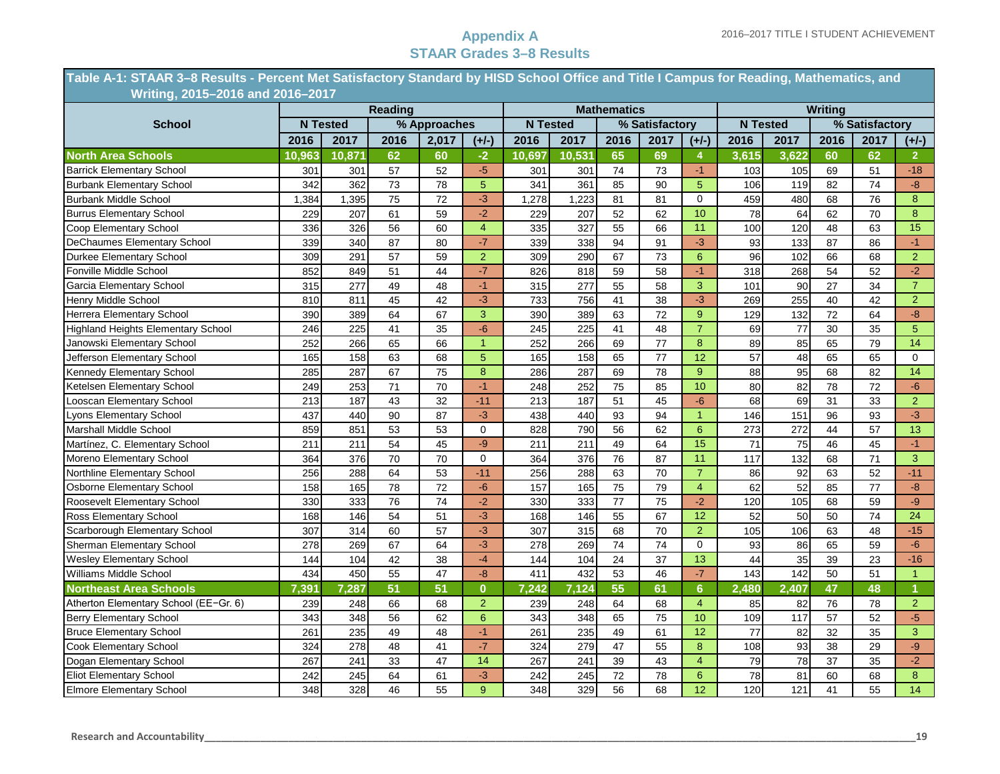**Table A-1: STAAR 3–8 Results - Percent Met Satisfactory Standard by HISD School Office and Title I Campus for Reading, Mathematics, and ………...….Writing, 2015–2016 and 2016–2017**

|                                           |        |                 | <b>Reading</b> |                 |                |        |                 | <b>Mathematics</b> |                 |                 |       |                 | <b>Writing</b>  |                 |                 |
|-------------------------------------------|--------|-----------------|----------------|-----------------|----------------|--------|-----------------|--------------------|-----------------|-----------------|-------|-----------------|-----------------|-----------------|-----------------|
| <b>School</b>                             |        | <b>N</b> Tested |                | % Approaches    |                |        | <b>N</b> Tested |                    | % Satisfactory  |                 |       | <b>N</b> Tested |                 | % Satisfactory  |                 |
|                                           | 2016   | 2017            | 2016           | 2,017           | $(+/-)$        | 2016   | 2017            | 2016               | 2017            | $(+/-)$         | 2016  | 2017            | 2016            | 2017            | $(+/-)$         |
| <b>North Area Schools</b>                 | 10,963 | 10,871          | 62             | 60              | $-2$           | 10,697 | 10,531          | 65                 | 69              | 4               | 3,615 | 3,622           | 60              | 62              | 2 <sup>7</sup>  |
| <b>Barrick Elementary School</b>          | 301    | 301             | 57             | 52              | $-5$           | 301    | 301             | 74                 | 73              | $-1$            | 103   | 105             | 69              | 51              | $-18$           |
| <b>Burbank Elementary School</b>          | 342    | 362             | 73             | 78              | $\overline{5}$ | 341    | 361             | 85                 | 90              | $\overline{5}$  | 106   | 119             | 82              | 74              | $-8-$           |
| <b>Burbank Middle School</b>              | 1,384  | 1,395           | 75             | 72              | $-3$           | 1,278  | 1,223           | 81                 | 81              | $\mathbf 0$     | 459   | 480             | 68              | 76              | 8               |
| <b>Burrus Elementary School</b>           | 229    | 207             | 61             | 59              | $\overline{2}$ | 229    | 207             | 52                 | 62              | 10              | 78    | 64              | 62              | 70              | 8               |
| Coop Elementary School                    | 336    | 326             | 56             | 60              | $\overline{4}$ | 335    | 327             | 55                 | 66              | 11              | 100   | 120             | 48              | 63              | 15              |
| <b>DeChaumes Elementary School</b>        | 339    | 340             | 87             | 80              | $-7$           | 339    | 338             | 94                 | 91              | $-3$            | 93    | 133             | 87              | 86              | $-1$            |
| Durkee Elementary School                  | 309    | 291             | 57             | 59              | $\overline{2}$ | 309    | 290             | 67                 | 73              | $6\overline{6}$ | 96    | 102             | 66              | 68              | $\overline{2}$  |
| Fonville Middle School                    | 852    | 849             | 51             | 44              | $-7$           | 826    | 818             | 59                 | 58              | $-1$            | 318   | 268             | 54              | 52              | $-2$            |
| Garcia Elementary School                  | 315    | 277             | 49             | 48              | $-1$           | 315    | 277             | 55                 | 58              | 3               | 101   | 90              | 27              | 34              | $\overline{7}$  |
| Henry Middle School                       | 810    | 811             | 45             | 42              | $-3$           | 733    | 756             | 41                 | 38              | $-3$            | 269   | 255             | 40              | 42              | 2 <sup>1</sup>  |
| Herrera Elementary School                 | 390    | 389             | 64             | 67              | 3              | 390    | 389             | 63                 | 72              | 9               | 129   | 132             | $\overline{72}$ | 64              | $-8$            |
| <b>Highland Heights Elementary School</b> | 246    | 225             | 41             | 35              | $-6$           | 245    | 225             | 41                 | 48              | $\overline{7}$  | 69    | 77              | 30              | 35              | 5               |
| Janowski Elementary School                | 252    | 266             | 65             | 66              | $\overline{1}$ | 252    | 266             | 69                 | 77              | 8               | 89    | 85              | 65              | 79              | $\overline{14}$ |
| Jefferson Elementary School               | 165    | 158             | 63             | 68              | $\overline{5}$ | 165    | 158             | 65                 | 77              | 12              | 57    | 48              | 65              | 65              | $\mathbf 0$     |
| Kennedy Elementary School                 | 285    | 287             | 67             | 75              | 8              | 286    | 287             | 69                 | 78              | 9               | 88    | 95              | 68              | 82              | 14              |
| Ketelsen Elementary School                | 249    | 253             | 71             | 70              | $-1$           | 248    | 252             | 75                 | 85              | 10              | 80    | 82              | 78              | 72              | $-6$            |
| Looscan Elementary School                 | 213    | 187             | 43             | 32              | $-11$          | 213    | 187             | $\overline{51}$    | 45              | $-6$            | 68    | 69              | 31              | 33              | $\overline{2}$  |
| Lyons Elementary School                   | 437    | 440             | 90             | 87              | $-3$           | 438    | 440             | 93                 | 94              | $\overline{1}$  | 146   | 151             | 96              | 93              | $-3$            |
| <b>Marshall Middle School</b>             | 859    | 851             | 53             | 53              | $\Omega$       | 828    | 790             | 56                 | 62              | $6\overline{6}$ | 273   | 272             | 44              | 57              | 13              |
| Martínez, C. Elementary School            | 211    | 211             | 54             | 45              | $-9$           | 211    | 211             | 49                 | 64              | 15              | 71    | 75              | 46              | 45              | $-1$            |
| Moreno Elementary School                  | 364    | 376             | 70             | 70              | $\mathbf 0$    | 364    | 376             | $\overline{76}$    | 87              | 11              | 117   | 132             | 68              | 71              | $\overline{3}$  |
| Northline Elementary School               | 256    | 288             | 64             | $\overline{53}$ | $-11$          | 256    | 288             | 63                 | $\overline{70}$ | $\overline{7}$  | 86    | 92              | 63              | $\overline{52}$ | $-11$           |
| Osborne Elementary School                 | 158    | 165             | 78             | 72              | $-6$           | 157    | 165             | 75                 | 79              | $\overline{4}$  | 62    | 52              | 85              | 77              | $-8$            |
| Roosevelt Elementary School               | 330    | 333             | 76             | $\overline{74}$ | $-2$           | 330    | 333             | $\overline{77}$    | 75              | $-2$            | 120   | 105             | 68              | 59              | $-9$            |
| Ross Elementary School                    | 168    | 146             | 54             | 51              | $-3$           | 168    | 146             | 55                 | 67              | 12              | 52    | 50              | 50              | 74              | 24              |
| Scarborough Elementary School             | 307    | 314             | 60             | $\overline{57}$ | $-3$           | 307    | 315             | 68                 | $\overline{70}$ | $\overline{2}$  | 105   | 106             | 63              | 48              | $-15$           |
| Sherman Elementary School                 | 278    | 269             | 67             | 64              | $-3$           | 278    | 269             | $\overline{74}$    | 74              | $\mathbf 0$     | 93    | 86              | 65              | 59              | $-6$            |
| <b>Wesley Elementary School</b>           | 144    | 104             | 42             | 38              | $-4$           | 144    | 104             | 24                 | 37              | 13              | 44    | 35              | 39              | 23              | $-16$           |
| Williams Middle School                    | 434    | 450             | 55             | 47              | $-8$           | 411    | 432             | 53                 | 46              | $-7$            | 143   | 142             | 50              | 51              | $\overline{1}$  |
| <b>Northeast Area Schools</b>             | 7,391  | 7,287           | 51             | 51              | $\bf{0}$       | 7,242  | 7,124           | 55                 | 61              | $6\phantom{a}$  | 2,480 | 2,407           | 47              | 48              | $\bf{Q}$        |
| Atherton Elementary School (EE-Gr. 6)     | 239    | 248             | 66             | 68              | $\overline{2}$ | 239    | 248             | 64                 | 68              | $\overline{4}$  | 85    | 82              | 76              | 78              | $\overline{2}$  |
| <b>Berry Elementary School</b>            | 343    | 348             | 56             | 62              | 6              | 343    | 348             | 65                 | 75              | 10              | 109   | 117             | $\overline{57}$ | 52              | $-5$            |
| <b>Bruce Elementary School</b>            | 261    | 235             | 49             | 48              | $-1$           | 261    | 235             | 49                 | 61              | 12              | 77    | 82              | 32              | 35              | 3               |
| <b>Cook Elementary School</b>             | 324    | 278             | 48             | 41              | $-7$           | 324    | 279             | 47                 | 55              | 8               | 108   | 93              | 38              | 29              | $-9$            |
| Dogan Elementary School                   | 267    | 241             | 33             | 47              | 14             | 267    | 241             | 39                 | 43              | $\overline{4}$  | 79    | 78              | 37              | 35              | $-2$            |
| <b>Eliot Elementary School</b>            | 242    | 245             | 64             | 61              | $-3$           | 242    | 245             | 72                 | 78              | $6\phantom{1}$  | 78    | 81              | 60              | 68              | $\bf{8}$        |
| <b>Elmore Elementary School</b>           | 348    | 328             | 46             | 55              | 9              | 348    | 329             | 56                 | 68              | 12              | 120   | 121             | 41              | 55              | 14              |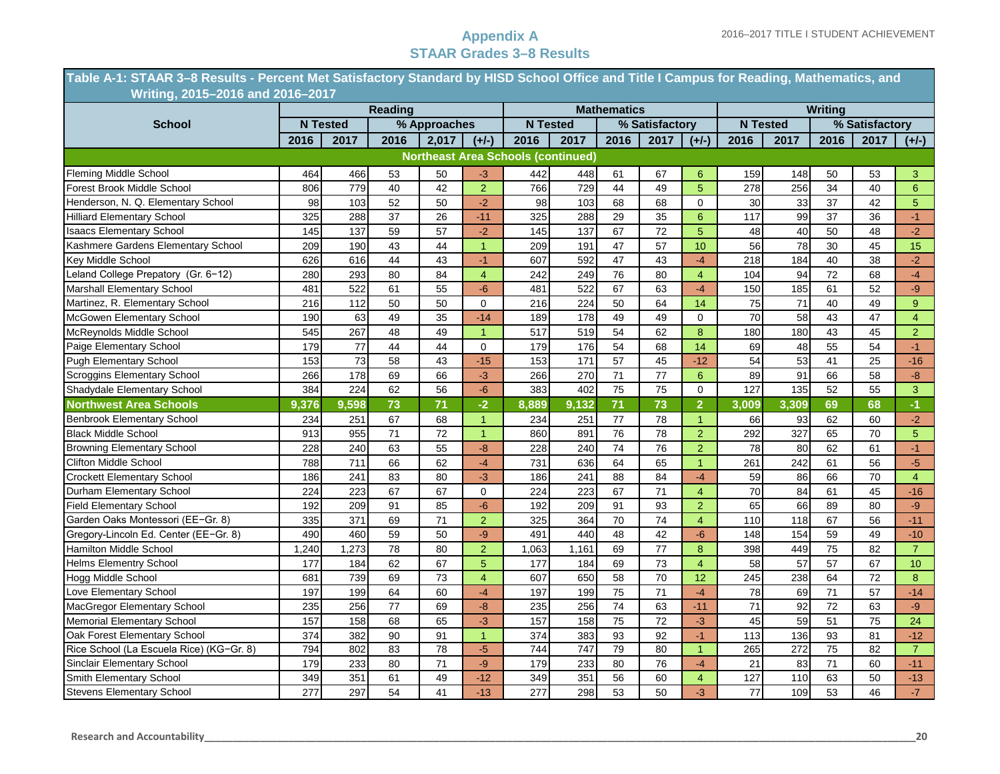÷

#### **Appendix A STAAR Grades 3–8 Results**

|                                          |                  |                 | <b>Reading</b> |                 |                |                                           |       | <b>Mathematics</b> |                 |                  |                 |                  | Writing         |                |                 |
|------------------------------------------|------------------|-----------------|----------------|-----------------|----------------|-------------------------------------------|-------|--------------------|-----------------|------------------|-----------------|------------------|-----------------|----------------|-----------------|
| <b>School</b>                            |                  | <b>N</b> Tested |                | % Approaches    |                | <b>N</b> Tested                           |       |                    | % Satisfactory  |                  |                 | <b>N</b> Tested  |                 | % Satisfactory |                 |
|                                          | 2016             | 2017            | 2016           | 2,017           | $(+/-)$        | 2016                                      | 2017  | 2016               | 2017            | $(+/-)$          | 2016            | 2017             | 2016            | 2017           | $(+/-)$         |
|                                          |                  |                 |                |                 |                | <b>Northeast Area Schools (continued)</b> |       |                    |                 |                  |                 |                  |                 |                |                 |
| Fleming Middle School                    | 464              | 466             | 53             | 50              | $-3$           | 442                                       | 448   | 61                 | 67              | 6                | 159             | 148              | 50              | 53             | 3               |
| Forest Brook Middle School               | 806              | 779             | 40             | 42              | $\overline{2}$ | 766                                       | 729   | 44                 | 49              | 5                | 278             | 256              | 34              | 40             | $6\overline{6}$ |
| Henderson, N. Q. Elementary School       | 98               | 103             | 52             | 50              | $-2$           | 98                                        | 103   | 68                 | 68              | 0                | 30              | 33               | 37              | 42             | $\overline{5}$  |
| <b>Hilliard Elementary School</b>        | 325              | 288             | 37             | 26              | $-11$          | 325                                       | 288   | 29                 | 35              | $6\overline{6}$  | 117             | 99               | 37              | 36             | $-1$            |
| <b>Isaacs Elementary School</b>          | 145              | 137             | 59             | 57              | $-2$           | 145                                       | 137   | 67                 | 72              | 5                | 48              | 40               | 50              | 48             | $-2$            |
| Kashmere Gardens Elementary School       | 209              | 190             | 43             | 44              | $\overline{1}$ | 209                                       | 191   | 47                 | 57              | 10 <sup>1</sup>  | 56              | 78               | 30              | 45             | 15              |
| Key Middle School                        | 626              | 616             | 44             | 43              | $-1$           | 607                                       | 592   | 47                 | 43              | $-4$             | 218             | 184              | 40              | 38             | $-2$            |
| Leland College Prepatory (Gr. 6-12)      | 280              | 293             | 80             | 84              | $\overline{4}$ | 242                                       | 249   | 76                 | 80              | $\overline{4}$   | 104             | 94               | $\overline{72}$ | 68             | $-4$            |
| Marshall Elementary School               | 481              | 522             | 61             | 55              | $-6$           | 481                                       | 522   | 67                 | 63              | $-4$             | 150             | 185              | 61              | 52             | $-9$            |
| Martinez, R. Elementary School           | 216              | 112             | 50             | 50              | $\mathbf 0$    | 216                                       | 224   | 50                 | 64              | 14               | 75              | 71               | 40              | 49             | 9               |
| McGowen Elementary School                | 190              | 63              | 49             | 35              | $-14$          | 189                                       | 178   | 49                 | 49              | $\mathbf 0$      | 70              | 58               | 43              | 47             | $\overline{4}$  |
| McReynolds Middle School                 | 545              | 267             | 48             | 49              | $\overline{1}$ | 517                                       | 519   | $\overline{54}$    | 62              | 8                | 180             | 180              | 43              | 45             | $\overline{2}$  |
| Paige Elementary School                  | 179              | 77              | 44             | 44              | $\mathbf 0$    | 179                                       | 176   | 54                 | 68              | 14               | 69              | 48               | 55              | 54             | $-1$            |
| <b>Pugh Elementary School</b>            | 153              | 73              | 58             | 43              | $-15$          | 153                                       | 171   | 57                 | 45              | $-12$            | 54              | 53               | 41              | 25             | $-16$           |
| Scroggins Elementary School              | 266              | 178             | 69             | 66              | $-3$           | 266                                       | 270   | 71                 | $\overline{77}$ | $\boldsymbol{6}$ | 89              | 91               | 66              | 58             | $-8-$           |
| Shadydale Elementary School              | 384              | 224             | 62             | 56              | $-6$           | 383                                       | 402   | 75                 | 75              | 0                | 127             | 135              | 52              | 55             | $\overline{3}$  |
| <b>Northwest Area Schools</b>            | 9.376            | 9.598           | 73             | 71              | $-2$           | 8.889                                     | 9,132 | 71                 | 73              | $\overline{2}$   | 3.009           | 3.309            | 69              | 68             | $-1$            |
| <b>Benbrook Elementary School</b>        | 234              | 251             | 67             | 68              | $\overline{1}$ | 234                                       | 251   | 77                 | 78              | $\mathbf{1}$     | 66              | 93               | 62              | 60             | $-2$            |
| <b>Black Middle School</b>               | 913              | 955             | 71             | 72              | $\overline{1}$ | 860                                       | 891   | 76                 | 78              | $\overline{2}$   | 292             | 327              | 65              | 70             | $\overline{5}$  |
| <b>Browning Elementary School</b>        | 228              | 240             | 63             | 55              | $-8$           | 228                                       | 240   | 74                 | 76              | $\overline{2}$   | $\overline{78}$ | 80               | 62              | 61             | $-1$            |
| <b>Clifton Middle School</b>             | 788              | 711             | 66             | 62              | $-4$           | 731                                       | 636   | 64                 | 65              | $\overline{1}$   | 261             | 242              | 61              | 56             | $-5$            |
| <b>Crockett Elementary School</b>        | 186              | 241             | 83             | 80              | $-3$           | 186                                       | 241   | 88                 | 84              | $-4$             | 59              | 86               | 66              | 70             | $\overline{4}$  |
| Durham Elementary School                 | 224              | 223             | 67             | 67              | 0              | 224                                       | 223   | 67                 | 71              | $\overline{4}$   | $\overline{70}$ | 84               | 61              | 45             | $-16$           |
| <b>Field Elementary School</b>           | 192              | 209             | 91             | 85              | $-6$           | 192                                       | 209   | 91                 | 93              | $\overline{2}$   | 65              | 66               | 89              | 80             | $-9$            |
| Garden Oaks Montessori (EE-Gr. 8)        | 335              | 371             | 69             | 71              | $\overline{2}$ | 325                                       | 364   | 70                 | $\overline{74}$ | $\overline{4}$   | 110             | 118              | 67              | 56             | $-11$           |
| Gregory-Lincoln Ed. Center (EE-Gr. 8)    | 490              | 460             | 59             | 50              | -9             | 491                                       | 440   | 48                 | 42              | $-6$             | 148             | 154              | 59              | 49             | $-10$           |
| Hamilton Middle School                   | 1,240            | 1,273           | 78             | 80              | $\overline{2}$ | 1,063                                     | 1,161 | 69                 | 77              | 8                | 398             | 449              | 75              | 82             | $\overline{7}$  |
| <b>Helms Elementry School</b>            | 177              | 184             | 62             | 67              | $\overline{5}$ | 177                                       | 184   | 69                 | 73              | $\overline{4}$   | 58              | 57               | 57              | 67             | 10              |
| Hogg Middle School                       | 681              | 739             | 69             | 73              | $\overline{4}$ | 607                                       | 650   | 58                 | 70              | 12               | 245             | 238              | 64              | 72             | $\bf{8}$        |
| Love Elementary School                   | 197              | 199             | 64             | 60              | $-4$           | 197                                       | 199   | 75                 | 71              | $-4$             | 78              | 69               | $\overline{71}$ | 57             | $-14$           |
| MacGregor Elementary School              | 235              | 256             | 77             | 69              | $-8$           | 235                                       | 256   | 74                 | 63              | $-11$            | 71              | 92               | 72              | 63             | $-9$            |
| Memorial Elementary School               | 157              | 158             | 68             | 65              | $-3$           | 157                                       | 158   | 75                 | 72              | $-3$             | 45              | 59               | 51              | 75             | 24              |
| Oak Forest Elementary School             | $\overline{374}$ | 382             | 90             | 91              | $\mathbf{1}$   | 374                                       | 383   | 93                 | 92              | $-1$             | 113             | 136              | 93              | 81             | $-12$           |
| Rice School (La Escuela Rice) (KG-Gr. 8) | 794              | 802             | 83             | $\overline{78}$ | $-5$           | 744                                       | 747   | 79                 | 80              | $\overline{1}$   | 265             | $\overline{272}$ | $\overline{75}$ | 82             | $\overline{7}$  |
| Sinclair Elementary School               | 179              | 233             | 80             | 71              | $-9$           | 179                                       | 233   | 80                 | 76              | $-4$             | 21              | 83               | $71$            | 60             | $-11$           |
| Smith Elementary School                  | 349              | 351             | 61             | 49              | $-12$          | 349                                       | 351   | 56                 | 60              | $\overline{4}$   | 127             | 110              | 63              | 50             | $-13$           |
| <b>Stevens Elementary School</b>         | 277              | 297             | 54             | 41              | $-13$          | 277                                       | 298   | 53                 | 50              | $-3$             | 77              | 109              | 53              | 46             | $-7$            |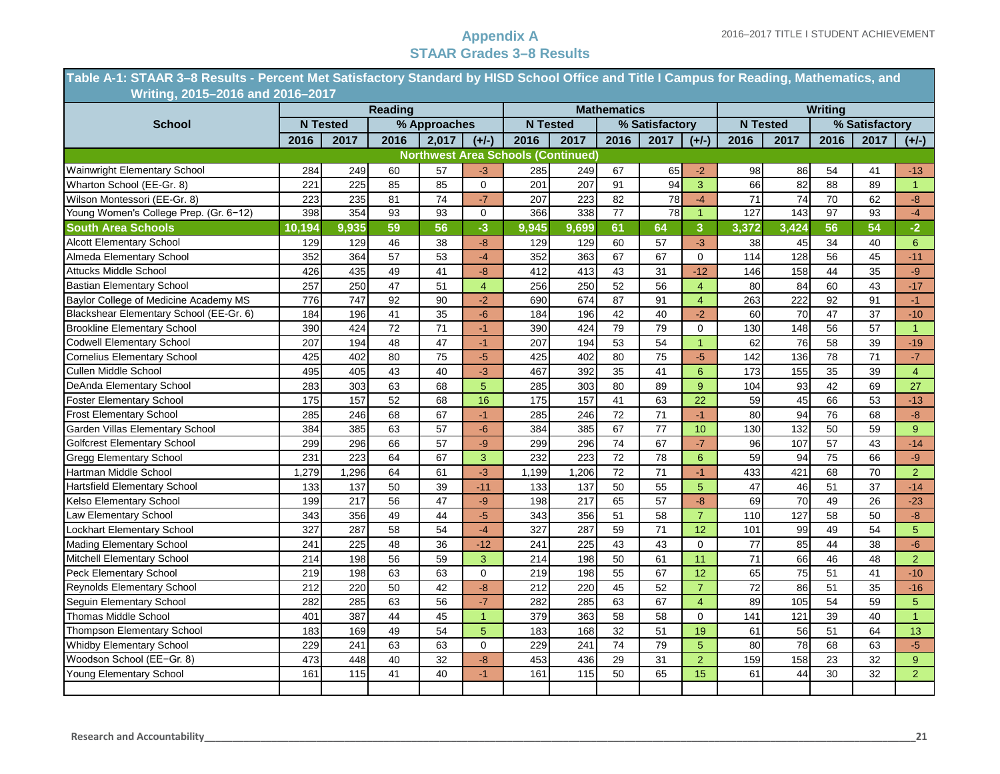**Table A-1: STAAR 3–8 Results - Percent Met Satisfactory Standard by HISD School Office and Title I Campus for Reading, Mathematics, and ………...….Writing, 2015–2016 and 2016–2017**

|                                         |        |                 | <b>Reading</b>  |                 |                |                                           |                 | <b>Mathematics</b> |                 |                 |                 |                 | Writing         |                |                |
|-----------------------------------------|--------|-----------------|-----------------|-----------------|----------------|-------------------------------------------|-----------------|--------------------|-----------------|-----------------|-----------------|-----------------|-----------------|----------------|----------------|
| <b>School</b>                           |        | <b>N</b> Tested |                 | % Approaches    |                |                                           | <b>N</b> Tested |                    | % Satisfactory  |                 |                 | <b>N</b> Tested |                 | % Satisfactory |                |
|                                         | 2016   | 2017            | 2016            | 2,017           | $(+/-)$        | 2016                                      | 2017            | 2016               | 2017            | $(+/-)$         | 2016            | 2017            | 2016            | 2017           | $(+/-)$        |
|                                         |        |                 |                 |                 |                | <b>Northwest Area Schools (Continued)</b> |                 |                    |                 |                 |                 |                 |                 |                |                |
| Wainwright Elementary School            | 284    | 249             | 60              | 57              | $-3$           | 285                                       | 249             | 67                 | 65              | $-2$            | 98              | 86              | 54              | 41             | $-13$          |
| Wharton School (EE-Gr. 8)               | 221    | 225             | 85              | 85              | $\Omega$       | 201                                       | 207             | 91                 | 94              | 3               | 66              | 82              | 88              | 89             | $\mathbf{1}$   |
| Wilson Montessori (EE-Gr. 8)            | 223    | 235             | 81              | $\overline{74}$ | $-7$           | 207                                       | 223             | 82                 | 78              | $-4$            | 71              | $\overline{74}$ | 70              | 62             | $-8$           |
| Young Women's College Prep. (Gr. 6-12)  | 398    | 354             | 93              | 93              | $\overline{0}$ | 366                                       | 338             | $\overline{77}$    | 78              | $\overline{1}$  | 127             | 143             | $\overline{97}$ | 93             | $-4$           |
| <b>South Area Schools</b>               | 10,194 | 9,935           | 59              | 56              | $-3$           | 9,945                                     | 9,699           | 61                 | 64              | 3               | 3,372           | 3,424           | 56              | 54             | $-2$           |
| <b>Alcott Elementary School</b>         | 129    | 129             | 46              | 38              | $-8$           | 129                                       | 129             | 60                 | 57              | $-3$            | 38              | 45              | 34              | 40             | 6              |
| Almeda Elementary School                | 352    | 364             | 57              | 53              | $-4$           | 352                                       | 363             | 67                 | 67              | $\mathbf 0$     | 114             | 128             | 56              | 45             | $-11$          |
| Attucks Middle School                   | 426    | 435             | 49              | 41              | $-8$           | 412                                       | 413             | 43                 | 31              | $-12$           | 146             | 158             | 44              | 35             | $-9$           |
| <b>Bastian Elementary School</b>        | 257    | 250             | $\overline{47}$ | 51              | $\overline{4}$ | 256                                       | 250             | 52                 | 56              | $\overline{4}$  | 80              | 84              | 60              | 43             | $-17$          |
| Baylor College of Medicine Academy MS   | 776    | 747             | 92              | 90              | $-2$           | 690                                       | 674             | 87                 | 91              | $\overline{4}$  | 263             | 222             | 92              | 91             | $-1$           |
| Blackshear Elementary School (EE-Gr. 6) | 184    | 196             | $\overline{41}$ | 35              | $-6$           | 184                                       | 196             | 42                 | 40              | $-2$            | 60              | $\overline{70}$ | 47              | 37             | $-10$          |
| <b>Brookline Elementary School</b>      | 390    | 424             | 72              | 71              | $-1$           | 390                                       | 424             | 79                 | 79              | 0               | 130             | 148             | 56              | 57             | $\mathbf{1}$   |
| <b>Codwell Elementary School</b>        | 207    | 194             | $\overline{48}$ | $\overline{47}$ | $-1$           | 207                                       | 194             | 53                 | 54              | $\overline{1}$  | 62              | 76              | 58              | 39             | $-19$          |
| <b>Cornelius Elementary School</b>      | 425    | 402             | 80              | $\overline{75}$ | $-5$           | 425                                       | 402             | 80                 | 75              | $-5$            | 142             | 136             | 78              | 71             | $-7$           |
| <b>Cullen Middle School</b>             | 495    | 405             | 43              | 40              | $-3$           | 467                                       | 392             | 35                 | 41              | $6\overline{6}$ | 173             | 155             | 35              | 39             | $\overline{4}$ |
| DeAnda Elementary School                | 283    | 303             | 63              | 68              | $\overline{5}$ | 285                                       | 303             | 80                 | 89              | 9               | 104             | 93              | $\overline{42}$ | 69             | 27             |
| <b>Foster Elementary School</b>         | 175    | 157             | 52              | 68              | 16             | $\frac{1}{175}$                           | 157             | $\overline{41}$    | 63              | 22              | 59              | 45              | 66              | 53             | $-13$          |
| <b>Frost Elementary School</b>          | 285    | 246             | 68              | 67              | $-1$           | 285                                       | 246             | 72                 | 71              | $-1$            | 80              | 94              | 76              | 68             | $-8$           |
| Garden Villas Elementary School         | 384    | 385             | 63              | 57              | $-6$           | 384                                       | 385             | 67                 | 77              | 10              | 130             | 132             | 50              | 59             | 9 <sup>°</sup> |
| <b>Golfcrest Elementary School</b>      | 299    | 296             | 66              | 57              | $-9$           | 299                                       | 296             | 74                 | 67              | $-7$            | 96              | 107             | 57              | 43             | $-14$          |
| <b>Gregg Elementary School</b>          | 231    | 223             | 64              | 67              | 3              | 232                                       | 223             | 72                 | 78              | $6\phantom{1}$  | 59              | 94              | 75              | 66             | $-9$           |
| Hartman Middle School                   | 1,279  | 1,296           | 64              | 61              | $-3$           | 1,199                                     | 1,206           | 72                 | 71              | $-1$            | 433             | 421             | 68              | 70             | $\overline{2}$ |
| <b>Hartsfield Elementary School</b>     | 133    | 137             | $\overline{50}$ | 39              | $-11$          | 133                                       | 137             | 50                 | $\overline{55}$ | 5               | 47              | 46              | $\overline{51}$ | 37             | $-14$          |
| Kelso Elementary School                 | 199    | 217             | 56              | 47              | $-9$           | 198                                       | 217             | 65                 | 57              | $-8$            | 69              | 70              | 49              | 26             | $-23$          |
| <b>Law Elementary School</b>            | 343    | 356             | 49              | 44              | $-5$           | 343                                       | 356             | 51                 | 58              | $\overline{7}$  | 110             | 127             | 58              | 50             | $-8$           |
| Lockhart Elementary School              | 327    | 287             | 58              | 54              | $-4$           | 327                                       | 287             | 59                 | 71              | 12              | 101             | 99              | 49              | 54             | 5              |
| <b>Mading Elementary School</b>         | 241    | 225             | 48              | 36              | $-12$          | 241                                       | 225             | 43                 | 43              | $\Omega$        | 77              | 85              | 44              | 38             | $-6$           |
| Mitchell Elementary School              | 214    | 198             | $\overline{56}$ | 59              | 3              | 214                                       | 198             | 50                 | 61              | 11              | 71              | 66              | 46              | 48             | $\overline{2}$ |
| Peck Elementary School                  | 219    | 198             | 63              | 63              | $\mathbf 0$    | 219                                       | 198             | 55                 | 67              | 12              | 65              | 75              | 51              | 41             | $-10$          |
| <b>Reynolds Elementary School</b>       | 212    | 220             | 50              | 42              | $-8$           | 212                                       | 220             | 45                 | 52              | $\overline{7}$  | $\overline{72}$ | 86              | 51              | 35             | $-16$          |
| Seguin Elementary School                | 282    | 285             | 63              | 56              | $-7$           | 282                                       | 285             | 63                 | 67              | $\overline{4}$  | 89              | 105             | 54              | 59             | 5              |
| <b>Thomas Middle School</b>             | 401    | 387             | 44              | 45              | $\overline{1}$ | 379                                       | 363             | 58                 | 58              | $\Omega$        | 141             | 121             | 39              | 40             | $\mathbf{1}$   |
| Thompson Elementary School              | 183    | 169             | 49              | 54              | 5              | 183                                       | 168             | 32                 | 51              | 19              | 61              | 56              | 51              | 64             | 13             |
| <b>Whidby Elementary School</b>         | 229    | 241             | 63              | 63              | $\mathbf 0$    | 229                                       | 241             | $\overline{74}$    | $\overline{79}$ | 5               | 80              | 78              | 68              | 63             | $-5$           |
| Woodson School (EE-Gr. 8)               | 473    | 448             | 40              | $\overline{32}$ | $-8$           | 453                                       | 436             | 29                 | 31              | $\overline{2}$  | 159             | 158             | 23              | 32             | 9 <sup>°</sup> |
| Young Elementary School                 | 161    | 115             | 41              | 40              | $-1$           | 161                                       | 115             | 50                 | 65              | 15              | 61              | 44              | 30              | 32             | $\overline{2}$ |
|                                         |        |                 |                 |                 |                |                                           |                 |                    |                 |                 |                 |                 |                 |                |                |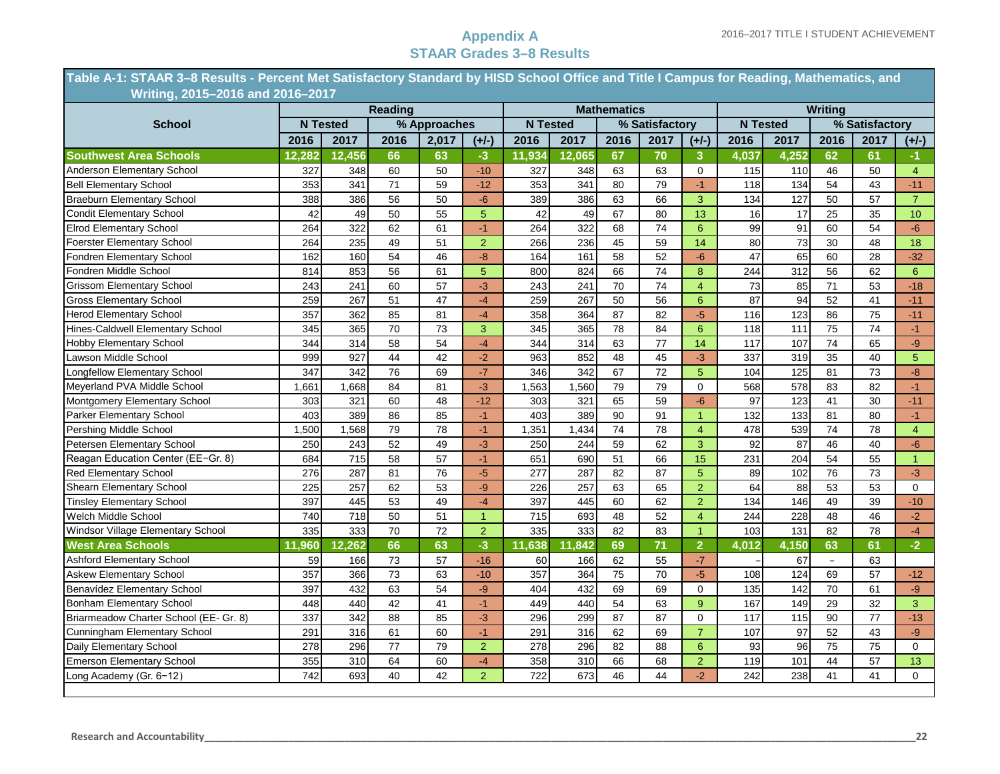**Table A-1: STAAR 3–8 Results - Percent Met Satisfactory Standard by HISD School Office and Title I Campus for Reading, Mathematics, and ………...….Writing, 2015–2016 and 2016–2017**

|                                        |        |                 | <b>Reading</b> |                 |                |                 |                  | <b>Mathematics</b> |                |                |                 |                 | Writing                  |                |                 |
|----------------------------------------|--------|-----------------|----------------|-----------------|----------------|-----------------|------------------|--------------------|----------------|----------------|-----------------|-----------------|--------------------------|----------------|-----------------|
| <b>School</b>                          |        | <b>N</b> Tested |                | % Approaches    |                | <b>N</b> Tested |                  |                    | % Satisfactory |                |                 | <b>N</b> Tested |                          | % Satisfactory |                 |
|                                        | 2016   | 2017            | 2016           | 2,017           | $(+/-)$        | 2016            | 2017             | 2016               | 2017           | $(+/-)$        | 2016            | 2017            | 2016                     | 2017           | $(+/-)$         |
| <b>Southwest Area Schools</b>          | 12,282 | 12,456          | 66             | 63              | $-3$           | 11,934          | 12,065           | 67                 | 70             | 3              | 4,037           | 4,252           | 62                       | 61             | -1.             |
| Anderson Elementary School             | 327    | 348             | 60             | 50              | $-10$          | 327             | 348              | 63                 | 63             | $\Omega$       | 115             | 110             | 46                       | 50             | $\overline{4}$  |
| <b>Bell Elementary School</b>          | 353    | 341             | 71             | 59              | $-12$          | 353             | 341              | 80                 | 79             | $-1$           | 118             | 134             | 54                       | 43             | $-11$           |
| <b>Braeburn Elementary School</b>      | 388    | 386             | 56             | 50              | $-6$           | 389             | 386              | 63                 | 66             | 3              | 134             | 127             | 50                       | 57             | $\overline{7}$  |
| Condit Elementary School               | 42     | 49              | 50             | 55              | 5              | 42              | 49               | 67                 | 80             | 13             | 16              | 17              | 25                       | 35             | 10              |
| <b>Elrod Elementary School</b>         | 264    | 322             | 62             | 61              | $-1$           | 264             | 322              | 68                 | 74             | 6              | 99              | 91              | 60                       | 54             | $-6$            |
| <b>Foerster Elementary School</b>      | 264    | 235             | 49             | 51              | $\overline{2}$ | 266             | 236              | 45                 | 59             | 14             | 80              | 73              | 30                       | 48             | 18              |
| Fondren Elementary School              | 162    | 160             | 54             | 46              | $-8$           | 164             | 161              | 58                 | 52             | $-6$           | $\overline{47}$ | 65              | 60                       | 28             | $-32$           |
| Fondren Middle School                  | 814    | 853             | 56             | 61              | 5              | 800             | 824              | 66                 | 74             | 8              | 244             | 312             | 56                       | 62             | $6\overline{6}$ |
| <b>Grissom Elementary School</b>       | 243    | 241             | 60             | 57              | $-3$           | 243             | 241              | 70                 | 74             | $\overline{4}$ | 73              | 85              | 71                       | 53             | $-18$           |
| <b>Gross Elementary School</b>         | 259    | 267             | 51             | 47              | $-4$           | 259             | 267              | 50                 | 56             | 6              | 87              | 94              | 52                       | 41             | $-11$           |
| <b>Herod Elementary School</b>         | 357    | 362             | 85             | 81              | $-4$           | 358             | 364              | 87                 | 82             | $-5$           | 116             | 123             | 86                       | 75             | $-11$           |
| Hines-Caldwell Elementary School       | 345    | 365             | 70             | 73              | 3              | 345             | 365              | 78                 | 84             | 6              | 118             | 111             | 75                       | 74             | $-1$            |
| <b>Hobby Elementary School</b>         | 344    | 314             | 58             | 54              | $-4$           | 344             | 314              | 63                 | 77             | 14             | 117             | 107             | $\overline{74}$          | 65             | $-9$            |
| Lawson Middle School                   | 999    | 927             | 44             | 42              | $-2$           | 963             | 852              | 48                 | 45             | $-3$           | 337             | 319             | 35                       | 40             | $\overline{5}$  |
| <b>Longfellow Elementary School</b>    | 347    | 342             | 76             | 69              | $-7$           | 346             | 342              | 67                 | 72             | 5              | 104             | 125             | 81                       | 73             | $-8$            |
| Meyerland PVA Middle School            | 1,661  | 1,668           | 84             | 81              | $-3$           | 1,563           | 1,560            | 79                 | 79             | $\mathbf 0$    | 568             | 578             | 83                       | 82             | $-1$            |
| Montgomery Elementary School           | 303    | 321             | 60             | 48              | $-12$          | 303             | 321              | 65                 | 59             | $-6$           | 97              | 123             | 41                       | 30             | $-11$           |
| Parker Elementary School               | 403    | 389             | 86             | 85              | $-1$           | 403             | 389              | 90                 | 91             | $\overline{1}$ | 132             | 133             | 81                       | 80             | $-1$            |
| Pershing Middle School                 | 1,500  | 1,568           | 79             | 78              | $-1$           | 1,351           | 1,434            | 74                 | 78             | $\overline{4}$ | 478             | 539             | 74                       | 78             | $\overline{4}$  |
| Petersen Elementary School             | 250    | 243             | 52             | 49              | $-3$           | 250             | 244              | 59                 | 62             | 3              | 92              | 87              | 46                       | 40             | $-6$            |
| Reagan Education Center (EE-Gr. 8)     | 684    | 715             | 58             | 57              | $-1$           | 651             | 690              | 51                 | 66             | 15             | 231             | 204             | 54                       | 55             | $\mathbf{1}$    |
| <b>Red Elementary School</b>           | 276    | 287             | 81             | 76              | $-5$           | 277             | 287              | 82                 | 87             | 5              | 89              | 102             | 76                       | 73             | $-3$            |
| Shearn Elementary School               | 225    | 257             | 62             | 53              | -9             | 226             | 257              | 63                 | 65             | $\overline{2}$ | 64              | 88              | 53                       | 53             | 0               |
| <b>Tinsley Elementary School</b>       | 397    | 445             | 53             | 49              | $-4$           | 397             | 445              | 60                 | 62             | $\overline{2}$ | 134             | 146             | 49                       | 39             | $-10$           |
| Welch Middle School                    | 740    | 718             | 50             | 51              | $\mathbf{1}$   | 715             | 693              | 48                 | 52             | $\overline{4}$ | 244             | 228             | 48                       | 46             | $-2$            |
| Windsor Village Elementary School      | 335    | 333             | 70             | $\overline{72}$ | $\overline{2}$ | 335             | 333              | 82                 | 83             | $\overline{1}$ | 103             | 131             | 82                       | 78             | $-4$            |
| <b>West Area Schools</b>               | 11,960 | 12,262          | 66             | 63              | $-3$           | 11,638          | ,842             | 69                 | 71             | $\overline{2}$ | 4,012           | 4,150           | 63                       | 61             | $-2$            |
| <b>Ashford Elementary School</b>       | 59     | 166             | 73             | 57              | $-16$          | 60              | 166              | 62                 | 55             | $-7$           |                 | 67              | $\overline{\phantom{a}}$ | 63             |                 |
| <b>Askew Elementary School</b>         | 357    | 366             | 73             | 63              | $-10$          | 357             | 364              | 75                 | 70             | $-5$           | 108             | 124             | 69                       | 57             | $-12$           |
| Benavídez Elementary School            | 397    | 432             | 63             | 54              | -9             | 404             | 432              | 69                 | 69             | $\mathbf 0$    | 135             | 142             | 70                       | 61             | $-9$            |
| <b>Bonham Elementary School</b>        | 448    | 440             | 42             | 41              | $-1$           | 449             | 440              | 54                 | 63             | 9              | 167             | 149             | 29                       | 32             | $\overline{3}$  |
| Briarmeadow Charter School (EE- Gr. 8) | 337    | 342             | 88             | 85              | $-3$           | 296             | 299              | 87                 | 87             | $\Omega$       | 117             | 115             | 90                       | 77             | $-13$           |
| Cunningham Elementary School           | 291    | 316             | 61             | 60              | $-1$           | 291             | 316              | 62                 | 69             | $\overline{7}$ | 107             | 97              | 52                       | 43             | $-9$            |
| Daily Elementary School                | 278    | 296             | 77             | 79              | $\overline{2}$ | 278             | 296              | 82                 | 88             | 6              | 93              | 96              | 75                       | 75             | $\Omega$        |
| <b>Emerson Elementary School</b>       | 355    | 310             | 64             | 60              | $\overline{4}$ | 358             | $\overline{310}$ | 66                 | 68             | $\overline{2}$ | 119             | 101             | 44                       | 57             | 13              |
| Long Academy (Gr. 6-12)                | 742    | 693             | 40             | 42              | $\overline{2}$ | 722             | 673              | 46                 | 44             | $-2$           | 242             | 238             | 41                       | 41             | $\Omega$        |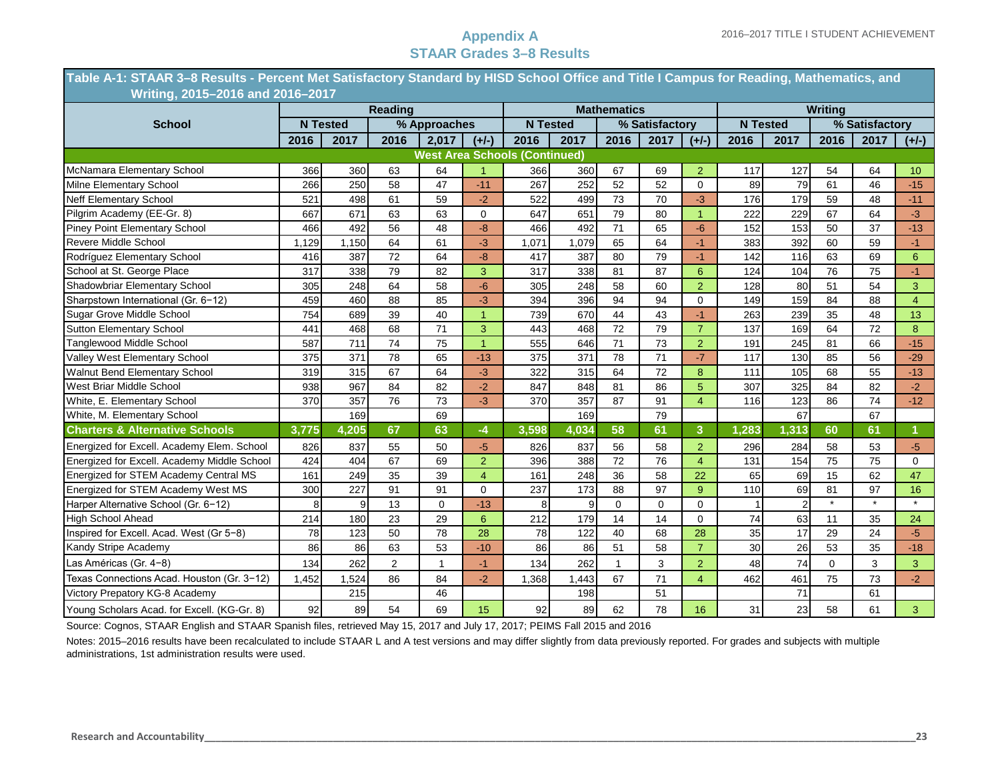**Table A-1: STAAR 3–8 Results - Percent Met Satisfactory Standard by HISD School Office and Title I Campus for Reading, Mathematics, and ………...….Writing, 2015–2016 and 2016–2017**

| $\ldots$ $\ldots$ $\ldots$ $\ldots$ $\ldots$ $\ldots$ $\ldots$ $\ldots$ |       |                 | <b>Reading</b> |              |                |                                      |                 | <b>Mathematics</b> |                |                         |       |                 | <b>Writing</b> |                |                  |
|-------------------------------------------------------------------------|-------|-----------------|----------------|--------------|----------------|--------------------------------------|-----------------|--------------------|----------------|-------------------------|-------|-----------------|----------------|----------------|------------------|
| <b>School</b>                                                           |       | <b>N</b> Tested |                | % Approaches |                |                                      | <b>N</b> Tested |                    | % Satisfactory |                         |       | <b>N</b> Tested |                | % Satisfactory |                  |
|                                                                         | 2016  | 2017            | 2016           | 2.017        | $(+/-)$        | 2016                                 | 2017            | 2016               | 2017           | $(+/-)$                 | 2016  | 2017            | 2016           | 2017           | $(+/-)$          |
|                                                                         |       |                 |                |              |                | <b>West Area Schools (Continued)</b> |                 |                    |                |                         |       |                 |                |                |                  |
| McNamara Elementary School                                              | 366   | 360             | 63             | 64           |                | 366                                  | 360             | 67                 | 69             | $\overline{2}$          | 117   | 127             | 54             | 64             | 10 <sup>10</sup> |
| Milne Elementary School                                                 | 266   | 250             | 58             | 47           | $-11$          | 267                                  | 252             | 52                 | 52             | $\mathbf 0$             | 89    | 79              | 61             | 46             | $-15$            |
| <b>Neff Elementary School</b>                                           | 521   | 498             | 61             | 59           | $-2$           | 522                                  | 499             | 73                 | 70             | $-3$                    | 176   | 179             | 59             | 48             | $-11$            |
| Pilgrim Academy (EE-Gr. 8)                                              | 667   | 671             | 63             | 63           | 0              | 647                                  | 651             | 79                 | 80             | 1                       | 222   | 229             | 67             | 64             | $-3$             |
| Piney Point Elementary School                                           | 466   | 492             | 56             | 48           | $-8$           | 466                                  | 492             | 71                 | 65             | $-6$                    | 152   | 153             | 50             | 37             | $-13$            |
| Revere Middle School                                                    | 1.129 | 1.150           | 64             | 61           | $-3$           | 1,071                                | 1,079           | 65                 | 64             | $-1$                    | 383   | 392             | 60             | 59             | $-1$             |
| Rodríguez Elementary School                                             | 416   | 387             | 72             | 64           | $-8$           | 417                                  | 387             | 80                 | 79             | $-1$                    | 142   | 116             | 63             | 69             | $6\overline{6}$  |
| School at St. George Place                                              | 317   | 338             | 79             | 82           | 3              | 317                                  | 338             | 81                 | 87             | 6                       | 124   | 104             | 76             | 75             | $-1$             |
| Shadowbriar Elementary School                                           | 305   | 248             | 64             | 58           | $-6$           | 305                                  | 248             | 58                 | 60             | $\overline{2}$          | 128   | 80              | 51             | 54             | 3                |
| Sharpstown International (Gr. 6-12)                                     | 459   | 460             | 88             | 85           | $-3$           | 394                                  | 396             | 94                 | 94             | $\Omega$                | 149   | 159             | 84             | 88             | $\overline{4}$   |
| Sugar Grove Middle School                                               | 754   | 689             | 39             | 40           | 1              | 739                                  | 670             | 44                 | 43             | $-1$                    | 263   | 239             | 35             | 48             | 13               |
| <b>Sutton Elementary School</b>                                         | 441   | 468             | 68             | 71           | 3              | 443                                  | 468             | 72                 | 79             | $\overline{7}$          | 137   | 169             | 64             | 72             | 8                |
| <b>Tanglewood Middle School</b>                                         | 587   | 711             | 74             | 75           | $\mathbf{1}$   | 555                                  | 646             | 71                 | 73             | 2                       | 191   | 245             | 81             | 66             | $-15$            |
| Valley West Elementary School                                           | 375   | 371             | 78             | 65           | $-13$          | 375                                  | 371             | 78                 | 71             | $-7$                    | 117   | 130             | 85             | 56             | $-29$            |
| <b>Walnut Bend Elementary School</b>                                    | 319   | 315             | 67             | 64           | $-3$           | 322                                  | 315             | 64                 | 72             | 8                       | 111   | 105             | 68             | 55             | $-13$            |
| West Briar Middle School                                                | 938   | 967             | 84             | 82           | $-2$           | 847                                  | 848             | 81                 | 86             | 5                       | 307   | 325             | 84             | 82             | $-2$             |
| White, E. Elementary School                                             | 370   | 357             | 76             | 73           | $-3$           | 370                                  | 357             | 87                 | 91             | $\overline{4}$          | 116   | 123             | 86             | 74             | $-12$            |
| White, M. Elementary School                                             |       | 169             |                | 69           |                |                                      | 169             |                    | 79             |                         |       | 67              |                | 67             |                  |
| <b>Charters &amp; Alternative Schools</b>                               | 3,775 | 4,205           | 67             | 63           | $-4$           | 3,598                                | 4,034           | 58                 | 61             | 3                       | 1,283 | 1,313           | 60             | 61             |                  |
| Energized for Excell. Academy Elem. School                              | 826   | 837             | 55             | 50           | $-5$           | 826                                  | 837             | 56                 | 58             | $\overline{2}$          | 296   | 284             | 58             | 53             | $-5$             |
| Energized for Excell. Academy Middle School                             | 424   | 404             | 67             | 69           | $\overline{2}$ | 396                                  | 388             | 72                 | 76             | 4                       | 131   | 154             | 75             | 75             | $\Omega$         |
| Energized for STEM Academy Central MS                                   | 161   | 249             | 35             | 39           | $\overline{4}$ | 161                                  | 248             | 36                 | 58             | 22                      | 65    | 69              | 15             | 62             | 47               |
| Energized for STEM Academy West MS                                      | 300   | 227             | 91             | 91           | 0              | 237                                  | 173             | 88                 | 97             | 9                       | 110   | 69              | 81             | 97             | 16               |
| Harper Alternative School (Gr. 6-12)                                    | 8     | 9               | 13             | $\mathbf 0$  | $-13$          | 8                                    | 9               | $\Omega$           | $\mathbf 0$    | $\mathbf 0$             |       | $\overline{2}$  |                |                | $\star$          |
| <b>High School Ahead</b>                                                | 214   | 180             | 23             | 29           | 6              | 212                                  | 179             | 14                 | 14             | $\Omega$                | 74    | 63              | 11             | 35             | 24               |
| Inspired for Excell. Acad. West (Gr 5-8)                                | 78    | 123             | 50             | 78           | 28             | 78                                   | 122             | 40                 | 68             | 28                      | 35    | 17              | 29             | 24             | $-5$             |
| Kandy Stripe Academy                                                    | 86    | 86              | 63             | 53           | $-10$          | 86                                   | 86              | 51                 | 58             | $\overline{7}$          | 30    | 26              | 53             | 35             | $-18$            |
| Las Américas (Gr. 4-8)                                                  | 134   | 262             | 2              | $\mathbf{1}$ | $-1$           | 134                                  | 262             | $\mathbf{1}$       | 3              | $\overline{2}$          | 48    | 74              | $\Omega$       | 3              | 3                |
| Texas Connections Acad. Houston (Gr. 3-12)                              | 1,452 | .524            | 86             | 84           | $-2$           | 1,368                                | 1,443           | 67                 | 71             | $\overline{\mathbf{4}}$ | 462   | 461             | 75             | 73             | $-2$             |
| Victory Prepatory KG-8 Academy                                          |       | 215             |                | 46           |                |                                      | 198             |                    | 51             |                         |       | 71              |                | 61             |                  |
| Young Scholars Acad. for Excell. (KG-Gr. 8)                             | 92    | 89              | 54             | 69           | 15             | 92                                   | 89              | 62                 | 78             | 16                      | 31    | 23              | 58             | 61             | 3 <sup>1</sup>   |

Source: Cognos, STAAR English and STAAR Spanish files, retrieved May 15, 2017 and July 17, 2017; PEIMS Fall 2015 and 2016

Notes: 2015–2016 results have been recalculated to include STAAR L and A test versions and may differ slightly from data previously reported. For grades and subjects with multiple administrations, 1st administration results were used.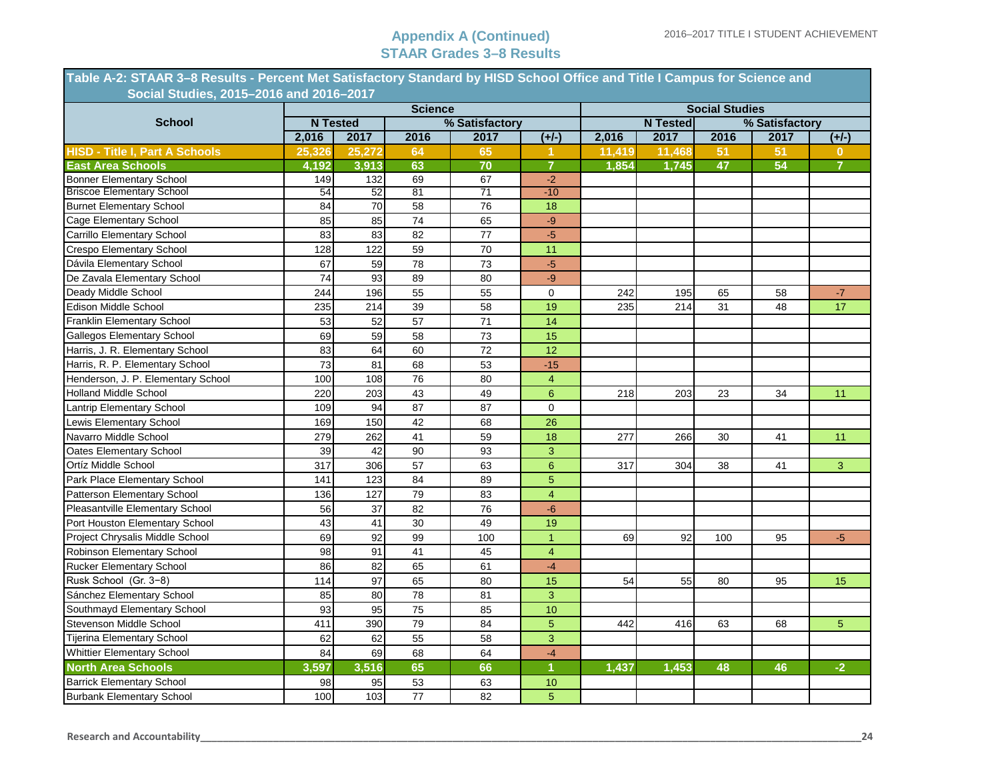| Table A-2: STAAR 3-8 Results - Percent Met Satisfactory Standard by HISD School Office and Title I Campus for Science and |           |                 |                 |                        |                |        |                         |                       |                |                |
|---------------------------------------------------------------------------------------------------------------------------|-----------|-----------------|-----------------|------------------------|----------------|--------|-------------------------|-----------------------|----------------|----------------|
| Social Studies, 2015-2016 and 2016-2017                                                                                   |           |                 |                 |                        |                |        |                         |                       |                |                |
| <b>School</b>                                                                                                             |           | <b>N</b> Tested | <b>Science</b>  |                        |                |        |                         | <b>Social Studies</b> |                |                |
|                                                                                                                           | 2,016     | 2017            |                 | % Satisfactory<br>2017 |                |        | <b>N</b> Tested<br>2017 |                       | % Satisfactory |                |
|                                                                                                                           |           |                 | 2016            |                        | $(+/-)$        | 2,016  |                         | 2016                  | 2017           | $(+/-)$        |
| <b>HISD - Title I, Part A Schools</b>                                                                                     | 25,326    | 25,272          | 64              | 65                     | $\mathbf{1}$   | 11,419 | 11,468                  | 51                    | 51             | 0              |
| East Area Schools<br>Bonner Elementary School                                                                             | 4,192     | 3,913           | 63<br>69        | 70                     | $\overline{7}$ | 1.854  | 1.745                   | 47                    | 54             |                |
| <b>Briscoe Elementary School</b>                                                                                          | 149<br>54 | 132<br>52       | 81              | 67<br>71               | $-2$<br>$-10$  |        |                         |                       |                |                |
| <b>Burnet Elementary School</b>                                                                                           | 84        | 70              | 58              | 76                     | 18             |        |                         |                       |                |                |
| Cage Elementary School                                                                                                    | 85        | 85              | 74              | 65                     | $-9$           |        |                         |                       |                |                |
| <b>Carrillo Elementary School</b>                                                                                         | 83        | 83              | 82              | 77                     | $-5$           |        |                         |                       |                |                |
| Crespo Elementary School                                                                                                  | 128       | 122             | 59              | 70                     | 11             |        |                         |                       |                |                |
| Dávila Elementary School                                                                                                  | 67        | 59              | 78              | 73                     | $-5$           |        |                         |                       |                |                |
| De Zavala Elementary School                                                                                               | 74        | 93              | 89              | 80                     | $-9$           |        |                         |                       |                |                |
|                                                                                                                           | 244       | 196             |                 | 55                     | $\mathbf 0$    |        |                         |                       |                | $-7$           |
| Deady Middle School<br>Edison Middle School                                                                               |           |                 | 55<br>39        |                        |                | 242    | 195                     | 65                    | 58             | 17             |
|                                                                                                                           | 235       | 214             |                 | 58                     | 19             | 235    | 214                     | 31                    | 48             |                |
| Franklin Elementary School                                                                                                | 53        | 52              | 57              | 71                     | 14             |        |                         |                       |                |                |
| <b>Gallegos Elementary School</b>                                                                                         | 69        | 59              | 58              | 73                     | 15             |        |                         |                       |                |                |
| Harris, J. R. Elementary School                                                                                           | 83        | 64              | 60              | 72                     | 12             |        |                         |                       |                |                |
| Harris, R. P. Elementary School                                                                                           | 73        | 81              | 68              | 53                     | $-15$          |        |                         |                       |                |                |
| Henderson, J. P. Elementary School                                                                                        | 100       | 108             | 76              | 80                     | $\overline{4}$ |        |                         |                       |                |                |
| <b>Holland Middle School</b>                                                                                              | 220       | 203             | 43              | 49                     | 6              | 218    | 203                     | 23                    | 34             | 11             |
| Lantrip Elementary School                                                                                                 | 109       | 94              | 87              | 87                     | $\mathbf{0}$   |        |                         |                       |                |                |
| Lewis Elementary School                                                                                                   | 169       | 150             | 42              | 68                     | 26             |        |                         |                       |                |                |
| Navarro Middle School                                                                                                     | 279       | 262             | 41              | 59                     | 18             | 277    | 266                     | 30                    | 41             | 11             |
| Oates Elementary School                                                                                                   | 39        | 42              | 90              | 93                     | 3              |        |                         |                       |                |                |
| Ortíz Middle School                                                                                                       | 317       | 306             | 57              | 63                     | $6\phantom{a}$ | 317    | 304                     | 38                    | 41             | 3              |
| Park Place Elementary School                                                                                              | 141       | 123             | 84              | 89                     | $\overline{5}$ |        |                         |                       |                |                |
| Patterson Elementary School                                                                                               | 136       | 127             | 79              | 83                     | $\overline{4}$ |        |                         |                       |                |                |
| Pleasantville Elementary School                                                                                           | 56        | 37              | 82              | 76                     | $-6$           |        |                         |                       |                |                |
| Port Houston Elementary School                                                                                            | 43        | 41              | 30              | 49                     | 19             |        |                         |                       |                |                |
| Project Chrysalis Middle School                                                                                           | 69        | 92              | 99              | 100                    | $\mathbf{1}$   | 69     | 92                      | 100                   | 95             | $-5$           |
| Robinson Elementary School                                                                                                | 98        | 91              | 41              | 45                     | $\overline{4}$ |        |                         |                       |                |                |
| Rucker Elementary School                                                                                                  | 86        | 82              | 65              | 61                     | $-4$           |        |                         |                       |                |                |
| Rusk School (Gr. 3-8)                                                                                                     | 114       | 97              | 65              | 80                     | 15             | 54     | 55                      | 80                    | 95             | 15             |
| Sánchez Elementary School                                                                                                 | 85        | 80              | $\overline{78}$ | 81                     | 3              |        |                         |                       |                |                |
| Southmayd Elementary School                                                                                               | 93        | 95              | 75              | 85                     | 10             |        |                         |                       |                |                |
| Stevenson Middle School                                                                                                   | 411       | 390             | 79              | 84                     | $\overline{5}$ | 442    | 416                     | 63                    | 68             | 5 <sub>5</sub> |
| Tijerina Elementary School                                                                                                | 62        | 62              | 55              | 58                     | 3              |        |                         |                       |                |                |
| Whittier Elementary School                                                                                                | 84        | 69              | 68              | 64                     | $-4$           |        |                         |                       |                |                |
| <b>North Area Schools</b>                                                                                                 | 3,597     | 3,516           | 65              | 66                     | $\mathbf{1}$   | 1,437  | 1,453                   | 48                    | 46             | $-2$           |
| <b>Barrick Elementary School</b>                                                                                          | 98        | 95              | 53              | 63                     | 10             |        |                         |                       |                |                |
| <b>Burbank Elementary School</b>                                                                                          | 100       | 103             | $\overline{77}$ | 82                     | 5              |        |                         |                       |                |                |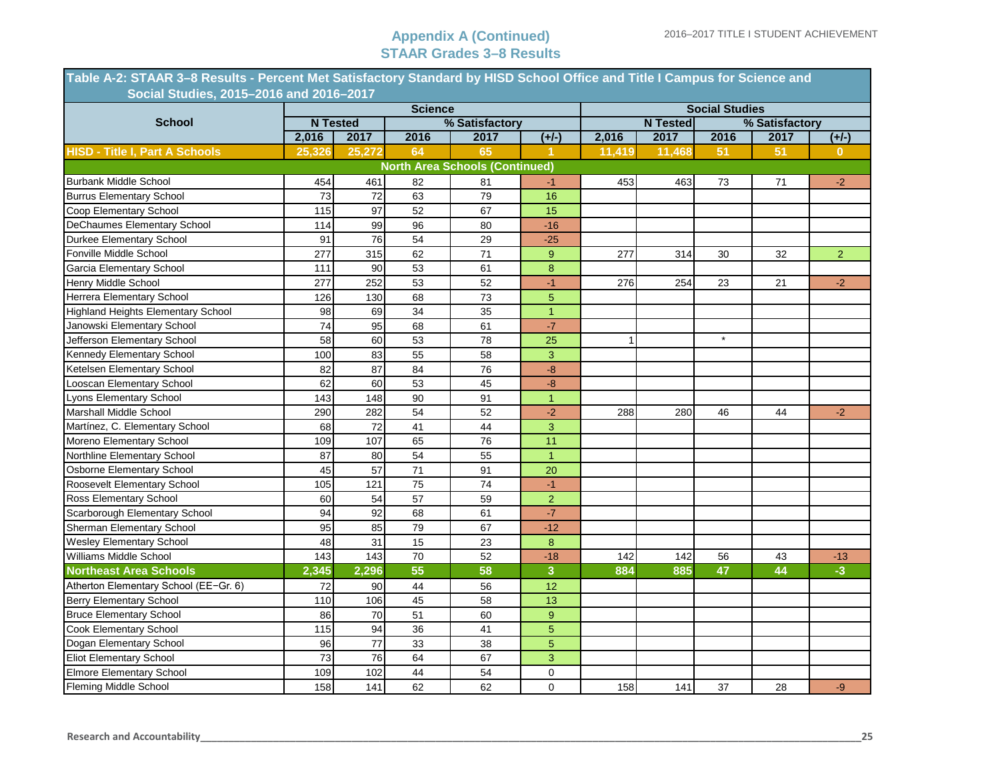| Table A-2: STAAR 3-8 Results - Percent Met Satisfactory Standard by HISD School Office and Title I Campus for Science and |        |                 |                 |                                       |                |        |                 |                       |                |                |
|---------------------------------------------------------------------------------------------------------------------------|--------|-----------------|-----------------|---------------------------------------|----------------|--------|-----------------|-----------------------|----------------|----------------|
| Social Studies, 2015-2016 and 2016-2017                                                                                   |        |                 | <b>Science</b>  |                                       |                |        |                 | <b>Social Studies</b> |                |                |
| <b>School</b>                                                                                                             |        | <b>N</b> Tested |                 | % Satisfactory                        |                |        | <b>N</b> Tested |                       | % Satisfactory |                |
|                                                                                                                           | 2,016  | 2017            | 2016            | 2017                                  | $(+/-)$        | 2,016  | 2017            | 2016                  | 2017           | $(+/-)$        |
| <b>HISD - Title I, Part A Schools</b>                                                                                     | 25,326 | 25,272          | 64              | 65                                    |                | 11,419 | 11,468          | 51                    | 51             | $\mathbf{0}$   |
|                                                                                                                           |        |                 |                 | <b>North Area Schools (Continued)</b> |                |        |                 |                       |                |                |
| <b>Burbank Middle School</b>                                                                                              | 454    | 461             | 82              | 81                                    | -1             | 453    | 463             | 73                    | 71             | $-2$           |
| <b>Burrus Elementary School</b>                                                                                           | 73     | 72              | 63              | 79                                    | 16             |        |                 |                       |                |                |
| Coop Elementary School                                                                                                    | 115    | 97              | 52              | 67                                    | 15             |        |                 |                       |                |                |
| <b>DeChaumes Elementary School</b>                                                                                        | 114    | 99              | 96              | 80                                    | $-16$          |        |                 |                       |                |                |
| Durkee Elementary School                                                                                                  | 91     | 76              | 54              | 29                                    | $-25$          |        |                 |                       |                |                |
| Fonville Middle School                                                                                                    | 277    | 315             | 62              | 71                                    | 9              | 277    | 314             | 30                    | 32             | 2 <sup>1</sup> |
| <b>Garcia Elementary School</b>                                                                                           | 111    | 90              | 53              | 61                                    | 8              |        |                 |                       |                |                |
| Henry Middle School                                                                                                       | 277    | 252             | 53              | 52                                    | $-1$           | 276    | 254             | 23                    | 21             | $-2$           |
| Herrera Elementary School                                                                                                 | 126    | 130             | 68              | 73                                    | $\overline{5}$ |        |                 |                       |                |                |
| <b>Highland Heights Elementary School</b>                                                                                 | 98     | 69              | 34              | 35                                    | $\mathbf{1}$   |        |                 |                       |                |                |
| Janowski Elementary School                                                                                                | 74     | 95              | 68              | 61                                    | $-7$           |        |                 |                       |                |                |
| Jefferson Elementary School                                                                                               | 58     | 60              | 53              | 78                                    | 25             | 1      |                 | $\star$               |                |                |
| Kennedy Elementary School                                                                                                 | 100    | 83              | 55              | 58                                    | $\overline{3}$ |        |                 |                       |                |                |
| Ketelsen Elementary School                                                                                                | 82     | 87              | 84              | 76                                    | $-8$           |        |                 |                       |                |                |
| Looscan Elementary School                                                                                                 | 62     | 60              | 53              | 45                                    | $-8$           |        |                 |                       |                |                |
| Lyons Elementary School                                                                                                   | 143    | 148             | 90              | 91                                    | $\overline{1}$ |        |                 |                       |                |                |
| Marshall Middle School                                                                                                    | 290    | 282             | 54              | 52                                    | $-2$           | 288    | 280             | 46                    | 44             | $-2$           |
| Martínez, C. Elementary School                                                                                            | 68     | 72              | 41              | 44                                    | $\overline{3}$ |        |                 |                       |                |                |
| Moreno Elementary School                                                                                                  | 109    | 107             | 65              | 76                                    | 11             |        |                 |                       |                |                |
| Northline Elementary School                                                                                               | 87     | 80              | 54              | 55                                    | $\mathbf{1}$   |        |                 |                       |                |                |
| Osborne Elementary School                                                                                                 | 45     | $\overline{57}$ | $\overline{71}$ | 91                                    | 20             |        |                 |                       |                |                |
| Roosevelt Elementary School                                                                                               | 105    | 121             | 75              | 74                                    | $-1$           |        |                 |                       |                |                |
| Ross Elementary School                                                                                                    | 60     | 54              | 57              | 59                                    | $\overline{2}$ |        |                 |                       |                |                |
| Scarborough Elementary School                                                                                             | 94     | 92              | 68              | 61                                    | $-7$           |        |                 |                       |                |                |
| Sherman Elementary School                                                                                                 | 95     | 85              | 79              | 67                                    | $-12$          |        |                 |                       |                |                |
| <b>Wesley Elementary School</b>                                                                                           | 48     | 31              | 15              | 23                                    | 8              |        |                 |                       |                |                |
| Williams Middle School                                                                                                    | 143    | 143             | 70              | 52                                    | $-18$          | 142    | 142             | 56                    | 43             | $-13$          |
| <b>Northeast Area Schools</b>                                                                                             | 2,345  | 2,296           | 55              | 58                                    | 3              | 884    | 885             | 47                    | 44             | $-3$           |
| Atherton Elementary School (EE-Gr. 6)                                                                                     | 72     | 90              | 44              | 56                                    | 12             |        |                 |                       |                |                |
| <b>Berry Elementary School</b>                                                                                            | 110    | 106             | 45              | 58                                    | 13             |        |                 |                       |                |                |
| <b>Bruce Elementary School</b>                                                                                            | 86     | 70              | 51              | 60                                    | 9              |        |                 |                       |                |                |
| Cook Elementary School                                                                                                    | 115    | 94              | 36              | 41                                    | $\overline{5}$ |        |                 |                       |                |                |
| Dogan Elementary School                                                                                                   | 96     | 77              | 33              | 38                                    | $\overline{5}$ |        |                 |                       |                |                |
| Eliot Elementary School                                                                                                   | 73     | 76              | 64              | 67                                    | 3              |        |                 |                       |                |                |
| <b>Elmore Elementary School</b>                                                                                           | 109    | 102             | 44              | 54                                    | $\mathbf 0$    |        |                 |                       |                |                |
| <b>Fleming Middle School</b>                                                                                              | 158    | 141             | 62              | 62                                    | $\mathbf 0$    | 158    | 141             | 37                    | 28             | $-9$           |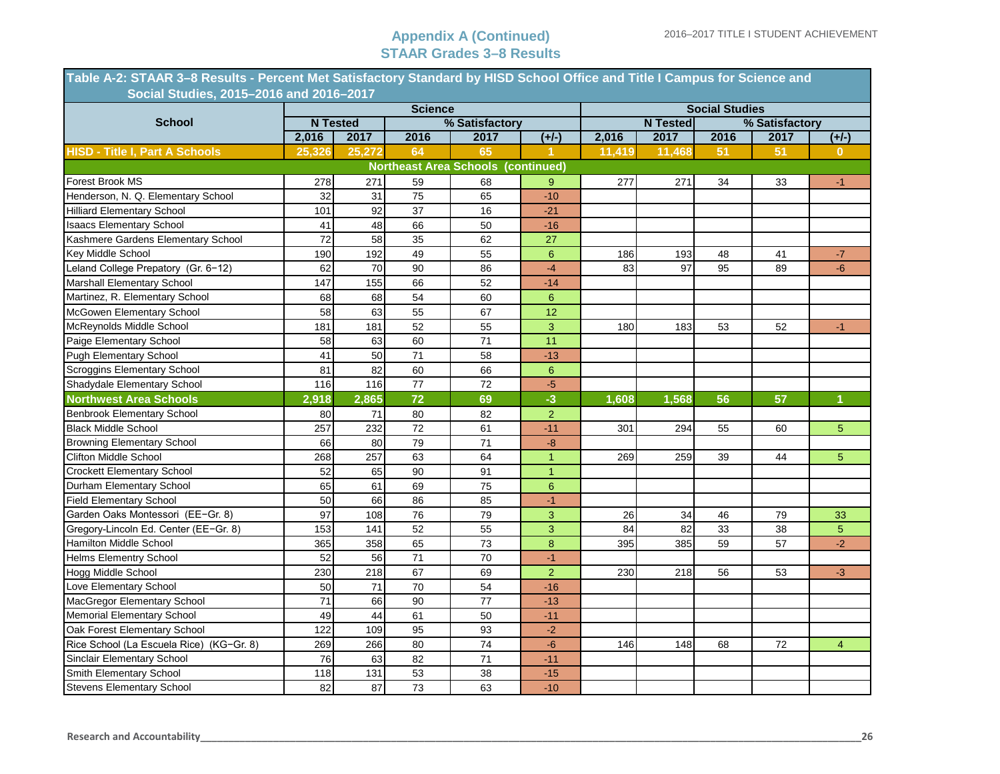| Table A-2: STAAR 3–8 Results - Percent Met Satisfactory Standard by HISD School Office and Title I Campus for Science and<br>Social Studies, 2015-2016 and 2016-2017 |                 |                 |                 |                                           |                  |        |                 |                       |                |                |
|----------------------------------------------------------------------------------------------------------------------------------------------------------------------|-----------------|-----------------|-----------------|-------------------------------------------|------------------|--------|-----------------|-----------------------|----------------|----------------|
|                                                                                                                                                                      |                 |                 | <b>Science</b>  |                                           |                  |        |                 | <b>Social Studies</b> |                |                |
| <b>School</b>                                                                                                                                                        |                 | <b>N</b> Tested |                 | % Satisfactory                            |                  |        | <b>N</b> Tested |                       | % Satisfactory |                |
|                                                                                                                                                                      | 2,016           | 2017            | 2016            | 2017                                      | $(+/-)$          | 2,016  | 2017            | 2016                  | 2017           | $(+/-)$        |
| <b>HISD - Title I, Part A Schools</b>                                                                                                                                | 25,326          | 25,272          | 64              | 65                                        |                  | 11,419 | 11,468          | 51                    | 51             | $\mathbf 0$    |
|                                                                                                                                                                      |                 |                 |                 | <b>Northeast Area Schools (continued)</b> |                  |        |                 |                       |                |                |
| Forest Brook MS                                                                                                                                                      | 278             | 271             | 59              | 68                                        | 9                | 277    | 271             | 34                    | 33             | $-1$           |
| Henderson, N. Q. Elementary School                                                                                                                                   | 32              | 31              | $\overline{75}$ | 65                                        | $-10$            |        |                 |                       |                |                |
| <b>Hilliard Elementary School</b>                                                                                                                                    | 101             | 92              | 37              | 16                                        | $-21$            |        |                 |                       |                |                |
| <b>Isaacs Elementary School</b>                                                                                                                                      | 41              | 48              | 66              | 50                                        | $-16$            |        |                 |                       |                |                |
| Kashmere Gardens Elementary School                                                                                                                                   | $\overline{72}$ | 58              | 35              | 62                                        | 27               |        |                 |                       |                |                |
| Key Middle School                                                                                                                                                    | 190             | 192             | 49              | 55                                        | $\boldsymbol{6}$ | 186    | 193             | 48                    | 41             | $-7$           |
| Leland College Prepatory (Gr. 6-12)                                                                                                                                  | 62              | 70              | 90              | 86                                        | $-4$             | 83     | 97              | 95                    | 89             | $-6$           |
| Marshall Elementary School                                                                                                                                           | 147             | 155             | 66              | 52                                        | $-14$            |        |                 |                       |                |                |
| Martinez, R. Elementary School                                                                                                                                       | 68              | 68              | 54              | 60                                        | 6                |        |                 |                       |                |                |
| McGowen Elementary School                                                                                                                                            | 58              | 63              | 55              | 67                                        | 12               |        |                 |                       |                |                |
| McReynolds Middle School                                                                                                                                             | 181             | 181             | 52              | 55                                        | $\overline{3}$   | 180    | 183             | 53                    | 52             | $-1$           |
| Paige Elementary School                                                                                                                                              | 58              | 63              | 60              | 71                                        | 11               |        |                 |                       |                |                |
| Pugh Elementary School                                                                                                                                               | 41              | 50              | 71              | 58                                        | $-13$            |        |                 |                       |                |                |
| Scroggins Elementary School                                                                                                                                          | 81              | 82              | 60              | 66                                        | $6\phantom{a}$   |        |                 |                       |                |                |
| Shadydale Elementary School                                                                                                                                          | 116             | 116             | 77              | 72                                        | $-5$             |        |                 |                       |                |                |
| <b>Northwest Area Schools</b>                                                                                                                                        | 2,918           | 2,865           | 72              | 69                                        | $-3$             | 1,608  | 1,568           | 56                    | 57             |                |
| <b>Benbrook Elementary School</b>                                                                                                                                    | 80              | 71              | 80              | 82                                        | $\overline{2}$   |        |                 |                       |                |                |
| <b>Black Middle School</b>                                                                                                                                           | 257             | 232             | 72              | 61                                        | $-11$            | 301    | 294             | 55                    | 60             | $\overline{5}$ |
| <b>Browning Elementary School</b>                                                                                                                                    | 66              | 80              | 79              | 71                                        | -8               |        |                 |                       |                |                |
| <b>Clifton Middle School</b>                                                                                                                                         | 268             | 257             | 63              | 64                                        | $\overline{1}$   | 269    | 259             | 39                    | 44             | 5              |
| <b>Crockett Elementary School</b>                                                                                                                                    | 52              | 65              | 90              | 91                                        | $\overline{1}$   |        |                 |                       |                |                |
| Durham Elementary School                                                                                                                                             | 65              | 61              | 69              | 75                                        | $\boldsymbol{6}$ |        |                 |                       |                |                |
| <b>Field Elementary School</b>                                                                                                                                       | 50              | 66              | 86              | 85                                        | $-1$             |        |                 |                       |                |                |
| Garden Oaks Montessori (EE-Gr. 8)                                                                                                                                    | 97              | 108             | 76              | 79                                        | $\overline{3}$   | 26     | 34              | 46                    | 79             | 33             |
| Gregory-Lincoln Ed. Center (EE-Gr. 8)                                                                                                                                | 153             | 141             | 52              | 55                                        | $\overline{3}$   | 84     | 82              | 33                    | 38             | $\overline{5}$ |
| Hamilton Middle School                                                                                                                                               | 365             | 358             | 65              | $\overline{73}$                           | $\bf 8$          | 395    | 385             | 59                    | 57             | $-2$           |
| <b>Helms Elementry School</b>                                                                                                                                        | 52              | 56              | 71              | 70                                        | $-1$             |        |                 |                       |                |                |
| Hogg Middle School                                                                                                                                                   | 230             | 218             | 67              | 69                                        | $\overline{2}$   | 230    | 218             | 56                    | 53             | $-3$           |
| Love Elementary School                                                                                                                                               | 50              | 71              | 70              | 54                                        | $-16$            |        |                 |                       |                |                |
| MacGregor Elementary School                                                                                                                                          | 71              | 66              | 90              | 77                                        | $-13$            |        |                 |                       |                |                |
| Memorial Elementary School                                                                                                                                           | 49              | 44              | 61              | 50                                        | $-11$            |        |                 |                       |                |                |
| Oak Forest Elementary School                                                                                                                                         | 122             | 109             | 95              | 93                                        | $-2$             |        |                 |                       |                |                |
| Rice School (La Escuela Rice) (KG-Gr. 8)                                                                                                                             | 269             | 266             | 80              | 74                                        | $-6$             | 146    | 148             | 68                    | 72             | $\overline{4}$ |
| Sinclair Elementary School                                                                                                                                           | 76              | 63              | 82              | 71                                        | $-11$            |        |                 |                       |                |                |
| Smith Elementary School                                                                                                                                              | 118             | 131             | 53              | 38                                        | $-15$            |        |                 |                       |                |                |
| <b>Stevens Elementary School</b>                                                                                                                                     | 82              | 87              | 73              | 63                                        | $-10$            |        |                 |                       |                |                |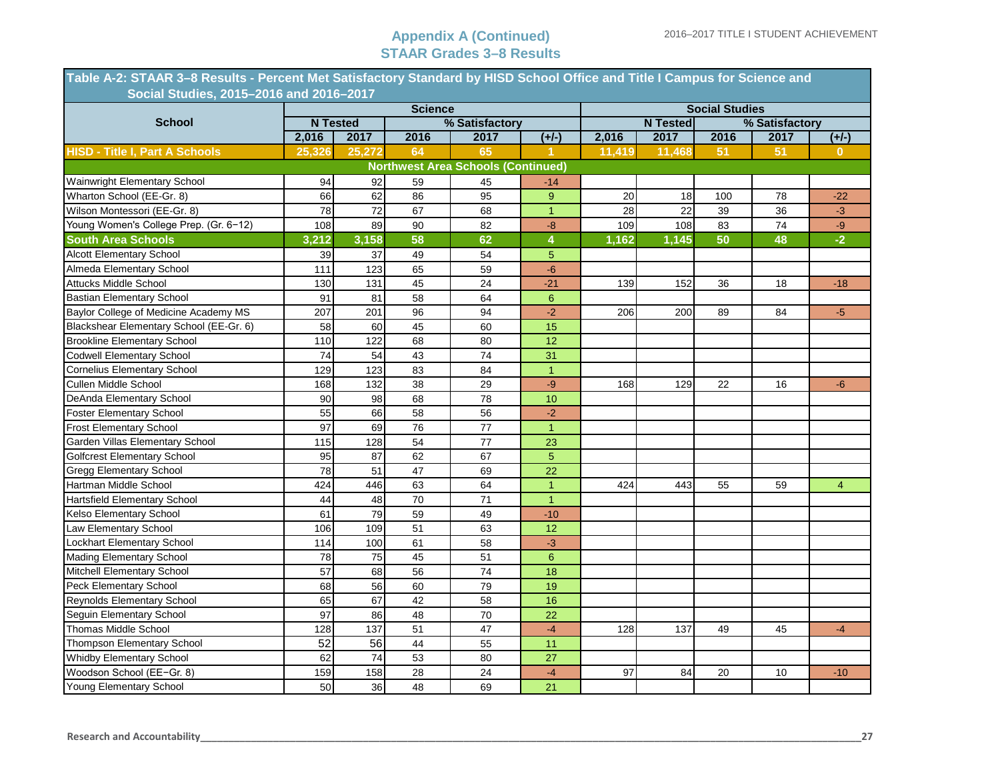| Table A-2: STAAR 3–8 Results - Percent Met Satisfactory Standard by HISD School Office and Title I Campus for Science and<br>Social Studies, 2015-2016 and 2016-2017 |                 |                 |                 |                                           |                         |        |                 |                       |                |                |
|----------------------------------------------------------------------------------------------------------------------------------------------------------------------|-----------------|-----------------|-----------------|-------------------------------------------|-------------------------|--------|-----------------|-----------------------|----------------|----------------|
|                                                                                                                                                                      |                 |                 | <b>Science</b>  |                                           |                         |        |                 | <b>Social Studies</b> |                |                |
| <b>School</b>                                                                                                                                                        |                 | <b>N</b> Tested |                 | % Satisfactory                            |                         |        | <b>N Tested</b> |                       | % Satisfactory |                |
|                                                                                                                                                                      | 2,016           | 2017            | 2016            | 2017                                      | $(+/-)$                 | 2,016  | 2017            | 2016                  | 2017           | $(+/-)$        |
| <b>HISD - Title I, Part A Schools</b>                                                                                                                                | 25,326          | 25,272          | 64              | 65                                        | 1.                      | 11,419 | 11,468          | 51                    | 51             | $\mathbf{0}$   |
|                                                                                                                                                                      |                 |                 |                 | <b>Northwest Area Schools (Continued)</b> |                         |        |                 |                       |                |                |
| Wainwright Elementary School                                                                                                                                         | 94              | 92              | 59              | 45                                        | -14                     |        |                 |                       |                |                |
| Wharton School (EE-Gr. 8)                                                                                                                                            | 66              | 62              | 86              | 95                                        | 9                       | 20     | 18              | 100                   | 78             | $-22$          |
| Wilson Montessori (EE-Gr. 8)                                                                                                                                         | 78              | $\overline{72}$ | 67              | 68                                        | $\mathbf{1}$            | 28     | 22              | 39                    | 36             | $-3$           |
| Young Women's College Prep. (Gr. 6-12)                                                                                                                               | 108             | 89              | 90              | 82                                        | $-8$                    | 109    | 108             | 83                    | 74             | $-9$           |
| <b>South Area Schools</b>                                                                                                                                            | 3,212           | 3,158           | 58              | 62                                        | $\overline{\mathbf{4}}$ | 1,162  | 1,145           | 50                    | 48             | $-2$           |
| <b>Alcott Elementary School</b>                                                                                                                                      | 39              | 37              | 49              | 54                                        | $\overline{5}$          |        |                 |                       |                |                |
| Almeda Elementary School                                                                                                                                             | 111             | 123             | 65              | 59                                        | $-6$                    |        |                 |                       |                |                |
| <b>Attucks Middle School</b>                                                                                                                                         | 130             | 131             | 45              | 24                                        | $-21$                   | 139    | 152             | 36                    | 18             | $-18$          |
| <b>Bastian Elementary School</b>                                                                                                                                     | 91              | 81              | 58              | 64                                        | $6\phantom{1}$          |        |                 |                       |                |                |
| Baylor College of Medicine Academy MS                                                                                                                                | 207             | 201             | 96              | 94                                        | $-2$                    | 206    | 200             | 89                    | 84             | $-5$           |
| Blackshear Elementary School (EE-Gr. 6)                                                                                                                              | 58              | 60              | 45              | 60                                        | 15                      |        |                 |                       |                |                |
| <b>Brookline Elementary School</b>                                                                                                                                   | 110             | 122             | 68              | 80                                        | 12                      |        |                 |                       |                |                |
| <b>Codwell Elementary School</b>                                                                                                                                     | $\overline{74}$ | 54              | 43              | 74                                        | 31                      |        |                 |                       |                |                |
| <b>Cornelius Elementary School</b>                                                                                                                                   | 129             | 123             | 83              | 84                                        | $\overline{1}$          |        |                 |                       |                |                |
| Cullen Middle School                                                                                                                                                 | 168             | 132             | 38              | 29                                        | $-9$                    | 168    | 129             | 22                    | 16             | $-6$           |
| DeAnda Elementary School                                                                                                                                             | 90              | 98              | 68              | 78                                        | 10                      |        |                 |                       |                |                |
| <b>Foster Elementary School</b>                                                                                                                                      | 55              | 66              | 58              | 56                                        | $-2$                    |        |                 |                       |                |                |
| <b>Frost Elementary School</b>                                                                                                                                       | 97              | 69              | $\overline{76}$ | $\overline{77}$                           | $\overline{1}$          |        |                 |                       |                |                |
| Garden Villas Elementary School                                                                                                                                      | 115             | 128             | 54              | 77                                        | 23                      |        |                 |                       |                |                |
| <b>Golfcrest Elementary School</b>                                                                                                                                   | 95              | 87              | 62              | 67                                        | $\overline{5}$          |        |                 |                       |                |                |
| <b>Gregg Elementary School</b>                                                                                                                                       | 78              | 51              | $\overline{47}$ | 69                                        | 22                      |        |                 |                       |                |                |
| Hartman Middle School                                                                                                                                                | 424             | 446             | 63              | 64                                        | $\overline{1}$          | 424    | 443             | 55                    | 59             | $\overline{4}$ |
| Hartsfield Elementary School                                                                                                                                         | 44              | 48              | 70              | 71                                        | $\mathbf{1}$            |        |                 |                       |                |                |
| Kelso Elementary School                                                                                                                                              | 61              | 79              | 59              | 49                                        | $-10$                   |        |                 |                       |                |                |
| Law Elementary School                                                                                                                                                | 106             | 109             | $\overline{51}$ | 63                                        | 12                      |        |                 |                       |                |                |
| Lockhart Elementary School                                                                                                                                           | 114             | 100             | 61              | 58                                        | $-3$                    |        |                 |                       |                |                |
| Mading Elementary School                                                                                                                                             | 78              | 75              | 45              | 51                                        | $6\phantom{a}$          |        |                 |                       |                |                |
| Mitchell Elementary School                                                                                                                                           | 57              | 68              | 56              | 74                                        | 18                      |        |                 |                       |                |                |
| Peck Elementary School                                                                                                                                               | 68              | 56              | 60              | 79                                        | 19                      |        |                 |                       |                |                |
| Reynolds Elementary School                                                                                                                                           | 65              | 67              | 42              | 58                                        | 16                      |        |                 |                       |                |                |
| Seguin Elementary School                                                                                                                                             | 97              | 86              | 48              | 70                                        | 22                      |        |                 |                       |                |                |
| Thomas Middle School                                                                                                                                                 | 128             | 137             | 51              | 47                                        | $-4$                    | 128    | 137             | 49                    | 45             | $-4$           |
| Thompson Elementary School                                                                                                                                           | $\overline{52}$ | $\overline{56}$ | $\overline{44}$ | 55                                        | 11                      |        |                 |                       |                |                |
| Whidby Elementary School                                                                                                                                             | 62              | 74              | 53              | 80                                        | 27                      |        |                 |                       |                |                |
| Woodson School (EE-Gr. 8)                                                                                                                                            | 159             | 158             | 28              | 24                                        | $-4$                    | 97     | 84              | 20                    | 10             | $-10$          |
| Young Elementary School                                                                                                                                              | 50              | 36              | 48              | 69                                        | 21                      |        |                 |                       |                |                |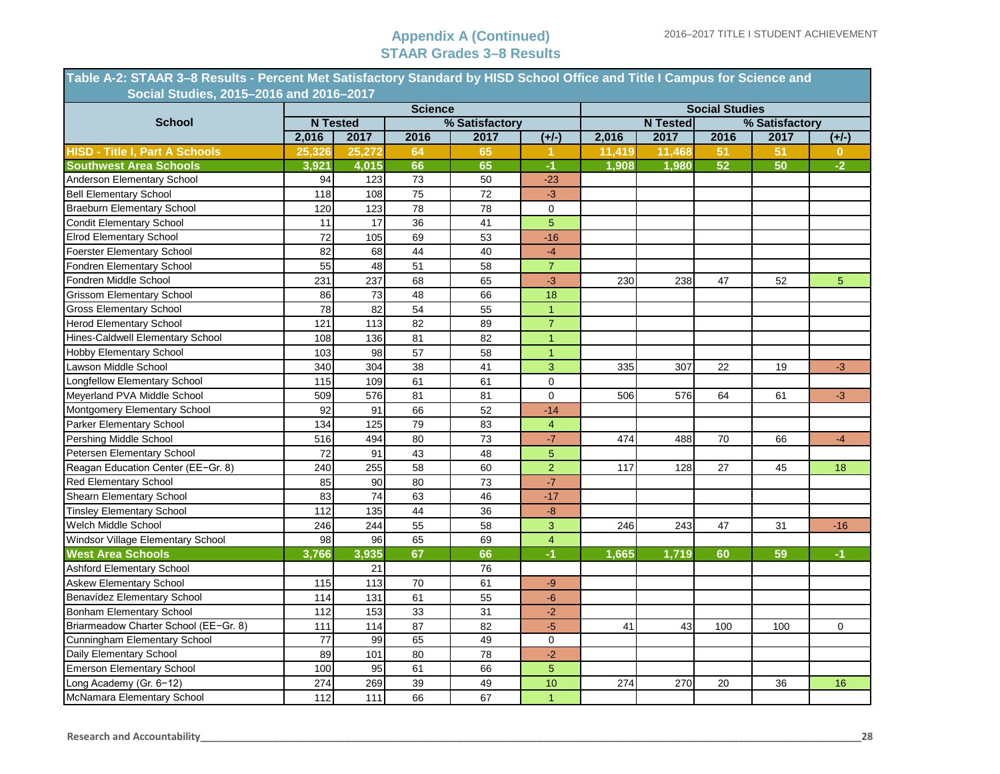| Table A-2: STAAR 3-8 Results - Percent Met Satisfactory Standard by HISD School Office and Title I Campus for Science and |        |                 |                 |                 |                |        |                 |                       |                |                |
|---------------------------------------------------------------------------------------------------------------------------|--------|-----------------|-----------------|-----------------|----------------|--------|-----------------|-----------------------|----------------|----------------|
| Social Studies, 2015-2016 and 2016-2017                                                                                   |        |                 |                 |                 |                |        |                 |                       |                |                |
| <b>School</b>                                                                                                             |        | <b>N</b> Tested | <b>Science</b>  | % Satisfactory  |                |        | <b>N</b> Tested | <b>Social Studies</b> | % Satisfactory |                |
|                                                                                                                           | 2,016  | 2017            | 2016            | 2017            | $(+/-)$        | 2,016  | 2017            | 2016                  | 2017           | $(+/-)$        |
| <b>HISD - Title I, Part A Schools</b>                                                                                     | 25,326 | 25,272          | 64              | 65              | -1.            | 11,419 | 11,468          | 51                    | 51             | 0              |
|                                                                                                                           | 3,921  | 4.015           | 66              | 65              | $-1$           | 1.908  | 1.980           | 52                    | 50             | $-2$           |
| <b>Southwest Area Schools</b><br>Anderson Elementary School                                                               | 94     | 123             | 73              | 50              | $-23$          |        |                 |                       |                |                |
| <b>Bell Elementary School</b>                                                                                             | 118    | 108             | 75              | 72              | $-3$           |        |                 |                       |                |                |
| <b>Braeburn Elementary School</b>                                                                                         | 120    | 123             | 78              | 78              | $\mathbf 0$    |        |                 |                       |                |                |
| <b>Condit Elementary School</b>                                                                                           | 11     | $\overline{17}$ | 36              | 41              | $\overline{5}$ |        |                 |                       |                |                |
| <b>Elrod Elementary School</b>                                                                                            | 72     | 105             | 69              | 53              | $-16$          |        |                 |                       |                |                |
| <b>Foerster Elementary School</b>                                                                                         | 82     | 68              | 44              | 40              | $-4$           |        |                 |                       |                |                |
| Fondren Elementary School                                                                                                 | 55     | 48              | 51              | 58              | $\overline{7}$ |        |                 |                       |                |                |
| Fondren Middle School                                                                                                     | 231    | 237             | 68              | 65              | $-3$           | 230    | 238             | 47                    | 52             | 5 <sup>5</sup> |
| <b>Grissom Elementary School</b>                                                                                          | 86     | 73              | 48              | 66              | 18             |        |                 |                       |                |                |
| <b>Gross Elementary School</b>                                                                                            | 78     | 82              | 54              | 55              | $\mathbf{1}$   |        |                 |                       |                |                |
| <b>Herod Elementary School</b>                                                                                            | 121    | 113             | 82              | 89              | $\overline{7}$ |        |                 |                       |                |                |
| Hines-Caldwell Elementary School                                                                                          | 108    | 136             | 81              | 82              | $\overline{1}$ |        |                 |                       |                |                |
| <b>Hobby Elementary School</b>                                                                                            | 103    | 98              | 57              | 58              | $\mathbf{1}$   |        |                 |                       |                |                |
| Lawson Middle School                                                                                                      | 340    | 304             | $\overline{38}$ | 41              | $\overline{3}$ | 335    | 307             | 22                    | 19             | $-3$           |
| Longfellow Elementary School                                                                                              | 115    | 109             | 61              | 61              | $\mathbf{0}$   |        |                 |                       |                |                |
| Meyerland PVA Middle School                                                                                               | 509    | 576             | 81              | 81              | $\mathbf 0$    | 506    | 576             | 64                    | 61             | $-3$           |
| Montgomery Elementary School                                                                                              | 92     | 91              | 66              | 52              | $-14$          |        |                 |                       |                |                |
| Parker Elementary School                                                                                                  | 134    | 125             | 79              | 83              | $\overline{4}$ |        |                 |                       |                |                |
| Pershing Middle School                                                                                                    | 516    | 494             | 80              | 73              | $-7$           | 474    | 488             | 70                    | 66             | $-4$           |
| Petersen Elementary School                                                                                                | 72     | 91              | 43              | 48              | $\sqrt{5}$     |        |                 |                       |                |                |
| Reagan Education Center (EE-Gr. 8)                                                                                        | 240    | 255             | 58              | 60              | $\overline{2}$ | 117    | 128             | 27                    | 45             | 18             |
| Red Elementary School                                                                                                     | 85     | 90              | 80              | 73              | $-7$           |        |                 |                       |                |                |
| Shearn Elementary School                                                                                                  | 83     | $\overline{74}$ | 63              | 46              | $-17$          |        |                 |                       |                |                |
| <b>Tinsley Elementary School</b>                                                                                          | 112    | 135             | 44              | 36              | $-8-$          |        |                 |                       |                |                |
| Welch Middle School                                                                                                       | 246    | 244             | 55              | 58              | 3              | 246    | 243             | 47                    | 31             | $-16$          |
| Windsor Village Elementary School                                                                                         | 98     | 96              | 65              | 69              | $\overline{4}$ |        |                 |                       |                |                |
| <b>West Area Schools</b>                                                                                                  | 3.766  | 3,935           | 67              | 66              | $-1$           | 1,665  | 1.719           | 60                    | 59             | $-1$           |
| Ashford Elementary School                                                                                                 |        | 21              |                 | 76              |                |        |                 |                       |                |                |
| <b>Askew Elementary School</b>                                                                                            | 115    | 113             | 70              | 61              | $-9$           |        |                 |                       |                |                |
| Benavídez Elementary School                                                                                               | 114    | 131             | 61              | 55              | $-6$           |        |                 |                       |                |                |
| <b>Bonham Elementary School</b>                                                                                           | 112    | 153             | 33              | 31              | $-2$           |        |                 |                       |                |                |
| Briarmeadow Charter School (EE-Gr. 8)                                                                                     | 111    | 114             | 87              | 82              | $-5$           | 41     | 43              | 100                   | 100            | 0              |
| Cunningham Elementary School                                                                                              | 77     | 99              | 65              | 49              | $\mathbf 0$    |        |                 |                       |                |                |
| Daily Elementary School                                                                                                   | 89     | 101             | $\overline{80}$ | $\overline{78}$ | $-2$           |        |                 |                       |                |                |
| <b>Emerson Elementary School</b>                                                                                          | 100    | 95              | 61              | 66              | $\overline{5}$ |        |                 |                       |                |                |
| Long Academy (Gr. 6-12)                                                                                                   | 274    | 269             | 39              | 49              | 10             | 274    | 270             | 20                    | 36             | 16             |
| McNamara Elementary School                                                                                                | 112    | 111             | 66              | 67              | $\overline{1}$ |        |                 |                       |                |                |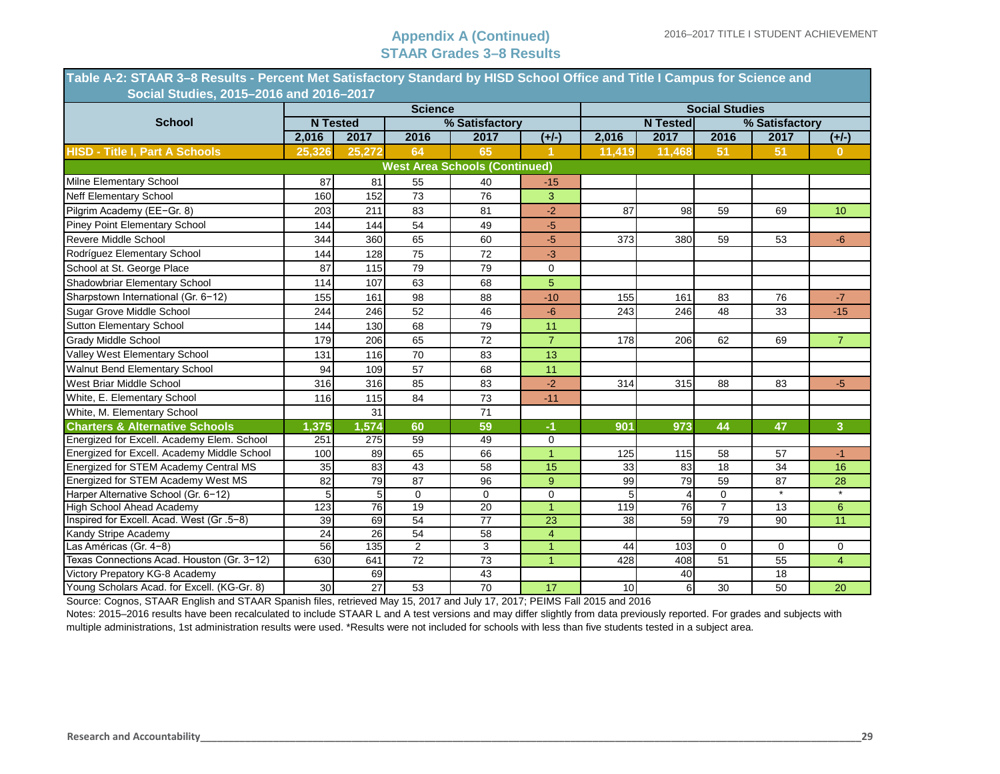| Table A-2: STAAR 3–8 Results - Percent Met Satisfactory Standard by HISD School Office and Title I Campus for Science and |        |                 |                |                                      |                |        |                 |                       |                |                |  |
|---------------------------------------------------------------------------------------------------------------------------|--------|-----------------|----------------|--------------------------------------|----------------|--------|-----------------|-----------------------|----------------|----------------|--|
| Social Studies, 2015-2016 and 2016-2017                                                                                   |        |                 |                |                                      |                |        |                 |                       |                |                |  |
|                                                                                                                           |        |                 | <b>Science</b> |                                      |                |        |                 | <b>Social Studies</b> |                |                |  |
| <b>School</b>                                                                                                             |        | <b>N</b> Tested |                | % Satisfactory                       |                |        | <b>N</b> Tested |                       | % Satisfactory |                |  |
|                                                                                                                           | 2,016  | 2017            | 2016           | 2017                                 | $(+/-)$        | 2,016  | 2017            | 2016                  | 2017           | $(+/-)$        |  |
| <b>HISD - Title I, Part A Schools</b>                                                                                     | 25,326 | 25,272          | 64             | 65                                   |                | 11,419 | 11,468          | 51                    | 51             | $\mathbf{0}$   |  |
|                                                                                                                           |        |                 |                | <b>West Area Schools (Continued)</b> |                |        |                 |                       |                |                |  |
| Milne Elementary School                                                                                                   | 87     | 81              | 55             | 40                                   | $-15$          |        |                 |                       |                |                |  |
| <b>Neff Elementary School</b>                                                                                             | 160    | 152             | 73             | 76                                   | 3              |        |                 |                       |                |                |  |
| Pilgrim Academy (EE-Gr. 8)                                                                                                | 203    | 211             | 83             | 81                                   | $-2$           | 87     | 98              | 59                    | 69             | 10             |  |
| <b>Piney Point Elementary School</b>                                                                                      | 144    | 144             | 54             | 49                                   | $-5$           |        |                 |                       |                |                |  |
| <b>Revere Middle School</b>                                                                                               | 344    | 360             | 65             | 60                                   | $-5$           | 373    | 380             | 59                    | 53             | $-6$           |  |
| Rodríguez Elementary School                                                                                               | 144    | 128             | 75             | 72                                   | $-3$           |        |                 |                       |                |                |  |
| School at St. George Place                                                                                                | 87     | 115             | 79             | 79                                   | $\mathbf 0$    |        |                 |                       |                |                |  |
| Shadowbriar Elementary School                                                                                             | 114    | 107             | 63             | 68                                   | $\overline{5}$ |        |                 |                       |                |                |  |
| Sharpstown International (Gr. 6-12)                                                                                       | 155    | 161             | 98             | 88                                   | $-10$          | 155    | 161             | 83                    | 76             | $-7$           |  |
| Sugar Grove Middle School                                                                                                 | 244    | 246             | 52             | 46                                   | $-6$           | 243    | 246             | 48                    | 33             | $-15$          |  |
| <b>Sutton Elementary School</b>                                                                                           | 144    | 130             | 68             | 79                                   | 11             |        |                 |                       |                |                |  |
| <b>Grady Middle School</b>                                                                                                | 179    | 206             | 65             | 72                                   | $\overline{7}$ | 178    | 206             | 62                    | 69             | 7 <sup>1</sup> |  |
| Valley West Elementary School                                                                                             | 131    | 116             | 70             | 83                                   | 13             |        |                 |                       |                |                |  |
| Walnut Bend Elementary School                                                                                             | 94     | 109             | 57             | 68                                   | 11             |        |                 |                       |                |                |  |
| West Briar Middle School                                                                                                  | 316    | 316             | 85             | 83                                   | $-2$           | 314    | 315             | 88                    | 83             | $-5$           |  |
| White, E. Elementary School                                                                                               | 116    | 115             | 84             | 73                                   | $-11$          |        |                 |                       |                |                |  |
| White, M. Elementary School                                                                                               |        | 31              |                | 71                                   |                |        |                 |                       |                |                |  |
| <b>Charters &amp; Alternative Schools</b>                                                                                 | 1,375  | 1,574           | 60             | 59                                   | -1             | 901    | 973             | 44                    | 47             | $\overline{3}$ |  |
| Energized for Excell. Academy Elem. School                                                                                | 251    | 275             | 59             | 49                                   | $\mathbf 0$    |        |                 |                       |                |                |  |
| Energized for Excell. Academy Middle School                                                                               | 100    | 89              | 65             | 66                                   | $\mathbf{1}$   | 125    | 115             | 58                    | 57             | $-1$           |  |
| Energized for STEM Academy Central MS                                                                                     | 35     | 83              | 43             | 58                                   | 15             | 33     | 83              | 18                    | 34             | 16             |  |
| Energized for STEM Academy West MS                                                                                        | 82     | 79              | 87             | 96                                   | 9              | 99     | 79              | 59                    | 87             | 28             |  |
| Harper Alternative School (Gr. 6-12)                                                                                      | 5      | 5               | $\mathbf 0$    | $\mathbf 0$                          | $\mathbf 0$    | 5      | 4               | $\mathbf 0$           | $\star$        | $^\star$       |  |
| <b>High School Ahead Academy</b>                                                                                          | 123    | $\overline{76}$ | 19             | 20                                   | $\overline{1}$ | 119    | 76              | $\overline{7}$        | 13             | 6              |  |
| Inspired for Excell. Acad. West (Gr. 5-8)                                                                                 | 39     | 69              | 54             | 77                                   | 23             | 38     | 59              | 79                    | 90             | 11             |  |
| Kandy Stripe Academy                                                                                                      | 24     | 26              | 54             | 58                                   | $\overline{4}$ |        |                 |                       |                |                |  |
| _as Américas (Gr. 4-8)                                                                                                    | 56     | 135             | $\overline{2}$ | 3                                    | $\overline{1}$ | 44     | 103             | 0                     | $\mathbf 0$    | 0              |  |
| Texas Connections Acad. Houston (Gr. 3-12)                                                                                | 630    | 641             | 72             | $\overline{73}$                      | $\overline{1}$ | 428    | 408             | $\overline{51}$       | 55             | $\overline{4}$ |  |
| Victory Prepatory KG-8 Academy                                                                                            |        | 69              |                | 43                                   |                |        | 40              |                       | 18             |                |  |
| Young Scholars Acad. for Excell. (KG-Gr. 8)                                                                               | 30     | 27              | 53             | 70                                   | 17             | 10     | $6 \mid$        | 30                    | 50             | 20             |  |

Source: Cognos, STAAR English and STAAR Spanish files, retrieved May 15, 2017 and July 17, 2017; PEIMS Fall 2015 and 2016

Notes: 2015–2016 results have been recalculated to include STAAR L and A test versions and may differ slightly from data previously reported. For grades and subjects with multiple administrations, 1st administration results were used. \*Results were not included for schools with less than five students tested in a subject area.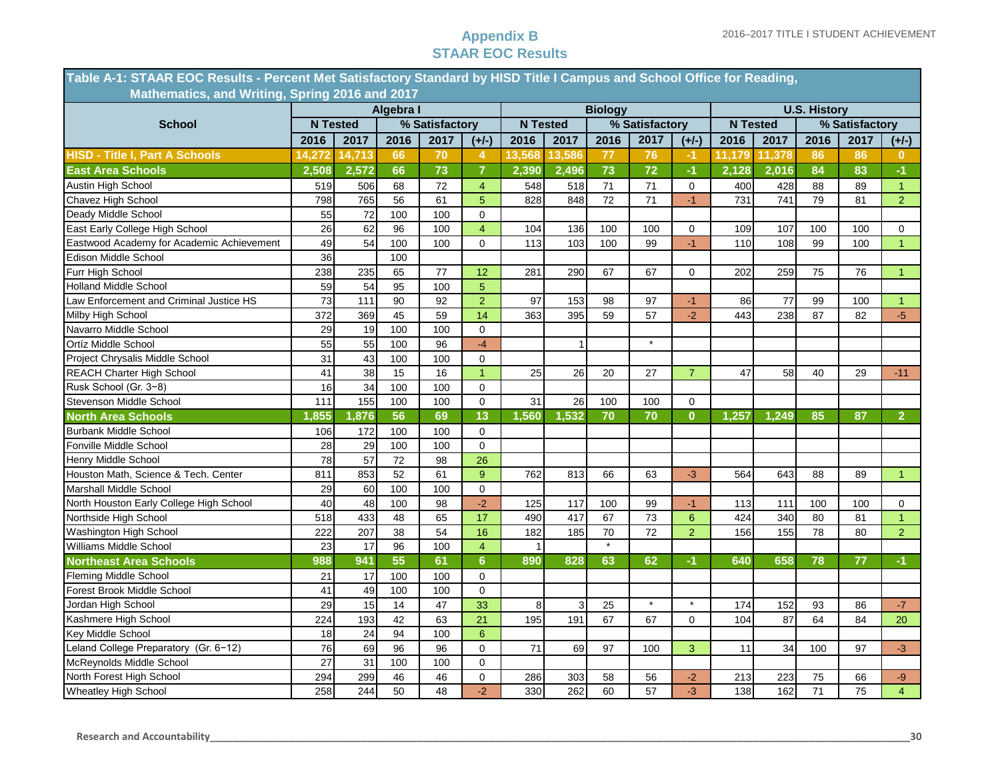### **Appendix B STAAR EOC Results**

| Table A-1: STAAR EOC Results - Percent Met Satisfactory Standard by HISD Title I Campus and School Office for Reading, |                 |        |           |                |                |                 |        |                |                |                |                 |        |                     |                |                |
|------------------------------------------------------------------------------------------------------------------------|-----------------|--------|-----------|----------------|----------------|-----------------|--------|----------------|----------------|----------------|-----------------|--------|---------------------|----------------|----------------|
| Mathematics, and Writing, Spring 2016 and 2017                                                                         |                 |        |           |                |                |                 |        |                |                |                |                 |        |                     |                |                |
|                                                                                                                        |                 |        | Algebra I |                |                |                 |        | <b>Biology</b> |                |                |                 |        | <b>U.S. History</b> |                |                |
| <b>School</b>                                                                                                          | <b>N</b> Tested |        |           | % Satisfactory |                | <b>N</b> Tested |        |                | % Satisfactory |                | <b>N</b> Tested |        |                     | % Satisfactory |                |
|                                                                                                                        | 2016            | 2017   | 2016      | 2017           | $(+/-)$        | 2016            | 2017   | 2016           | 2017           | $(+/-)$        | 2016            | 2017   | 2016                | 2017           | $(+/-)$        |
| <b>HISD - Title I, Part A Schools</b>                                                                                  | 14,272          | 14,713 | 66        | 70             | 4              | 13,568          | 13,586 | 77             | 76             | $-1$           | 11,179          | 11,378 | 86                  | 86             | $\bf{0}$       |
| <b>East Area Schools</b>                                                                                               | 2,508           | 2,572  | 66        | 73             | $\overline{7}$ | 2,390           | 2,496  | 73             | 72             | $-1$           | 2,128           | 2,016  | 84                  | 83             | $-1$           |
| Austin High School                                                                                                     | 519             | 506    | 68        | 72             | $\overline{4}$ | 548             | 518    | 71             | 71             | $\mathbf 0$    | 400             | 428    | 88                  | 89             | $\mathbf{1}$   |
| Chavez High School                                                                                                     | 798             | 765    | 56        | 61             | 5              | 828             | 848    | 72             | 71             | $-1$           | 731             | 741    | 79                  | 81             | $\overline{2}$ |
| Deady Middle School                                                                                                    | 55              | 72     | 100       | 100            | $\mathbf 0$    |                 |        |                |                |                |                 |        |                     |                |                |
| East Early College High School                                                                                         | 26              | 62     | 96        | 100            | $\overline{4}$ | 104             | 136    | 100            | 100            | 0              | 109             | 107    | 100                 | 100            | 0              |
| Eastwood Academy for Academic Achievement                                                                              | 49              | 54     | 100       | 100            | 0              | 113             | 103    | 100            | 99             | $-1$           | 110             | 108    | 99                  | 100            | 1 <sup>1</sup> |
| Edison Middle School                                                                                                   | 36              |        | 100       |                |                |                 |        |                |                |                |                 |        |                     |                |                |
| Furr High School                                                                                                       | 238             | 235    | 65        | 77             | 12             | 281             | 290    | 67             | 67             | 0              | 202             | 259    | 75                  | 76             | $\mathbf{1}$   |
| <b>Holland Middle School</b>                                                                                           | 59              | 54     | 95        | 100            | $\overline{5}$ |                 |        |                |                |                |                 |        |                     |                |                |
| Law Enforcement and Criminal Justice HS                                                                                | 73              | 111    | 90        | 92             | $\overline{2}$ | 97              | 153    | 98             | 97             | $-1$           | 86              | 77     | 99                  | 100            | $\mathbf{1}$   |
| Milby High School                                                                                                      | 372             | 369    | 45        | 59             | 14             | 363             | 395    | 59             | 57             | $-2$           | 443             | 238    | 87                  | 82             | $-5$           |
| Navarro Middle School                                                                                                  | 29              | 19     | 100       | 100            | $\mathbf 0$    |                 |        |                |                |                |                 |        |                     |                |                |
| Ortíz Middle School                                                                                                    | 55              | 55     | 100       | 96             | $-4$           |                 | 1      |                | $\star$        |                |                 |        |                     |                |                |
| Project Chrysalis Middle School                                                                                        | 31              | 43     | 100       | 100            | $\mathbf 0$    |                 |        |                |                |                |                 |        |                     |                |                |
| REACH Charter High School                                                                                              | 41              | 38     | 15        | 16             | $\overline{1}$ | 25              | 26     | 20             | 27             | $\overline{7}$ | 47              | 58     | 40                  | 29             | $-11$          |
| Rusk School (Gr. 3-8)                                                                                                  | 16              | 34     | 100       | 100            | $\mathbf 0$    |                 |        |                |                |                |                 |        |                     |                |                |
| Stevenson Middle School                                                                                                | 111             | 155    | 100       | 100            | $\pmb{0}$      | 31              | 26     | 100            | 100            | 0              |                 |        |                     |                |                |
| <b>North Area Schools</b>                                                                                              | ,855            | ,876   | 56        | 69             | 13             | 1,560           | 1,532  | 70             | 70             | $\mathbf{0}$   | 1,257           | 1,249  | 85                  | 87             | $\overline{2}$ |
| <b>Burbank Middle School</b>                                                                                           | 106             | 172    | 100       | 100            | $\mathbf 0$    |                 |        |                |                |                |                 |        |                     |                |                |
| Fonville Middle School                                                                                                 | 28              | 29     | 100       | 100            | $\pmb{0}$      |                 |        |                |                |                |                 |        |                     |                |                |
| Henry Middle School                                                                                                    | 78              | 57     | 72        | 98             | 26             |                 |        |                |                |                |                 |        |                     |                |                |
| Houston Math, Science & Tech. Center                                                                                   | 811             | 853    | 52        | 61             | 9              | 762             | 813    | 66             | 63             | $-3$           | 564             | 643    | 88                  | 89             | $\mathbf{1}$   |
| Marshall Middle School                                                                                                 | 29              | 60     | 100       | 100            | $\mathbf 0$    |                 |        |                |                |                |                 |        |                     |                |                |
| North Houston Early College High School                                                                                | 40              | 48     | 100       | 98             | $-2$           | 125             | 117    | 100            | 99             | $-1$           | 113             | 111    | 100                 | 100            | 0              |
| Northside High School                                                                                                  | 518             | 433    | 48        | 65             | 17             | 490             | 417    | 67             | 73             | 6              | 424             | 340    | 80                  | 81             | $\mathbf{1}$   |
| Washington High School                                                                                                 | 222             | 207    | 38        | 54             | 16             | 182             | 185    | 70             | 72             | $\overline{2}$ | 156             | 155    | 78                  | 80             | $\overline{2}$ |
| Williams Middle School                                                                                                 | 23              | 17     | 96        | 100            | $\overline{4}$ | $\mathbf{1}$    |        |                |                |                |                 |        |                     |                |                |
| <b>Northeast Area Schools</b>                                                                                          | 988             | 941    | 55        | 61             | $6\phantom{a}$ | 890             | 828    | 63             | 62             | $-1$           | 640             | 658    | 78                  | 77             | $-1$           |
| <b>Fleming Middle School</b>                                                                                           | 21              | 17     | 100       | 100            | $\mathbf 0$    |                 |        |                |                |                |                 |        |                     |                |                |
| Forest Brook Middle School                                                                                             | 41              | 49     | 100       | 100            | $\mathbf 0$    |                 |        |                |                |                |                 |        |                     |                |                |
| Jordan High School                                                                                                     | 29              | 15     | 14        | 47             | 33             | 8               | 3      | 25             | $\star$        | $\star$        | 174             | 152    | 93                  | 86             | $-7$           |
| Kashmere High School                                                                                                   | 224             | 193    | 42        | 63             | 21             | 195             | 191    | 67             | 67             | 0              | 104             | 87     | 64                  | 84             | 20             |
| Key Middle School                                                                                                      | 18              | 24     | 94        | 100            | 6              |                 |        |                |                |                |                 |        |                     |                |                |
| Leland College Preparatory (Gr. 6-12)                                                                                  | 76              | 69     | 96        | 96             | $\mathbf 0$    | 71              | 69     | 97             | 100            | 3              | 11              | 34     | 100                 | 97             | $-3$           |
| McReynolds Middle School                                                                                               | 27              | 31     | 100       | 100            | $\mathbf 0$    |                 |        |                |                |                |                 |        |                     |                |                |
| North Forest High School                                                                                               | 294             | 299    | 46        | 46             | $\mathbf 0$    | 286             | 303    | 58             | 56             | $-2$           | 213             | 223    | 75                  | 66             | -9             |
| <b>Wheatley High School</b>                                                                                            | 258             | 244    | 50        | 48             | $-2$           | 330             | 262    | 60             | 57             | $-3$           | 138             | 162    | 71                  | 75             | $\overline{4}$ |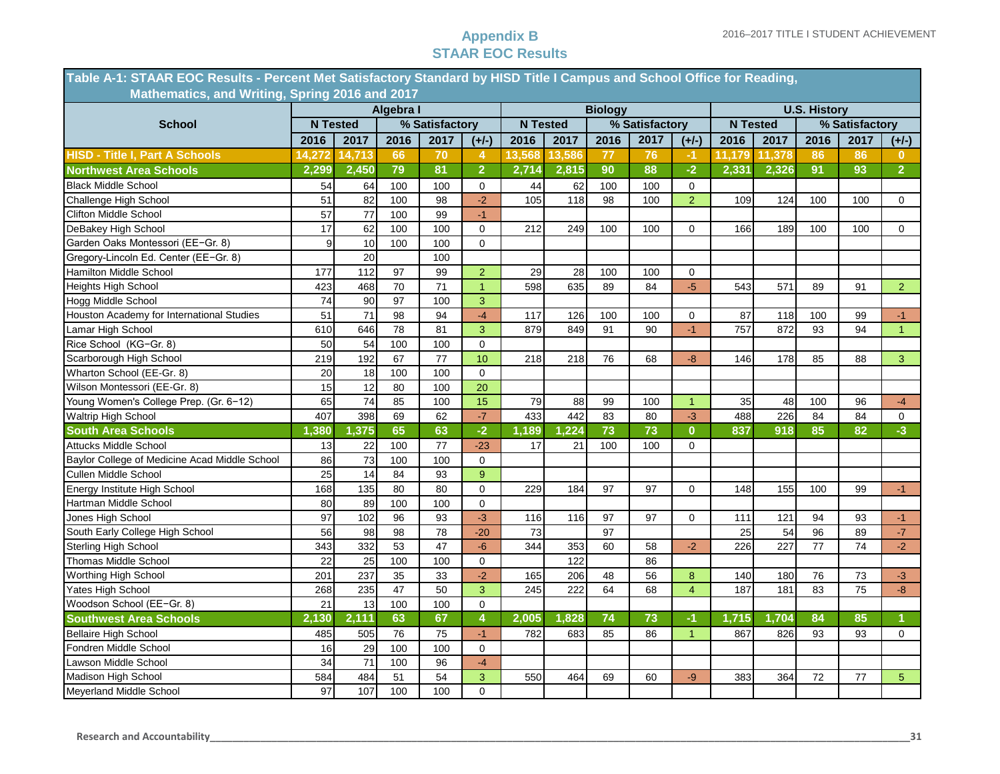### **Appendix B STAAR EOC Results**

|                                               | Table A-1: STAAR EOC Results - Percent Met Satisfactory Standard by HISD Title I Campus and School Office for Reading, |        |                 |                 |                |                 |        |      |                |                |                 |        |      |                |                |
|-----------------------------------------------|------------------------------------------------------------------------------------------------------------------------|--------|-----------------|-----------------|----------------|-----------------|--------|------|----------------|----------------|-----------------|--------|------|----------------|----------------|
|                                               | Mathematics, and Writing, Spring 2016 and 2017<br>Algebra I<br><b>Biology</b><br><b>U.S. History</b>                   |        |                 |                 |                |                 |        |      |                |                |                 |        |      |                |                |
|                                               |                                                                                                                        |        |                 |                 |                |                 |        |      |                |                |                 |        |      |                |                |
| <b>School</b>                                 | <b>N</b> Tested                                                                                                        |        |                 | % Satisfactory  |                | <b>N</b> Tested |        |      | % Satisfactory |                | <b>N</b> Tested |        |      | % Satisfactory |                |
|                                               | 2016                                                                                                                   | 2017   | 2016            | 2017            | $(+/-)$        | 2016            | 2017   | 2016 | 2017           | $(+/-)$        | 2016            | 2017   | 2016 | 2017           | $(+/-)$        |
| <b>HISD - Title I, Part A Schools</b>         | 14,272                                                                                                                 | 14,713 | 66              | 70              | 4              | 13,568          | 13,586 | 77   | 76             | $-1$           | 11,179          | 11,378 | 86   | 86             | 0              |
| <b>Northwest Area Schools</b>                 | 2,299                                                                                                                  | 2,450  | 79              | 81              | $\overline{2}$ | 2,714           | 2,815  | 90   | 88             | $-2$           | 2,331           | 2,326  | 91   | 93             | $\overline{2}$ |
| <b>Black Middle School</b>                    | 54                                                                                                                     | 64     | 100             | 100             | $\mathbf 0$    | 44              | 62     | 100  | 100            | $\mathbf 0$    |                 |        |      |                |                |
| Challenge High School                         | 51                                                                                                                     | 82     | 100             | 98              | $-2$           | 105             | 118    | 98   | 100            | 2              | 109             | 124    | 100  | 100            | 0              |
| Clifton Middle School                         | 57                                                                                                                     | 77     | 100             | 99              | $-1$           |                 |        |      |                |                |                 |        |      |                |                |
| DeBakey High School                           | 17                                                                                                                     | 62     | 100             | 100             | $\mathbf 0$    | 212             | 249    | 100  | 100            | $\Omega$       | 166             | 189    | 100  | 100            | 0              |
| Garden Oaks Montessori (EE-Gr. 8)             | 9                                                                                                                      | 10     | 100             | 100             | $\mathbf 0$    |                 |        |      |                |                |                 |        |      |                |                |
| Gregory-Lincoln Ed. Center (EE-Gr. 8)         |                                                                                                                        | 20     |                 | 100             |                |                 |        |      |                |                |                 |        |      |                |                |
| Hamilton Middle School                        | 177                                                                                                                    | 112    | 97              | 99              | $\overline{2}$ | 29              | 28     | 100  | 100            | $\mathbf 0$    |                 |        |      |                |                |
| Heights High School                           | 423                                                                                                                    | 468    | 70              | 71              | $\overline{1}$ | 598             | 635    | 89   | 84             | $-5$           | 543             | 571    | 89   | 91             | 2 <sup>1</sup> |
| Hogg Middle School                            | 74                                                                                                                     | 90     | 97              | 100             | 3              |                 |        |      |                |                |                 |        |      |                |                |
| Houston Academy for International Studies     | 51                                                                                                                     | 71     | 98              | 94              | $-4$           | 117             | 126    | 100  | 100            | $\mathbf 0$    | 87              | 118    | 100  | 99             | $-1$           |
| Lamar High School                             | 610                                                                                                                    | 646    | 78              | 81              | 3              | 879             | 849    | 91   | 90             | $-1$           | 757             | 872    | 93   | 94             | $\mathbf{1}$   |
| Rice School (KG-Gr. 8)                        | 50                                                                                                                     | 54     | 100             | 100             | $\mathbf 0$    |                 |        |      |                |                |                 |        |      |                |                |
| Scarborough High School                       | 219                                                                                                                    | 192    | 67              | 77              | 10             | 218             | 218    | 76   | 68             | $-8$           | 146             | 178    | 85   | 88             | 3              |
| Wharton School (EE-Gr. 8)                     | 20                                                                                                                     | 18     | 100             | 100             | $\mathbf 0$    |                 |        |      |                |                |                 |        |      |                |                |
| Wilson Montessori (EE-Gr. 8)                  | 15                                                                                                                     | 12     | 80              | 100             | 20             |                 |        |      |                |                |                 |        |      |                |                |
| Young Women's College Prep. (Gr. 6-12)        | 65                                                                                                                     | 74     | 85              | 100             | 15             | 79              | 88     | 99   | 100            | $\overline{1}$ | 35              | 48     | 100  | 96             | $-4$           |
| Waltrip High School                           | 407                                                                                                                    | 398    | 69              | 62              | $-7$           | 433             | 442    | 83   | 80             | $-3$           | 488             | 226    | 84   | 84             | 0              |
| <b>South Area Schools</b>                     | 1,380                                                                                                                  | 1,375  | 65              | 63              | $-2$           | 1,189           | 1,224  | 73   | 73             | $\mathbf{0}$   | 837             | 918    | 85   | 82             | $-3$           |
| Attucks Middle School                         | 13                                                                                                                     | 22     | 100             | 77              | $-23$          | 17              | 21     | 100  | 100            | $\mathbf 0$    |                 |        |      |                |                |
| Baylor College of Medicine Acad Middle School | 86                                                                                                                     | 73     | 100             | 100             | 0              |                 |        |      |                |                |                 |        |      |                |                |
| Cullen Middle School                          | 25                                                                                                                     | 14     | 84              | 93              | 9              |                 |        |      |                |                |                 |        |      |                |                |
| Energy Institute High School                  | 168                                                                                                                    | 135    | 80              | 80              | $\mathbf 0$    | 229             | 184    | 97   | 97             | $\mathbf 0$    | 148             | 155    | 100  | 99             | $-1$           |
| Hartman Middle School                         | 80                                                                                                                     | 89     | 100             | 100             | $\mathbf 0$    |                 |        |      |                |                |                 |        |      |                |                |
| Jones High School                             | 97                                                                                                                     | 102    | 96              | 93              | $-3$           | 116             | 116    | 97   | 97             | $\mathbf 0$    | 111             | 121    | 94   | 93             | $-1$           |
| South Early College High School               | 56                                                                                                                     | 98     | 98              | 78              | $-20$          | 73              |        | 97   |                |                | 25              | 54     | 96   | 89             | $\mathbf{-7}$  |
| Sterling High School                          | 343                                                                                                                    | 332    | 53              | $\overline{47}$ | $-6$           | 344             | 353    | 60   | 58             | $-2$           | 226             | 227    | 77   | 74             | $-2$           |
| Thomas Middle School                          | 22                                                                                                                     | 25     | 100             | 100             | 0              |                 | 122    |      | 86             |                |                 |        |      |                |                |
| Worthing High School                          | 201                                                                                                                    | 237    | 35              | 33              | $-2$           | 165             | 206    | 48   | 56             | 8              | 140             | 180    | 76   | 73             | $-3$           |
| Yates High School                             | 268                                                                                                                    | 235    | 47              | 50              | 3              | 245             | 222    | 64   | 68             | $\overline{4}$ | 187             | 181    | 83   | 75             | $-8$           |
| Woodson School (EE-Gr. 8)                     | 21                                                                                                                     | 13     | 100             | 100             | $\mathbf 0$    |                 |        |      |                |                |                 |        |      |                |                |
| <b>Southwest Area Schools</b>                 | 2,130                                                                                                                  | 2,111  | 63              | 67              | $\overline{4}$ | 2,005           | 1,828  | 74   | 73             | -1             | 1,715           | 1,704  | 84   | 85             |                |
| <b>Bellaire High School</b>                   | 485                                                                                                                    | 505    | $\overline{76}$ | $\overline{75}$ | $-1$           | 782             | 683    | 85   | 86             | $\overline{1}$ | 867             | 826    | 93   | 93             | $\Omega$       |
| Fondren Middle School                         | 16                                                                                                                     | 29     | 100             | 100             | $\mathbf 0$    |                 |        |      |                |                |                 |        |      |                |                |
| Lawson Middle School                          | 34                                                                                                                     | 71     | 100             | 96              | $-4$           |                 |        |      |                |                |                 |        |      |                |                |
| Madison High School                           | 584                                                                                                                    | 484    | 51              | 54              | 3              | 550             | 464    | 69   | 60             | $-9$           | 383             | 364    | 72   | 77             | 5 <sup>5</sup> |
| Meyerland Middle School                       | 97                                                                                                                     | 107    | 100             | 100             | $\mathbf 0$    |                 |        |      |                |                |                 |        |      |                |                |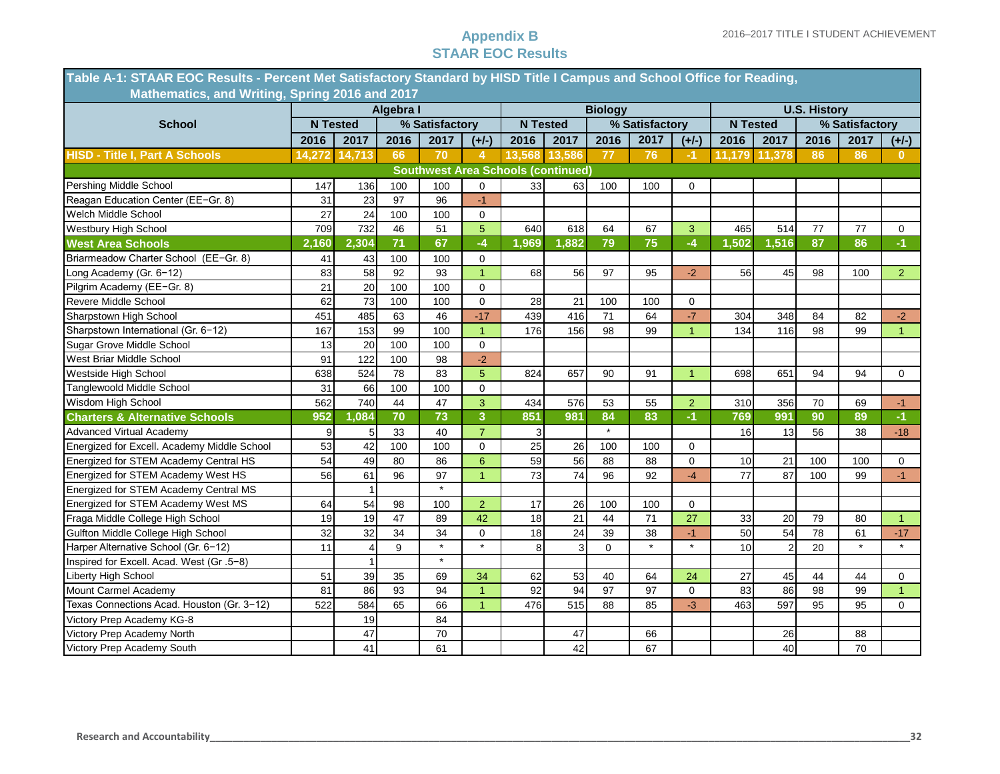### **Appendix B STAAR EOC Results**

| Table A-1: STAAR EOC Results - Percent Met Satisfactory Standard by HISD Title I Campus and School Office for Reading, |           |                 |      |                |                      |       |                                           |                |                |                      |                     |        |      |                |                |
|------------------------------------------------------------------------------------------------------------------------|-----------|-----------------|------|----------------|----------------------|-------|-------------------------------------------|----------------|----------------|----------------------|---------------------|--------|------|----------------|----------------|
| Mathematics, and Writing, Spring 2016 and 2017                                                                         |           |                 |      |                |                      |       |                                           |                |                |                      |                     |        |      |                |                |
|                                                                                                                        | Algebra I |                 |      |                |                      |       |                                           | <b>Biology</b> |                |                      | <b>U.S. History</b> |        |      |                |                |
| <b>School</b>                                                                                                          |           | <b>N</b> Tested |      | % Satisfactory |                      |       | <b>N</b> Tested                           |                | % Satisfactory |                      | <b>N</b> Tested     |        |      | % Satisfactory |                |
|                                                                                                                        | 2016      | 2017            | 2016 | 2017           | $(+/-)$              | 2016  | 2017                                      | 2016           | 2017           | $(+/-)$              | 2016                | 2017   | 2016 | 2017           | $(+/-)$        |
| <b>HISD - Title I, Part A Schools</b>                                                                                  | 14,272    | 14,713          | 66   | 70             | 4                    |       | 13,568 13,586                             | 77             | 76             | -1                   | 11.179              | 11,378 | 86   | 86             | 0              |
|                                                                                                                        |           |                 |      |                |                      |       | <b>Southwest Area Schools (continued)</b> |                |                |                      |                     |        |      |                |                |
| Pershing Middle School                                                                                                 | 147       | 136             | 100  | 100            | $\mathbf 0$          | 33    | 63                                        | 100            | 100            | 0                    |                     |        |      |                |                |
| Reagan Education Center (EE-Gr. 8)                                                                                     | 31        | 23              | 97   | 96             | $-1$                 |       |                                           |                |                |                      |                     |        |      |                |                |
| Welch Middle School                                                                                                    | 27        | 24              | 100  | 100            | $\mathbf 0$          |       |                                           |                |                |                      |                     |        |      |                |                |
| Westbury High School                                                                                                   | 709       | 732             | 46   | 51             | $\overline{5}$       | 640   | 618                                       | 64             | 67             | 3                    | 465                 | 514    | 77   | 77             | 0              |
| <b>West Area Schools</b>                                                                                               | 2,160     | 2,304           | 71   | 67             | $-4$                 | 1,969 | 1,882                                     | 79             | 75             | $-4$                 | 1,502               | 1,516  | 87   | 86             | $-1$           |
| Briarmeadow Charter School (EE-Gr. 8)                                                                                  | 41        | 43              | 100  | 100            | $\mathbf 0$          |       |                                           |                |                |                      |                     |        |      |                |                |
| Long Academy (Gr. 6-12)                                                                                                | 83        | 58              | 92   | 93             | $\overline{1}$       | 68    | 56                                        | 97             | 95             | $-2$                 | 56                  | 45     | 98   | 100            | $\overline{2}$ |
| Pilgrim Academy (EE-Gr. 8)                                                                                             | 21        | 20              | 100  | 100            | $\mathbf 0$          |       |                                           |                |                |                      |                     |        |      |                |                |
| Revere Middle School                                                                                                   | 62        | 73              | 100  | 100            | $\mathbf 0$          | 28    | 21                                        | 100            | 100            | 0                    |                     |        |      |                |                |
| Sharpstown High School                                                                                                 | 451       | 485             | 63   | 46             | $-17$                | 439   | 416                                       | 71             | 64             | $-7$                 | 304                 | 348    | 84   | 82             | $-2$           |
| Sharpstown International (Gr. 6-12)                                                                                    | 167       | 153             | 99   | 100            | $\blacktriangleleft$ | 176   | 156                                       | 98             | 99             | $\blacktriangleleft$ | 134                 | 116    | 98   | 99             | $\mathbf{1}$   |
| Sugar Grove Middle School                                                                                              | 13        | 20              | 100  | 100            | $\mathbf 0$          |       |                                           |                |                |                      |                     |        |      |                |                |
| West Briar Middle School                                                                                               | 91        | 122             | 100  | 98             | $-2$                 |       |                                           |                |                |                      |                     |        |      |                |                |
| Westside High School                                                                                                   | 638       | 524             | 78   | 83             | 5                    | 824   | 657                                       | 90             | 91             | $\blacktriangleleft$ | 698                 | 651    | 94   | 94             | $\Omega$       |
| Tanglewoold Middle School                                                                                              | 31        | 66              | 100  | 100            | $\mathbf 0$          |       |                                           |                |                |                      |                     |        |      |                |                |
| Wisdom High School                                                                                                     | 562       | 740             | 44   | 47             | 3                    | 434   | 576                                       | 53             | 55             | $\overline{2}$       | 310                 | 356    | 70   | 69             | $-1$           |
| <b>Charters &amp; Alternative Schools</b>                                                                              | 952       | 1,084           | 70   | 73             | 3                    | 851   | 981                                       | 84             | 83             | $-1$                 | 769                 | 991    | 90   | 89             | $-1$           |
| <b>Advanced Virtual Academy</b>                                                                                        | 9         | 5               | 33   | 40             | $\overline{7}$       | 3     |                                           |                |                |                      | 16                  | 13     | 56   | 38             | $-18$          |
| Energized for Excell. Academy Middle School                                                                            | 53        | 42              | 100  | 100            | $\mathbf 0$          | 25    | 26                                        | 100            | 100            | 0                    |                     |        |      |                |                |
| Energized for STEM Academy Central HS                                                                                  | 54        | 49              | 80   | 86             | $6\phantom{1}$       | 59    | 56                                        | 88             | 88             | $\mathbf 0$          | 10                  | 21     | 100  | 100            | 0              |
| Energized for STEM Academy West HS                                                                                     | 56        | 61              | 96   | 97             |                      | 73    | 74                                        | 96             | 92             | $-4$                 | 77                  | 87     | 100  | 99             | $-1$           |
| Energized for STEM Academy Central MS                                                                                  |           |                 |      | $\star$        |                      |       |                                           |                |                |                      |                     |        |      |                |                |
| Energized for STEM Academy West MS                                                                                     | 64        | 54              | 98   | 100            | $\overline{2}$       | 17    | 26                                        | 100            | 100            | 0                    |                     |        |      |                |                |
| Fraga Middle College High School                                                                                       | 19        | 19              | 47   | 89             | 42                   | 18    | 21                                        | 44             | 71             | 27                   | 33                  | 20     | 79   | 80             | $\mathbf{1}$   |
| Gulfton Middle College High School                                                                                     | 32        | 32              | 34   | 34             | $\Omega$             | 18    | 24                                        | 39             | 38             | $-1$                 | 50                  | 54     | 78   | 61             | $-17$          |
| Harper Alternative School (Gr. 6-12)                                                                                   | 11        | 4               | 9    |                |                      | 8     | 3                                         | $\Omega$       |                |                      | 10                  | 2      | 20   |                |                |
| Inspired for Excell. Acad. West (Gr. 5-8)                                                                              |           |                 |      | $\star$        |                      |       |                                           |                |                |                      |                     |        |      |                |                |
| Liberty High School                                                                                                    | 51        | 39              | 35   | 69             | 34                   | 62    | 53                                        | 40             | 64             | 24                   | 27                  | 45     | 44   | 44             | 0              |
| Mount Carmel Academy                                                                                                   | 81        | 86              | 93   | 94             | $\overline{1}$       | 92    | 94                                        | 97             | 97             | $\Omega$             | 83                  | 86     | 98   | 99             | $\mathbf{1}$   |
| Texas Connections Acad. Houston (Gr. 3-12)                                                                             | 522       | 584             | 65   | 66             | $\blacktriangleleft$ | 476   | 515                                       | 88             | 85             | $-3$                 | 463                 | 597    | 95   | 95             | 0              |
| Victory Prep Academy KG-8                                                                                              |           | 19              |      | 84             |                      |       |                                           |                |                |                      |                     |        |      |                |                |
| Victory Prep Academy North                                                                                             |           | 47              |      | 70             |                      |       | 47                                        |                | 66             |                      |                     | 26     |      | 88             |                |
| Victory Prep Academy South                                                                                             |           | 41              |      | 61             |                      |       | 42                                        |                | 67             |                      |                     | 40     |      | 70             |                |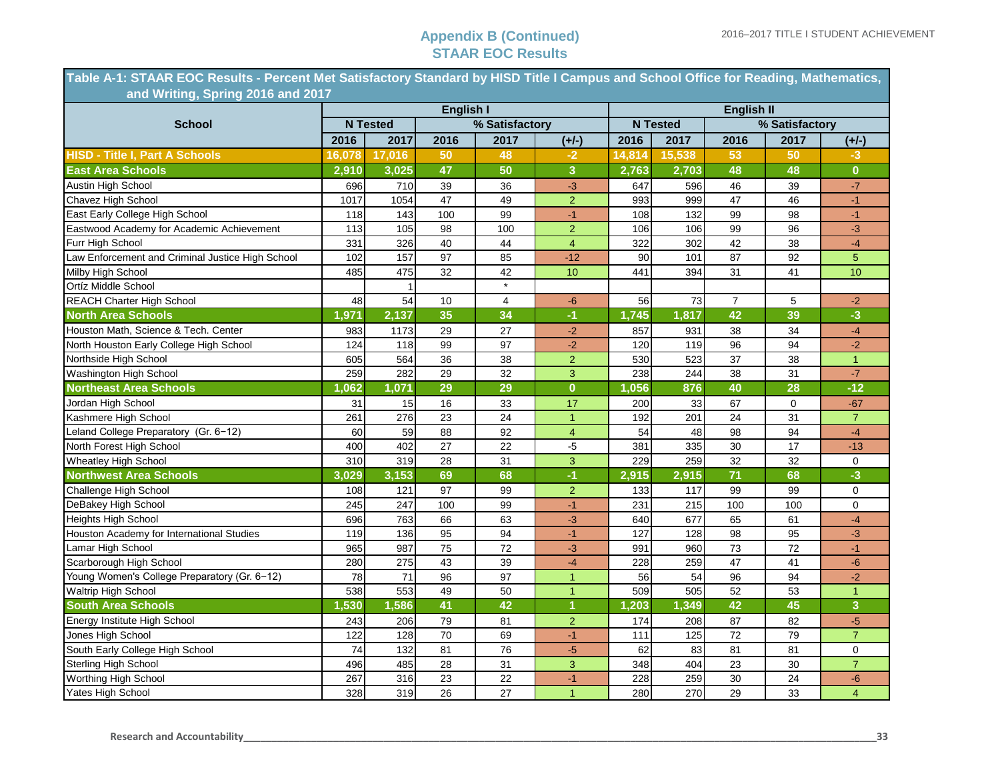### **Appendix B (Continued) STAAR EOC Results**

**Table A-1: STAAR EOC Results - Percent Met Satisfactory Standard by HISD Title I Campus and School Office for Reading, Mathematics, …..…........and Writing, Spring 2016 and 2017**

|                                                  |        |                    | <b>English I</b> |                |                | <b>English II</b> |                 |                |                |                |  |  |
|--------------------------------------------------|--------|--------------------|------------------|----------------|----------------|-------------------|-----------------|----------------|----------------|----------------|--|--|
| <b>School</b>                                    |        | <b>N</b> Tested    |                  | % Satisfactory |                |                   | <b>N</b> Tested |                | % Satisfactory |                |  |  |
|                                                  | 2016   | 2017               | 2016             | 2017           | $(+/-)$        | 2016              | 2017            | 2016           | 2017           | $(+/-)$        |  |  |
| <b>HISD - Title I, Part A Schools</b>            | 16.078 | 17,016             | 50               | 48             | -2             | 14,814            | 15,538          | 53             | 50             | $-3$           |  |  |
| <b>East Area Schools</b>                         | 2,910  | 3,025              | 47               | 50             | 3              | 2,763             | 2,703           | 48             | 48             | $\mathbf{0}$   |  |  |
| Austin High School                               | 696    | 710                | 39               | 36             | $-3$           | 647               | 596             | 46             | 39             | $-7$           |  |  |
| Chavez High School                               | 1017   | 1054               | 47               | 49             | $\overline{2}$ | 993               | 999             | 47             | 46             | $-1$           |  |  |
| East Early College High School                   | 118    | 143                | 100              | 99             | $-1$           | 108               | 132             | 99             | 98             | $-1$           |  |  |
| Eastwood Academy for Academic Achievement        | 113    | 105                | 98               | 100            | $\overline{2}$ | 106               | 106             | 99             | 96             | $-3$           |  |  |
| Furr High School                                 | 331    | 326                | 40               | 44             | $\overline{4}$ | 322               | 302             | 42             | 38             | $-4$           |  |  |
| Law Enforcement and Criminal Justice High School | 102    | 157                | 97               | 85             | $-12$          | 90                | 101             | 87             | 92             | 5              |  |  |
| Milby High School                                | 485    | 475                | 32               | 42             | 10             | 441               | 394             | 31             | 41             | 10             |  |  |
| Ortíz Middle School                              |        |                    |                  | $\star$        |                |                   |                 |                |                |                |  |  |
| <b>REACH Charter High School</b>                 | 48     | 54                 | 10               | $\overline{4}$ | -6             | 56                | 73              | $\overline{7}$ | 5              | $-2$           |  |  |
| <b>North Area Schools</b>                        | 1,971  | $\overline{2,137}$ | 35               | 34             | $-1$           | 1,745             | 1,817           | 42             | 39             | $-3$           |  |  |
| Houston Math, Science & Tech. Center             | 983    | 1173               | 29               | 27             | $-2$           | 857               | 931             | 38             | 34             | $-4$           |  |  |
| North Houston Early College High School          | 124    | 118                | 99               | 97             | $-2$           | 120               | 119             | 96             | 94             | $-2$           |  |  |
| Northside High School                            | 605    | 564                | 36               | 38             | $\overline{2}$ | 530               | 523             | 37             | 38             | $\overline{1}$ |  |  |
| Washington High School                           | 259    | 282                | 29               | 32             | 3              | 238               | 244             | 38             | 31             | $-7$           |  |  |
| <b>Northeast Area Schools</b>                    | ,062   | 1,071              | 29               | 29             | $\bf{0}$       | 1,056             | 876             | 40             | 28             | $-12$          |  |  |
| Jordan High School                               | 31     | 15                 | 16               | 33             | 17             | 200               | 33              | 67             | $\mathbf 0$    | $-67$          |  |  |
| Kashmere High School                             | 261    | 276                | 23               | 24             | $\mathbf{1}$   | 192               | 201             | 24             | 31             | $\overline{7}$ |  |  |
| Leland College Preparatory (Gr. 6-12)            | 60     | 59                 | 88               | 92             | $\overline{4}$ | 54                | 48              | 98             | 94             | $-4$           |  |  |
| North Forest High School                         | 400    | 402                | 27               | 22             | $-5$           | 381               | 335             | 30             | 17             | $-13$          |  |  |
| <b>Wheatley High School</b>                      | 310    | 319                | 28               | 31             | 3              | 229               | 259             | 32             | 32             | $\mathbf 0$    |  |  |
| <b>Northwest Area Schools</b>                    | 3,029  | 3,153              | 69               | 68             | $-1$           | 2,915             | 2,915           | 71             | 68             | $-3$           |  |  |
| Challenge High School                            | 108    | 121                | 97               | 99             | $\overline{2}$ | 133               | 117             | 99             | 99             | $\mathbf 0$    |  |  |
| DeBakey High School                              | 245    | 247                | 100              | 99             | $-1$           | 231               | 215             | 100            | 100            | $\mathbf 0$    |  |  |
| <b>Heights High School</b>                       | 696    | 763                | 66               | 63             | $-3$           | 640               | 677             | 65             | 61             | $-4$           |  |  |
| Houston Academy for International Studies        | 119    | 136                | 95               | 94             | $-1$           | 127               | 128             | 98             | 95             | $-3$           |  |  |
| Lamar High School                                | 965    | 987                | 75               | 72             | $-3$           | 991               | 960             | 73             | 72             | $-1$           |  |  |
| Scarborough High School                          | 280    | 275                | 43               | 39             | $-4$           | 228               | 259             | 47             | 41             | $-6$           |  |  |
| Young Women's College Preparatory (Gr. 6-12)     | 78     | 71                 | 96               | 97             | $\mathbf{1}$   | 56                | 54              | 96             | 94             | $-2$           |  |  |
| <b>Waltrip High School</b>                       | 538    | 553                | 49               | 50             | $\overline{1}$ | 509               | 505             | 52             | 53             | $\overline{1}$ |  |  |
| <b>South Area Schools</b>                        | ,530   | 1,586              | 41               | 42             | $\overline{1}$ | 1,203             | 1,349           | 42             | 45             | $\overline{3}$ |  |  |
| Energy Institute High School                     | 243    | 206                | 79               | 81             | $\overline{2}$ | 174               | 208             | 87             | 82             | $-5$           |  |  |
| Jones High School                                | 122    | 128                | 70               | 69             | $-1$           | 111               | 125             | 72             | 79             | $\overline{7}$ |  |  |
| South Early College High School                  | 74     | 132                | 81               | 76             | $-5$           | 62                | 83              | 81             | 81             | 0              |  |  |
| <b>Sterling High School</b>                      | 496    | 485                | 28               | 31             | 3              | 348               | 404             | 23             | 30             | $\overline{7}$ |  |  |
| <b>Worthing High School</b>                      | 267    | 316                | 23               | 22             | $-1$           | 228               | 259             | 30             | 24             | $-6$           |  |  |
| Yates High School                                | 328    | 319                | 26               | 27             | $\mathbf{1}$   | 280               | 270             | 29             | 33             | $\overline{4}$ |  |  |